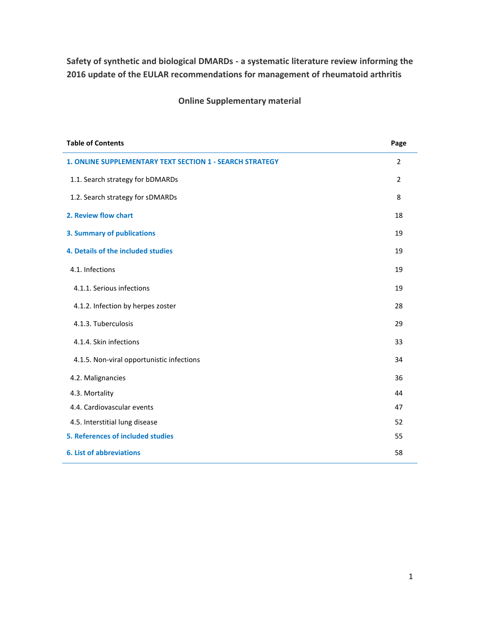**Safety of synthetic and biological DMARDs - a systematic literature review informing the 2016 update of the EULAR recommendations for management of rheumatoid arthritis** 

**Online Supplementary material**

| <b>Table of Contents</b>                                 | Page           |
|----------------------------------------------------------|----------------|
| 1. ONLINE SUPPLEMENTARY TEXT SECTION 1 - SEARCH STRATEGY | $\overline{2}$ |
| 1.1. Search strategy for bDMARDs                         | $\overline{2}$ |
| 1.2. Search strategy for sDMARDs                         | 8              |
| 2. Review flow chart                                     | 18             |
| <b>3. Summary of publications</b>                        | 19             |
| 4. Details of the included studies                       | 19             |
| 4.1. Infections                                          | 19             |
| 4.1.1. Serious infections                                | 19             |
| 4.1.2. Infection by herpes zoster                        | 28             |
| 4.1.3. Tuberculosis                                      | 29             |
| 4.1.4. Skin infections                                   | 33             |
| 4.1.5. Non-viral opportunistic infections                | 34             |
| 4.2. Malignancies                                        | 36             |
| 4.3. Mortality                                           | 44             |
| 4.4. Cardiovascular events                               | 47             |
| 4.5. Interstitial lung disease                           | 52             |
| 5. References of included studies                        | 55             |
| <b>6. List of abbreviations</b>                          | 58             |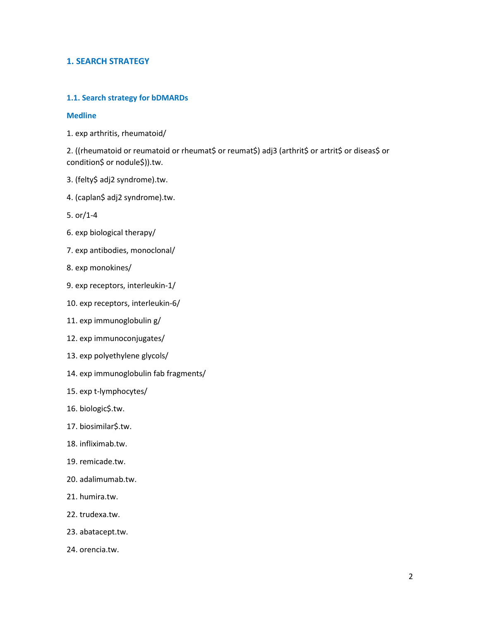## **1. SEARCH STRATEGY**

### **1.1. Search strategy for bDMARDs**

#### **Medline**

1. exp arthritis, rheumatoid/

2. ((rheumatoid or reumatoid or rheumat\$ or reumat\$) adj3 (arthrit\$ or artrit\$ or diseas\$ or condition\$ or nodule\$)).tw.

- 3. (felty\$ adj2 syndrome).tw.
- 4. (caplan\$ adj2 syndrome).tw.
- 5. or/1-4
- 6. exp biological therapy/
- 7. exp antibodies, monoclonal/
- 8. exp monokines/
- 9. exp receptors, interleukin-1/
- 10. exp receptors, interleukin-6/
- 11. exp immunoglobulin g/
- 12. exp immunoconjugates/
- 13. exp polyethylene glycols/
- 14. exp immunoglobulin fab fragments/
- 15. exp t-lymphocytes/
- 16. biologic\$.tw.
- 17. biosimilar\$.tw.
- 18. infliximab.tw.
- 19. remicade.tw.
- 20. adalimumab.tw.
- 21. humira.tw.
- 22. trudexa.tw.
- 23. abatacept.tw.
- 24. orencia.tw.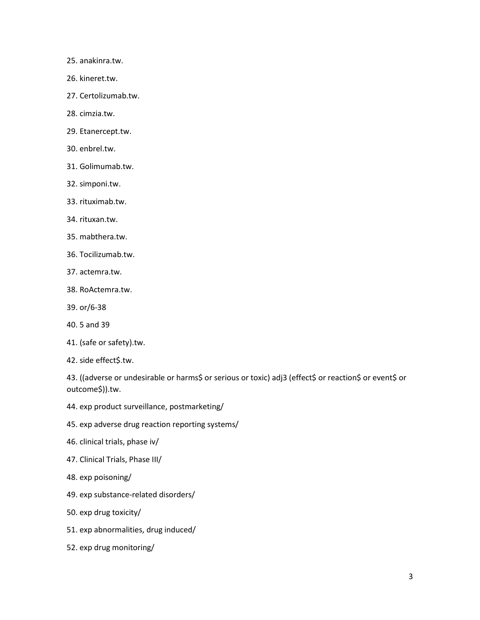- 25. anakinra.tw.
- 26. kineret.tw.
- 27. Certolizumab.tw.
- 28. cimzia.tw.
- 29. Etanercept.tw.
- 30. enbrel.tw.
- 31. Golimumab.tw.
- 32. simponi.tw.
- 33. rituximab.tw.
- 34. rituxan.tw.
- 35. mabthera.tw.
- 36. Tocilizumab.tw.
- 37. actemra.tw.
- 38. RoActemra.tw.
- 39. or/6-38
- 40. 5 and 39
- 41. (safe or safety).tw.
- 42. side effect\$.tw.

43. ((adverse or undesirable or harms\$ or serious or toxic) adj3 (effect\$ or reaction\$ or event\$ or outcome\$)).tw.

- 44. exp product surveillance, postmarketing/
- 45. exp adverse drug reaction reporting systems/
- 46. clinical trials, phase iv/
- 47. Clinical Trials, Phase III/
- 48. exp poisoning/
- 49. exp substance-related disorders/
- 50. exp drug toxicity/
- 51. exp abnormalities, drug induced/
- 52. exp drug monitoring/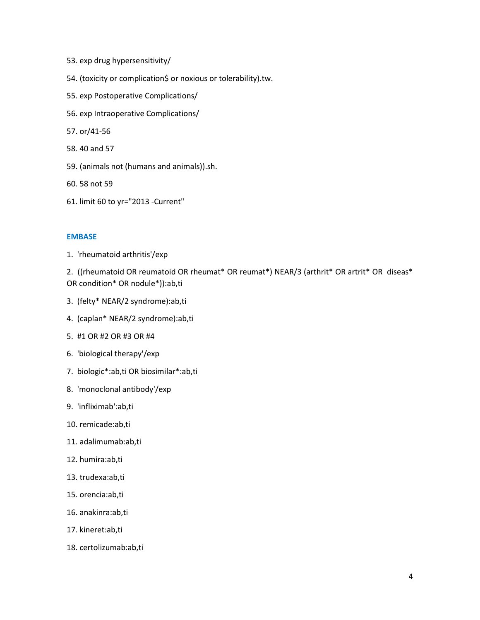- 53. exp drug hypersensitivity/
- 54. (toxicity or complication\$ or noxious or tolerability).tw.
- 55. exp Postoperative Complications/
- 56. exp Intraoperative Complications/
- 57. or/41-56
- 58. 40 and 57
- 59. (animals not (humans and animals)).sh.
- 60. 58 not 59
- 61. limit 60 to yr="2013 -Current"

## **EMBASE**

1. 'rheumatoid arthritis'/exp

2. ((rheumatoid OR reumatoid OR rheumat\* OR reumat\*) NEAR/3 (arthrit\* OR artrit\* OR diseas\* OR condition\* OR nodule\*)):ab,ti

- 3. (felty\* NEAR/2 syndrome):ab,ti
- 4. (caplan\* NEAR/2 syndrome):ab,ti
- 5. #1 OR #2 OR #3 OR #4
- 6. 'biological therapy'/exp
- 7. biologic\*:ab,ti OR biosimilar\*:ab,ti
- 8. 'monoclonal antibody'/exp
- 9. 'infliximab':ab,ti
- 10. remicade:ab,ti
- 11. adalimumab:ab,ti
- 12. humira:ab,ti
- 13. trudexa:ab,ti
- 15. orencia:ab,ti
- 16. anakinra:ab,ti
- 17. kineret:ab,ti
- 18. certolizumab:ab,ti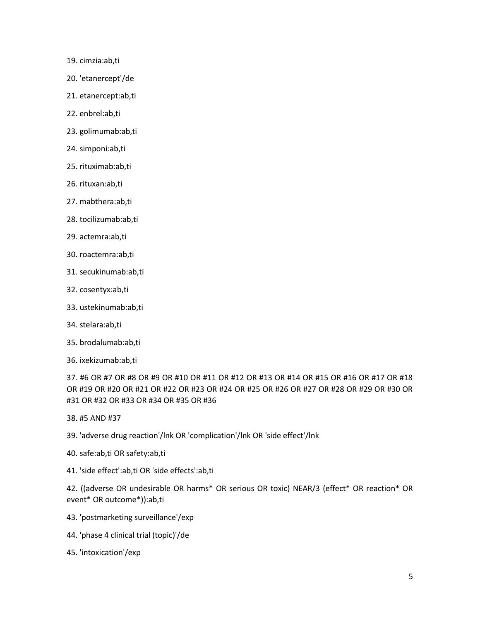- 19. cimzia:ab,ti
- 20. 'etanercept'/de
- 21. etanercept:ab,ti
- 22. enbrel:ab,ti
- 23. golimumab:ab,ti
- 24. simponi:ab,ti
- 25. rituximab:ab,ti
- 26. rituxan:ab,ti
- 27. mabthera:ab,ti
- 28. tocilizumab:ab,ti
- 29. actemra:ab,ti
- 30. roactemra:ab,ti
- 31. secukinumab:ab,ti
- 32. cosentyx:ab,ti
- 33. ustekinumab:ab,ti
- 34. stelara:ab,ti
- 35. brodalumab:ab,ti
- 36. ixekizumab:ab,ti

37. #6 OR #7 OR #8 OR #9 OR #10 OR #11 OR #12 OR #13 OR #14 OR #15 OR #16 OR #17 OR #18 OR #19 OR #20 OR #21 OR #22 OR #23 OR #24 OR #25 OR #26 OR #27 OR #28 OR #29 OR #30 OR #31 OR #32 OR #33 OR #34 OR #35 OR #36

38. #5 AND #37

39. 'adverse drug reaction'/lnk OR 'complication'/lnk OR 'side effect'/lnk

- 40. safe:ab,ti OR safety:ab,ti
- 41. 'side effect':ab,ti OR 'side effects':ab,ti

42. ((adverse OR undesirable OR harms\* OR serious OR toxic) NEAR/3 (effect\* OR reaction\* OR event\* OR outcome\*)):ab,ti

- 43. 'postmarketing surveillance'/exp
- 44. 'phase 4 clinical trial (topic)'/de
- 45. 'intoxication'/exp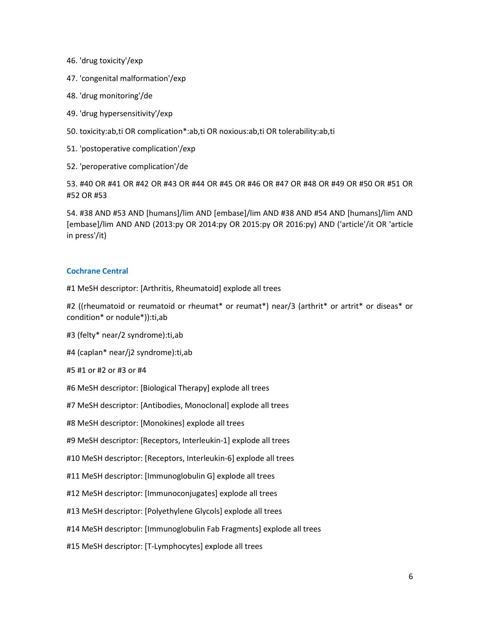- 46. 'drug toxicity'/exp
- 47. 'congenital malformation'/exp
- 48. 'drug monitoring'/de
- 49. 'drug hypersensitivity'/exp
- 50. toxicity:ab,ti OR complication\*:ab,ti OR noxious:ab,ti OR tolerability:ab,ti
- 51. 'postoperative complication'/exp
- 52. 'peroperative complication'/de

53. #40 OR #41 OR #42 OR #43 OR #44 OR #45 OR #46 OR #47 OR #48 OR #49 OR #50 OR #51 OR #52 OR #53

54. #38 AND #53 AND [humans]/lim AND [embase]/lim AND #38 AND #54 AND [humans]/lim AND [embase]/lim AND AND (2013:py OR 2014:py OR 2015:py OR 2016:py) AND ('article'/it OR 'article in press'/it)

#### **Cochrane Central**

#1 MeSH descriptor: [Arthritis, Rheumatoid] explode all trees

#2 ((rheumatoid or reumatoid or rheumat\* or reumat\*) near/3 (arthrit\* or artrit\* or diseas\* or condition\* or nodule\*)):ti,ab

- #3 (felty\* near/2 syndrome):ti,ab
- #4 (caplan\* near/j2 syndrome):ti,ab
- #5 #1 or #2 or #3 or #4
- #6 MeSH descriptor: [Biological Therapy] explode all trees
- #7 MeSH descriptor: [Antibodies, Monoclonal] explode all trees
- #8 MeSH descriptor: [Monokines] explode all trees
- #9 MeSH descriptor: [Receptors, Interleukin-1] explode all trees
- #10 MeSH descriptor: [Receptors, Interleukin-6] explode all trees
- #11 MeSH descriptor: [Immunoglobulin G] explode all trees
- #12 MeSH descriptor: [Immunoconjugates] explode all trees
- #13 MeSH descriptor: [Polyethylene Glycols] explode all trees
- #14 MeSH descriptor: [Immunoglobulin Fab Fragments] explode all trees
- #15 MeSH descriptor: [T-Lymphocytes] explode all trees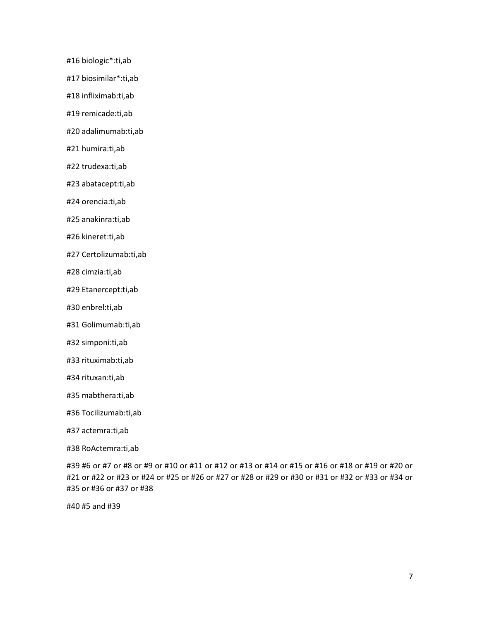#16 biologic\*:ti,ab

#17 biosimilar\*:ti,ab

#18 infliximab:ti,ab

#19 remicade:ti,ab

#20 adalimumab:ti,ab

#21 humira:ti,ab

#22 trudexa:ti,ab

#23 abatacept:ti,ab

#24 orencia:ti,ab

#25 anakinra:ti,ab

#26 kineret:ti,ab

#27 Certolizumab:ti,ab

#28 cimzia:ti,ab

#29 Etanercept:ti,ab

#30 enbrel:ti,ab

#31 Golimumab:ti,ab

#32 simponi:ti,ab

#33 rituximab:ti,ab

#34 rituxan:ti,ab

#35 mabthera:ti,ab

#36 Tocilizumab:ti,ab

#37 actemra:ti,ab

#38 RoActemra:ti,ab

#39 #6 or #7 or #8 or #9 or #10 or #11 or #12 or #13 or #14 or #15 or #16 or #18 or #19 or #20 or #21 or #22 or #23 or #24 or #25 or #26 or #27 or #28 or #29 or #30 or #31 or #32 or #33 or #34 or #35 or #36 or #37 or #38

#40 #5 and #39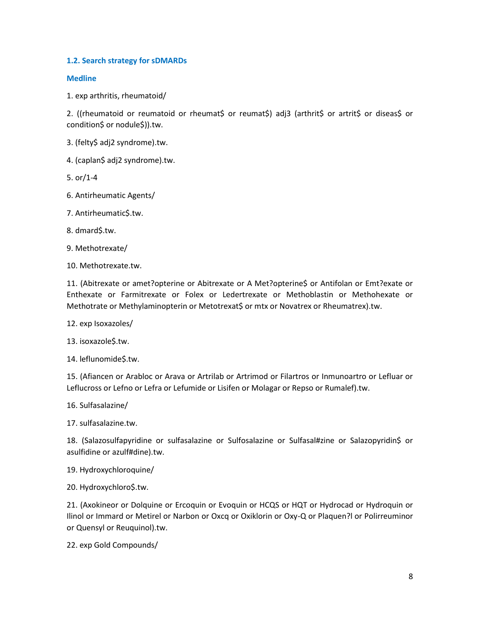## **1.2. Search strategy for sDMARDs**

#### **Medline**

1. exp arthritis, rheumatoid/

2. ((rheumatoid or reumatoid or rheumat\$ or reumat\$) adj3 (arthrit\$ or artrit\$ or diseas\$ or condition\$ or nodule\$)).tw.

3. (felty\$ adj2 syndrome).tw.

4. (caplan\$ adj2 syndrome).tw.

5. or/1-4

6. Antirheumatic Agents/

7. Antirheumatic\$.tw.

8. dmard\$.tw.

9. Methotrexate/

10. Methotrexate.tw.

11. (Abitrexate or amet?opterine or Abitrexate or A Met?opterine\$ or Antifolan or Emt?exate or Enthexate or Farmitrexate or Folex or Ledertrexate or Methoblastin or Methohexate or Methotrate or Methylaminopterin or Metotrexat\$ or mtx or Novatrex or Rheumatrex).tw.

12. exp Isoxazoles/

13. isoxazole\$.tw.

14. leflunomide\$.tw.

15. (Afiancen or Arabloc or Arava or Artrilab or Artrimod or Filartros or Inmunoartro or Lefluar or Leflucross or Lefno or Lefra or Lefumide or Lisifen or Molagar or Repso or Rumalef).tw.

16. Sulfasalazine/

17. sulfasalazine.tw.

18. (Salazosulfapyridine or sulfasalazine or Sulfosalazine or Sulfasal#zine or Salazopyridin\$ or asulfidine or azulf#dine).tw.

19. Hydroxychloroquine/

20. Hydroxychloro\$.tw.

21. (Axokineor or Dolquine or Ercoquin or Evoquin or HCQS or HQT or Hydrocad or Hydroquin or Ilinol or Immard or Metirel or Narbon or Oxcq or Oxiklorin or Oxy-Q or Plaquen?l or Polirreuminor or Quensyl or Reuquinol).tw.

22. exp Gold Compounds/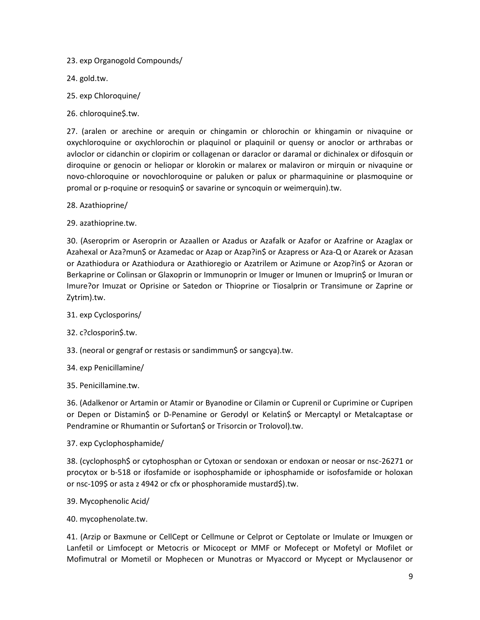23. exp Organogold Compounds/

24. gold.tw.

- 25. exp Chloroquine/
- 26. chloroquine\$.tw.

27. (aralen or arechine or arequin or chingamin or chlorochin or khingamin or nivaquine or oxychloroquine or oxychlorochin or plaquinol or plaquinil or quensy or anoclor or arthrabas or avloclor or cidanchin or clopirim or collagenan or daraclor or daramal or dichinalex or difosquin or diroquine or genocin or heliopar or klorokin or malarex or malaviron or mirquin or nivaquine or novo-chloroquine or novochloroquine or paluken or palux or pharmaquinine or plasmoquine or promal or p-roquine or resoquin\$ or savarine or syncoquin or weimerquin).tw.

- 28. Azathioprine/
- 29. azathioprine.tw.

30. (Aseroprim or Aseroprin or Azaallen or Azadus or Azafalk or Azafor or Azafrine or Azaglax or Azahexal or Aza?mun\$ or Azamedac or Azap or Azap?in\$ or Azapress or Aza-Q or Azarek or Azasan or Azathiodura or Azathiodura or Azathioregio or Azatrilem or Azimune or Azop?in\$ or Azoran or Berkaprine or Colinsan or Glaxoprin or Immunoprin or Imuger or Imunen or Imuprin\$ or Imuran or Imure?or Imuzat or Oprisine or Satedon or Thioprine or Tiosalprin or Transimune or Zaprine or Zytrim).tw.

- 31. exp Cyclosporins/
- 32. c?closporin\$.tw.
- 33. (neoral or gengraf or restasis or sandimmun\$ or sangcya).tw.
- 34. exp Penicillamine/

35. Penicillamine.tw.

36. (Adalkenor or Artamin or Atamir or Byanodine or Cilamin or Cuprenil or Cuprimine or Cupripen or Depen or Distamin\$ or D-Penamine or Gerodyl or Kelatin\$ or Mercaptyl or Metalcaptase or Pendramine or Rhumantin or Sufortan\$ or Trisorcin or Trolovol).tw.

37. exp Cyclophosphamide/

38. (cyclophosph\$ or cytophosphan or Cytoxan or sendoxan or endoxan or neosar or nsc-26271 or procytox or b-518 or ifosfamide or isophosphamide or iphosphamide or isofosfamide or holoxan or nsc-109\$ or asta z 4942 or cfx or phosphoramide mustard\$).tw.

- 39. Mycophenolic Acid/
- 40. mycophenolate.tw.

41. (Arzip or Baxmune or CellCept or Cellmune or Celprot or Ceptolate or Imulate or Imuxgen or Lanfetil or Limfocept or Metocris or Micocept or MMF or Mofecept or Mofetyl or Mofilet or Mofimutral or Mometil or Mophecen or Munotras or Myaccord or Mycept or Myclausenor or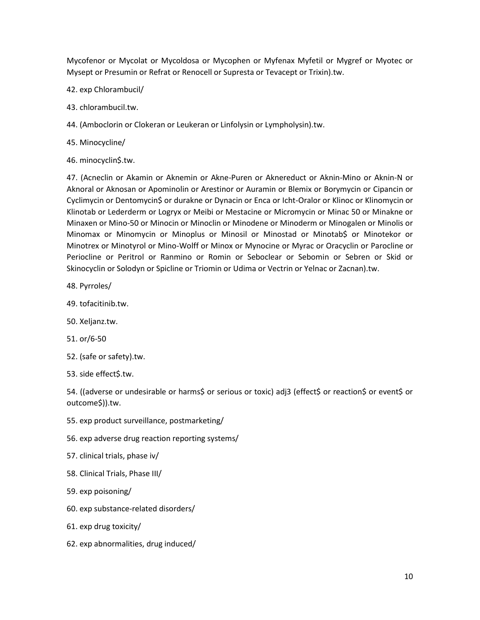Mycofenor or Mycolat or Mycoldosa or Mycophen or Myfenax Myfetil or Mygref or Myotec or Mysept or Presumin or Refrat or Renocell or Supresta or Tevacept or Trixin).tw.

- 42. exp Chlorambucil/
- 43. chlorambucil.tw.
- 44. (Amboclorin or Clokeran or Leukeran or Linfolysin or Lympholysin).tw.
- 45. Minocycline/
- 46. minocyclin\$.tw.

47. (Acneclin or Akamin or Aknemin or Akne-Puren or Aknereduct or Aknin-Mino or Aknin-N or Aknoral or Aknosan or Apominolin or Arestinor or Auramin or Blemix or Borymycin or Cipancin or Cyclimycin or Dentomycin\$ or durakne or Dynacin or Enca or Icht-Oralor or Klinoc or Klinomycin or Klinotab or Lederderm or Logryx or Meibi or Mestacine or Micromycin or Minac 50 or Minakne or Minaxen or Mino-50 or Minocin or Minoclin or Minodene or Minoderm or Minogalen or Minolis or Minomax or Minomycin or Minoplus or Minosil or Minostad or Minotab\$ or Minotekor or Minotrex or Minotyrol or Mino-Wolff or Minox or Mynocine or Myrac or Oracyclin or Parocline or Periocline or Peritrol or Ranmino or Romin or Seboclear or Sebomin or Sebren or Skid or Skinocyclin or Solodyn or Spicline or Triomin or Udima or Vectrin or Yelnac or Zacnan).tw.

- 48. Pyrroles/
- 49. tofacitinib.tw.
- 50. Xeljanz.tw.
- 51. or/6-50
- 52. (safe or safety).tw.
- 53. side effect\$.tw.

54. ((adverse or undesirable or harms\$ or serious or toxic) adj3 (effect\$ or reaction\$ or event\$ or outcome\$)).tw.

- 55. exp product surveillance, postmarketing/
- 56. exp adverse drug reaction reporting systems/
- 57. clinical trials, phase iv/
- 58. Clinical Trials, Phase III/
- 59. exp poisoning/
- 60. exp substance-related disorders/
- 61. exp drug toxicity/
- 62. exp abnormalities, drug induced/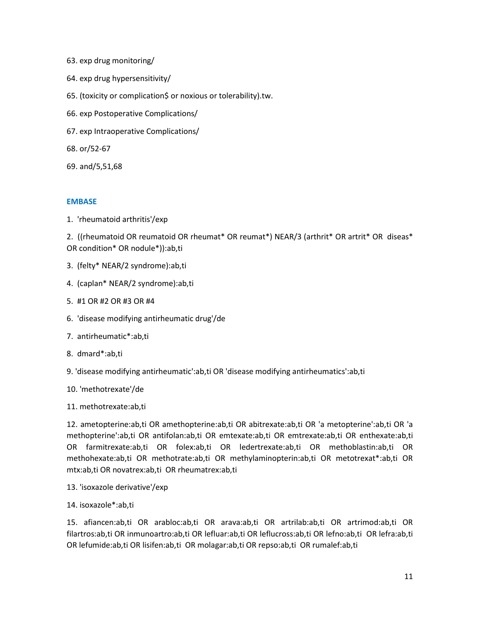- 63. exp drug monitoring/
- 64. exp drug hypersensitivity/
- 65. (toxicity or complication\$ or noxious or tolerability).tw.
- 66. exp Postoperative Complications/
- 67. exp Intraoperative Complications/
- 68. or/52-67
- 69. and/5,51,68

### **EMBASE**

1. 'rheumatoid arthritis'/exp

2. ((rheumatoid OR reumatoid OR rheumat\* OR reumat\*) NEAR/3 (arthrit\* OR artrit\* OR diseas\* OR condition\* OR nodule\*)):ab,ti

- 3. (felty\* NEAR/2 syndrome):ab,ti
- 4. (caplan\* NEAR/2 syndrome):ab,ti
- 5. #1 OR #2 OR #3 OR #4
- 6. 'disease modifying antirheumatic drug'/de
- 7. antirheumatic\*:ab,ti
- 8. dmard\*:ab,ti
- 9. 'disease modifying antirheumatic':ab,ti OR 'disease modifying antirheumatics':ab,ti
- 10. 'methotrexate'/de
- 11. methotrexate:ab,ti

12. ametopterine:ab,ti OR amethopterine:ab,ti OR abitrexate:ab,ti OR 'a metopterine':ab,ti OR 'a methopterine':ab,ti OR antifolan:ab,ti OR emtexate:ab,ti OR emtrexate:ab,ti OR enthexate:ab,ti OR farmitrexate:ab,ti OR folex:ab,ti OR ledertrexate:ab,ti OR methoblastin:ab,ti OR methohexate:ab,ti OR methotrate:ab,ti OR methylaminopterin:ab,ti OR metotrexat\*:ab,ti OR mtx:ab,ti OR novatrex:ab,ti OR rheumatrex:ab,ti

- 13. 'isoxazole derivative'/exp
- 14. isoxazole\*:ab,ti

15. afiancen:ab,ti OR arabloc:ab,ti OR arava:ab,ti OR artrilab:ab,ti OR artrimod:ab,ti OR filartros:ab,ti OR inmunoartro:ab,ti OR lefluar:ab,ti OR leflucross:ab,ti OR lefno:ab,ti OR lefra:ab,ti OR lefumide:ab,ti OR lisifen:ab,ti OR molagar:ab,ti OR repso:ab,ti OR rumalef:ab,ti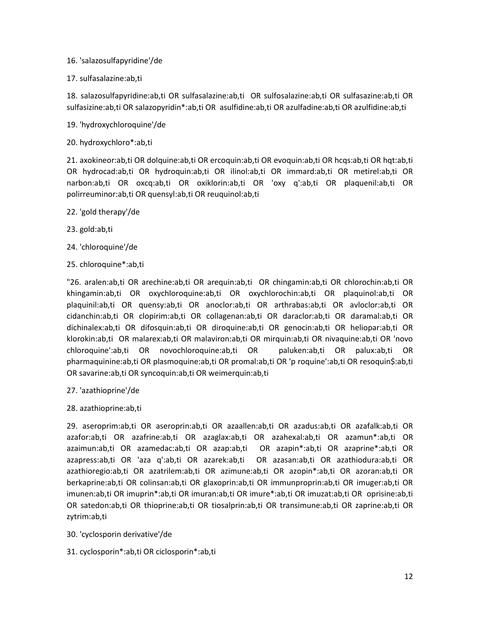## 16. 'salazosulfapyridine'/de

## 17. sulfasalazine:ab,ti

18. salazosulfapyridine:ab,ti OR sulfasalazine:ab,ti OR sulfosalazine:ab,ti OR sulfasazine:ab,ti OR sulfasizine:ab,ti OR salazopyridin\*:ab,ti OR asulfidine:ab,ti OR azulfadine:ab,ti OR azulfidine:ab,ti

- 19. 'hydroxychloroquine'/de
- 20. hydroxychloro\*:ab,ti

21. axokineor:ab,ti OR dolquine:ab,ti OR ercoquin:ab,ti OR evoquin:ab,ti OR hcqs:ab,ti OR hqt:ab,ti OR hydrocad:ab,ti OR hydroquin:ab,ti OR ilinol:ab,ti OR immard:ab,ti OR metirel:ab,ti OR narbon:ab,ti OR oxcq:ab,ti OR oxiklorin:ab,ti OR 'oxy q':ab,ti OR plaquenil:ab,ti OR polirreuminor:ab,ti OR quensyl:ab,ti OR reuquinol:ab,ti

- 22. 'gold therapy'/de
- 23. gold:ab,ti
- 24. 'chloroquine'/de
- 25. chloroquine\*:ab,ti

"26. aralen:ab,ti OR arechine:ab,ti OR arequin:ab,ti OR chingamin:ab,ti OR chlorochin:ab,ti OR khingamin:ab,ti OR oxychloroquine:ab,ti OR oxychlorochin:ab,ti OR plaquinol:ab,ti OR plaquinil:ab,ti OR quensy:ab,ti OR anoclor:ab,ti OR arthrabas:ab,ti OR avloclor:ab,ti OR cidanchin:ab,ti OR clopirim:ab,ti OR collagenan:ab,ti OR daraclor:ab,ti OR daramal:ab,ti OR dichinalex:ab,ti OR difosquin:ab,ti OR diroquine:ab,ti OR genocin:ab,ti OR heliopar:ab,ti OR klorokin:ab,ti OR malarex:ab,ti OR malaviron:ab,ti OR mirquin:ab,ti OR nivaquine:ab,ti OR 'novo chloroquine':ab,ti OR novochloroquine:ab,ti OR paluken:ab,ti OR palux:ab,ti OR pharmaquinine:ab,ti OR plasmoquine:ab,ti OR promal:ab,ti OR 'p roquine':ab,ti OR resoquin\$:ab,ti OR savarine:ab,ti OR syncoquin:ab,ti OR weimerquin:ab,ti

- 27. 'azathioprine'/de
- 28. azathioprine:ab,ti

29. aseroprim:ab,ti OR aseroprin:ab,ti OR azaallen:ab,ti OR azadus:ab,ti OR azafalk:ab,ti OR azafor:ab,ti OR azafrine:ab,ti OR azaglax:ab,ti OR azahexal:ab,ti OR azamun\*:ab,ti OR azaimun:ab,ti OR azamedac:ab,ti OR azap:ab,ti OR azapin\*:ab,ti OR azaprine\*:ab,ti OR azapress:ab,ti OR 'aza q':ab,ti OR azarek:ab,ti OR azasan:ab,ti OR azathiodura:ab,ti OR azathioregio:ab,ti OR azatrilem:ab,ti OR azimune:ab,ti OR azopin\*:ab,ti OR azoran:ab,ti OR berkaprine:ab,ti OR colinsan:ab,ti OR glaxoprin:ab,ti OR immunproprin:ab,ti OR imuger:ab,ti OR imunen:ab,ti OR imuprin\*:ab,ti OR imuran:ab,ti OR imure\*:ab,ti OR imuzat:ab,ti OR oprisine:ab,ti OR satedon:ab,ti OR thioprine:ab,ti OR tiosalprin:ab,ti OR transimune:ab,ti OR zaprine:ab,ti OR zytrim:ab,ti

- 30. 'cyclosporin derivative'/de
- 31. cyclosporin\*:ab,ti OR ciclosporin\*:ab,ti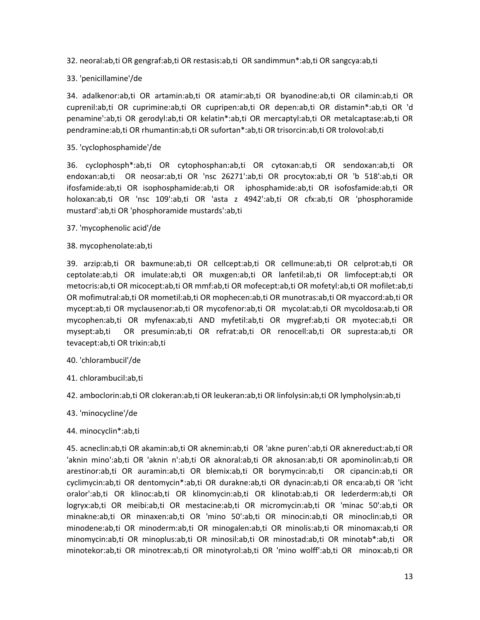- 32. neoral:ab,ti OR gengraf:ab,ti OR restasis:ab,ti OR sandimmun\*:ab,ti OR sangcya:ab,ti
- 33. 'penicillamine'/de

34. adalkenor:ab,ti OR artamin:ab,ti OR atamir:ab,ti OR byanodine:ab,ti OR cilamin:ab,ti OR cuprenil:ab,ti OR cuprimine:ab,ti OR cupripen:ab,ti OR depen:ab,ti OR distamin\*:ab,ti OR 'd penamine':ab,ti OR gerodyl:ab,ti OR kelatin\*:ab,ti OR mercaptyl:ab,ti OR metalcaptase:ab,ti OR pendramine:ab,ti OR rhumantin:ab,ti OR sufortan\*:ab,ti OR trisorcin:ab,ti OR trolovol:ab,ti

35. 'cyclophosphamide'/de

36. cyclophosph\*:ab,ti OR cytophosphan:ab,ti OR cytoxan:ab,ti OR sendoxan:ab,ti OR endoxan:ab,ti OR neosar:ab,ti OR 'nsc 26271':ab,ti OR procytox:ab,ti OR 'b 518':ab,ti OR ifosfamide:ab,ti OR isophosphamide:ab,ti OR iphosphamide:ab,ti OR isofosfamide:ab,ti OR holoxan:ab,ti OR 'nsc 109':ab,ti OR 'asta z 4942':ab,ti OR cfx:ab,ti OR 'phosphoramide mustard':ab,ti OR 'phosphoramide mustards':ab,ti

- 37. 'mycophenolic acid'/de
- 38. mycophenolate:ab,ti

39. arzip:ab,ti OR baxmune:ab,ti OR cellcept:ab,ti OR cellmune:ab,ti OR celprot:ab,ti OR ceptolate:ab,ti OR imulate:ab,ti OR muxgen:ab,ti OR lanfetil:ab,ti OR limfocept:ab,ti OR metocris:ab,ti OR micocept:ab,ti OR mmf:ab,ti OR mofecept:ab,ti OR mofetyl:ab,ti OR mofilet:ab,ti OR mofimutral:ab,ti OR mometil:ab,ti OR mophecen:ab,ti OR munotras:ab,ti OR myaccord:ab,ti OR mycept:ab,ti OR myclausenor:ab,ti OR mycofenor:ab,ti OR mycolat:ab,ti OR mycoldosa:ab,ti OR mycophen:ab,ti OR myfenax:ab,ti AND myfetil:ab,ti OR mygref:ab,ti OR myotec:ab,ti OR mysept:ab,ti OR presumin:ab,ti OR refrat:ab,ti OR renocell:ab,ti OR supresta:ab,ti OR tevacept:ab,ti OR trixin:ab,ti

- 40. 'chlorambucil'/de
- 41. chlorambucil:ab,ti
- 42. amboclorin:ab,ti OR clokeran:ab,ti OR leukeran:ab,ti OR linfolysin:ab,ti OR lympholysin:ab,ti
- 43. 'minocycline'/de
- 44. minocyclin\*:ab,ti

45. acneclin:ab,ti OR akamin:ab,ti OR aknemin:ab,ti OR 'akne puren':ab,ti OR aknereduct:ab,ti OR 'aknin mino':ab,ti OR 'aknin n':ab,ti OR aknoral:ab,ti OR aknosan:ab,ti OR apominolin:ab,ti OR arestinor:ab,ti OR auramin:ab,ti OR blemix:ab,ti OR borymycin:ab,ti OR cipancin:ab,ti OR cyclimycin:ab,ti OR dentomycin\*:ab,ti OR durakne:ab,ti OR dynacin:ab,ti OR enca:ab,ti OR 'icht oralor':ab,ti OR klinoc:ab,ti OR klinomycin:ab,ti OR klinotab:ab,ti OR lederderm:ab,ti OR logryx:ab,ti OR meibi:ab,ti OR mestacine:ab,ti OR micromycin:ab,ti OR 'minac 50':ab,ti OR minakne:ab,ti OR minaxen:ab,ti OR 'mino 50':ab,ti OR minocin:ab,ti OR minoclin:ab,ti OR minodene:ab,ti OR minoderm:ab,ti OR minogalen:ab,ti OR minolis:ab,ti OR minomax:ab,ti OR minomycin:ab,ti OR minoplus:ab,ti OR minosil:ab,ti OR minostad:ab,ti OR minotab\*:ab,ti OR minotekor:ab,ti OR minotrex:ab,ti OR minotyrol:ab,ti OR 'mino wolff':ab,ti OR minox:ab,ti OR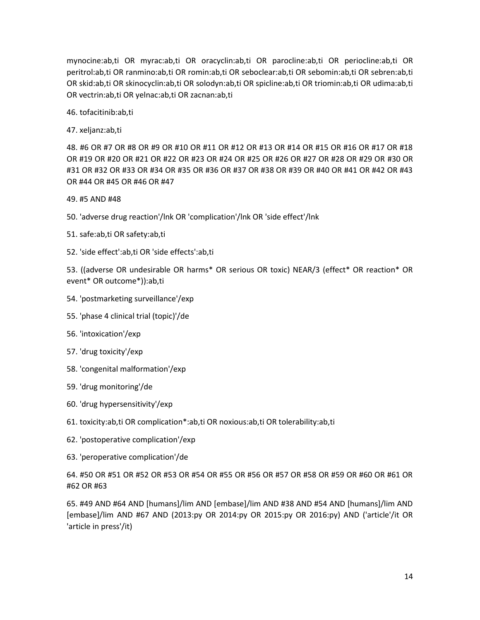mynocine:ab,ti OR myrac:ab,ti OR oracyclin:ab,ti OR parocline:ab,ti OR periocline:ab,ti OR peritrol:ab,ti OR ranmino:ab,ti OR romin:ab,ti OR seboclear:ab,ti OR sebomin:ab,ti OR sebren:ab,ti OR skid:ab,ti OR skinocyclin:ab,ti OR solodyn:ab,ti OR spicline:ab,ti OR triomin:ab,ti OR udima:ab,ti OR vectrin:ab,ti OR yelnac:ab,ti OR zacnan:ab,ti

46. tofacitinib:ab,ti

47. xeljanz:ab,ti

48. #6 OR #7 OR #8 OR #9 OR #10 OR #11 OR #12 OR #13 OR #14 OR #15 OR #16 OR #17 OR #18 OR #19 OR #20 OR #21 OR #22 OR #23 OR #24 OR #25 OR #26 OR #27 OR #28 OR #29 OR #30 OR #31 OR #32 OR #33 OR #34 OR #35 OR #36 OR #37 OR #38 OR #39 OR #40 OR #41 OR #42 OR #43 OR #44 OR #45 OR #46 OR #47

49. #5 AND #48

- 50. 'adverse drug reaction'/lnk OR 'complication'/lnk OR 'side effect'/lnk
- 51. safe:ab,ti OR safety:ab,ti
- 52. 'side effect':ab,ti OR 'side effects':ab,ti

53. ((adverse OR undesirable OR harms\* OR serious OR toxic) NEAR/3 (effect\* OR reaction\* OR event\* OR outcome\*)):ab,ti

- 54. 'postmarketing surveillance'/exp
- 55. 'phase 4 clinical trial (topic)'/de
- 56. 'intoxication'/exp
- 57. 'drug toxicity'/exp
- 58. 'congenital malformation'/exp
- 59. 'drug monitoring'/de
- 60. 'drug hypersensitivity'/exp
- 61. toxicity:ab,ti OR complication\*:ab,ti OR noxious:ab,ti OR tolerability:ab,ti
- 62. 'postoperative complication'/exp
- 63. 'peroperative complication'/de

64. #50 OR #51 OR #52 OR #53 OR #54 OR #55 OR #56 OR #57 OR #58 OR #59 OR #60 OR #61 OR #62 OR #63

65. #49 AND #64 AND [humans]/lim AND [embase]/lim AND #38 AND #54 AND [humans]/lim AND [embase]/lim AND #67 AND (2013:py OR 2014:py OR 2015:py OR 2016:py) AND ('article'/it OR 'article in press'/it)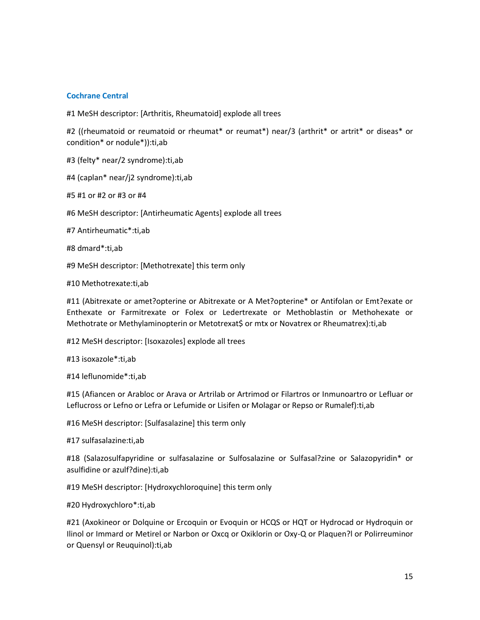### **Cochrane Central**

#1 MeSH descriptor: [Arthritis, Rheumatoid] explode all trees

#2 ((rheumatoid or reumatoid or rheumat\* or reumat\*) near/3 (arthrit\* or artrit\* or diseas\* or condition\* or nodule\*)):ti,ab

#3 (felty\* near/2 syndrome):ti,ab

#4 (caplan\* near/j2 syndrome):ti,ab

#5 #1 or #2 or #3 or #4

#6 MeSH descriptor: [Antirheumatic Agents] explode all trees

#7 Antirheumatic\*:ti,ab

#8 dmard\*:ti,ab

#9 MeSH descriptor: [Methotrexate] this term only

#10 Methotrexate:ti,ab

#11 (Abitrexate or amet?opterine or Abitrexate or A Met?opterine\* or Antifolan or Emt?exate or Enthexate or Farmitrexate or Folex or Ledertrexate or Methoblastin or Methohexate or Methotrate or Methylaminopterin or Metotrexat\$ or mtx or Novatrex or Rheumatrex):ti,ab

#12 MeSH descriptor: [Isoxazoles] explode all trees

#13 isoxazole\*:ti,ab

#14 leflunomide\*:ti,ab

#15 (Afiancen or Arabloc or Arava or Artrilab or Artrimod or Filartros or Inmunoartro or Lefluar or Leflucross or Lefno or Lefra or Lefumide or Lisifen or Molagar or Repso or Rumalef):ti,ab

#16 MeSH descriptor: [Sulfasalazine] this term only

#17 sulfasalazine:ti,ab

#18 (Salazosulfapyridine or sulfasalazine or Sulfosalazine or Sulfasal?zine or Salazopyridin\* or asulfidine or azulf?dine):ti,ab

#19 MeSH descriptor: [Hydroxychloroquine] this term only

#20 Hydroxychloro\*:ti,ab

#21 (Axokineor or Dolquine or Ercoquin or Evoquin or HCQS or HQT or Hydrocad or Hydroquin or Ilinol or Immard or Metirel or Narbon or Oxcq or Oxiklorin or Oxy-Q or Plaquen?l or Polirreuminor or Quensyl or Reuquinol):ti,ab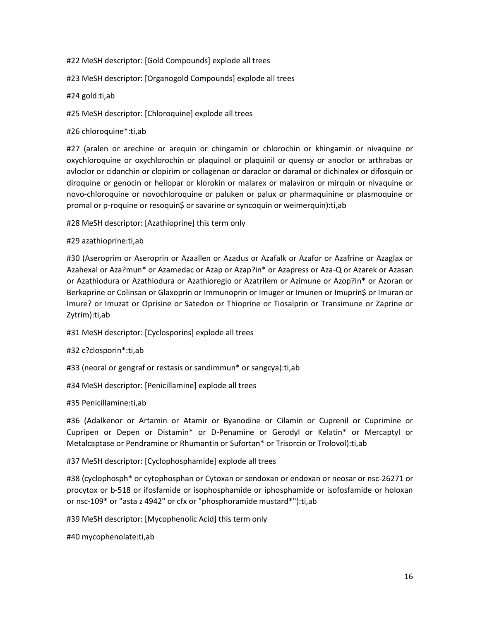### #22 MeSH descriptor: [Gold Compounds] explode all trees

## #23 MeSH descriptor: [Organogold Compounds] explode all trees

### #24 gold:ti,ab

#25 MeSH descriptor: [Chloroquine] explode all trees

## #26 chloroquine\*:ti,ab

#27 (aralen or arechine or arequin or chingamin or chlorochin or khingamin or nivaquine or oxychloroquine or oxychlorochin or plaquinol or plaquinil or quensy or anoclor or arthrabas or avloclor or cidanchin or clopirim or collagenan or daraclor or daramal or dichinalex or difosquin or diroquine or genocin or heliopar or klorokin or malarex or malaviron or mirquin or nivaquine or novo-chloroquine or novochloroquine or paluken or palux or pharmaquinine or plasmoquine or promal or p-roquine or resoquin\$ or savarine or syncoquin or weimerquin):ti,ab

#28 MeSH descriptor: [Azathioprine] this term only

## #29 azathioprine:ti,ab

#30 (Aseroprim or Aseroprin or Azaallen or Azadus or Azafalk or Azafor or Azafrine or Azaglax or Azahexal or Aza?mun\* or Azamedac or Azap or Azap?in\* or Azapress or Aza-Q or Azarek or Azasan or Azathiodura or Azathiodura or Azathioregio or Azatrilem or Azimune or Azop?in\* or Azoran or Berkaprine or Colinsan or Glaxoprin or Immunoprin or Imuger or Imunen or Imuprin\$ or Imuran or Imure? or Imuzat or Oprisine or Satedon or Thioprine or Tiosalprin or Transimune or Zaprine or Zytrim):ti,ab

#31 MeSH descriptor: [Cyclosporins] explode all trees

#32 c?closporin\*:ti,ab

- #33 (neoral or gengraf or restasis or sandimmun\* or sangcya):ti,ab
- #34 MeSH descriptor: [Penicillamine] explode all trees

## #35 Penicillamine:ti,ab

#36 (Adalkenor or Artamin or Atamir or Byanodine or Cilamin or Cuprenil or Cuprimine or Cupripen or Depen or Distamin\* or D-Penamine or Gerodyl or Kelatin\* or Mercaptyl or Metalcaptase or Pendramine or Rhumantin or Sufortan\* or Trisorcin or Trolovol):ti,ab

## #37 MeSH descriptor: [Cyclophosphamide] explode all trees

#38 (cyclophosph\* or cytophosphan or Cytoxan or sendoxan or endoxan or neosar or nsc-26271 or procytox or b-518 or ifosfamide or isophosphamide or iphosphamide or isofosfamide or holoxan or nsc-109\* or "asta z 4942" or cfx or "phosphoramide mustard\*"):ti,ab

#39 MeSH descriptor: [Mycophenolic Acid] this term only

#40 mycophenolate:ti,ab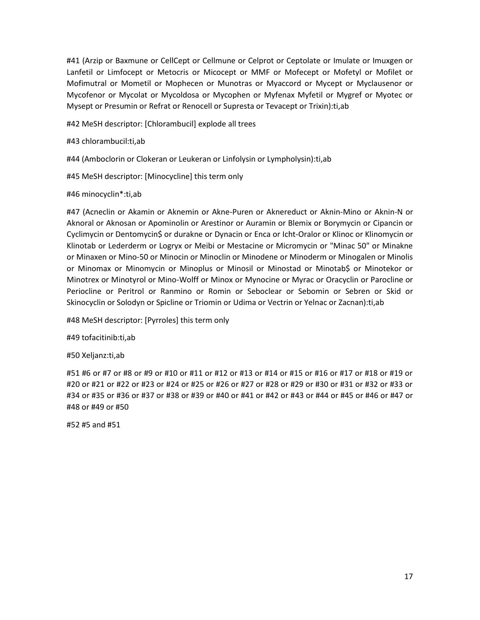#41 (Arzip or Baxmune or CellCept or Cellmune or Celprot or Ceptolate or Imulate or Imuxgen or Lanfetil or Limfocept or Metocris or Micocept or MMF or Mofecept or Mofetyl or Mofilet or Mofimutral or Mometil or Mophecen or Munotras or Myaccord or Mycept or Myclausenor or Mycofenor or Mycolat or Mycoldosa or Mycophen or Myfenax Myfetil or Mygref or Myotec or Mysept or Presumin or Refrat or Renocell or Supresta or Tevacept or Trixin):ti,ab

- #42 MeSH descriptor: [Chlorambucil] explode all trees
- #43 chlorambucil:ti,ab
- #44 (Amboclorin or Clokeran or Leukeran or Linfolysin or Lympholysin):ti,ab
- #45 MeSH descriptor: [Minocycline] this term only

## #46 minocyclin\*:ti,ab

#47 (Acneclin or Akamin or Aknemin or Akne-Puren or Aknereduct or Aknin-Mino or Aknin-N or Aknoral or Aknosan or Apominolin or Arestinor or Auramin or Blemix or Borymycin or Cipancin or Cyclimycin or Dentomycin\$ or durakne or Dynacin or Enca or Icht-Oralor or Klinoc or Klinomycin or Klinotab or Lederderm or Logryx or Meibi or Mestacine or Micromycin or "Minac 50" or Minakne or Minaxen or Mino-50 or Minocin or Minoclin or Minodene or Minoderm or Minogalen or Minolis or Minomax or Minomycin or Minoplus or Minosil or Minostad or Minotab\$ or Minotekor or Minotrex or Minotyrol or Mino-Wolff or Minox or Mynocine or Myrac or Oracyclin or Parocline or Periocline or Peritrol or Ranmino or Romin or Seboclear or Sebomin or Sebren or Skid or Skinocyclin or Solodyn or Spicline or Triomin or Udima or Vectrin or Yelnac or Zacnan):ti,ab

#48 MeSH descriptor: [Pyrroles] this term only

#49 tofacitinib:ti,ab

#50 Xeljanz:ti,ab

#51 #6 or #7 or #8 or #9 or #10 or #11 or #12 or #13 or #14 or #15 or #16 or #17 or #18 or #19 or #20 or #21 or #22 or #23 or #24 or #25 or #26 or #27 or #28 or #29 or #30 or #31 or #32 or #33 or #34 or #35 or #36 or #37 or #38 or #39 or #40 or #41 or #42 or #43 or #44 or #45 or #46 or #47 or #48 or #49 or #50

#52 #5 and #51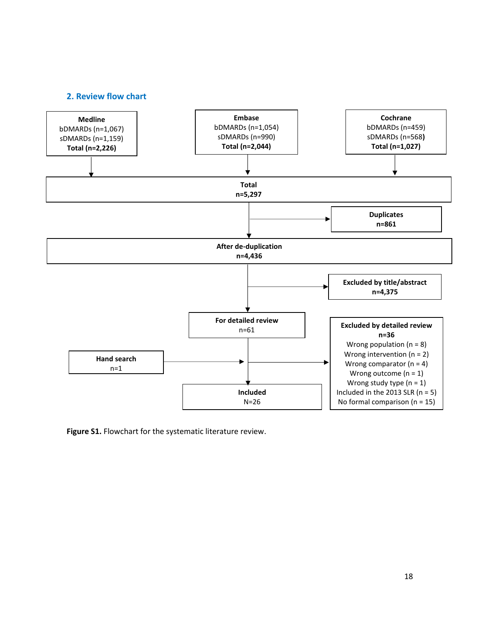### **2. Review flow chart**



**Figure S1.** Flowchart for the systematic literature review.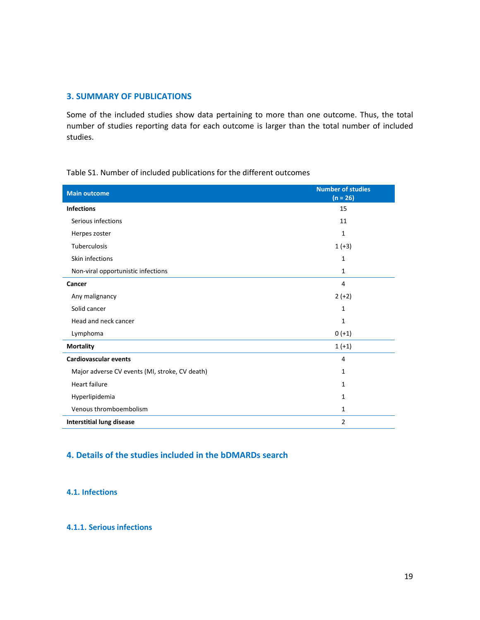### **3. SUMMARY OF PUBLICATIONS**

Some of the included studies show data pertaining to more than one outcome. Thus, the total number of studies reporting data for each outcome is larger than the total number of included studies.

| <b>Main outcome</b>                            | <b>Number of studies</b><br>$(n = 26)$ |
|------------------------------------------------|----------------------------------------|
| <b>Infections</b>                              | 15                                     |
| Serious infections                             | 11                                     |
| Herpes zoster                                  | 1                                      |
| Tuberculosis                                   | $1 (+3)$                               |
| Skin infections                                | 1                                      |
| Non-viral opportunistic infections             | $\mathbf{1}$                           |
| Cancer                                         | 4                                      |
| Any malignancy                                 | $2 (+2)$                               |
| Solid cancer                                   | 1                                      |
| Head and neck cancer                           | 1                                      |
| Lymphoma                                       | $0 (+1)$                               |
| <b>Mortality</b>                               | $1 (+1)$                               |
| <b>Cardiovascular events</b>                   | 4                                      |
| Major adverse CV events (MI, stroke, CV death) | 1                                      |
| <b>Heart failure</b>                           | $\mathbf{1}$                           |
| Hyperlipidemia                                 | $\mathbf{1}$                           |
| Venous thromboembolism                         | 1                                      |
| <b>Interstitial lung disease</b>               | 2                                      |

Table S1. Number of included publications for the different outcomes

## **4. Details of the studies included in the bDMARDs search**

### **4.1. Infections**

#### **4.1.1. Serious infections**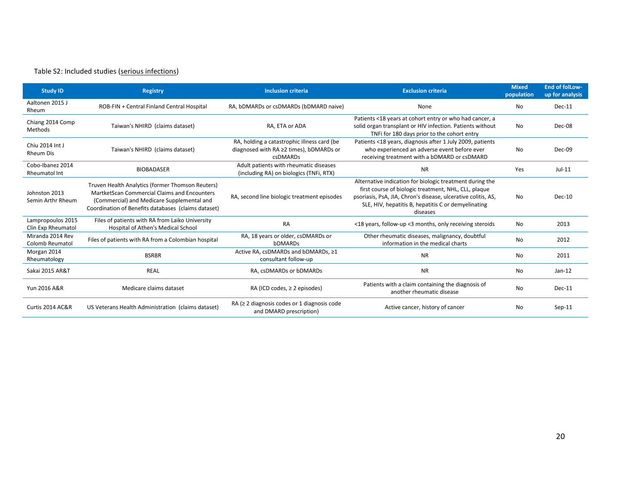## Table S2: Included studies (serious infections)

| <b>Study ID</b>                            | <b>Registry</b>                                                                                                                                                                                       | <b>Inclusion criteria</b>                                                                                 | <b>Exclusion criteria</b>                                                                                                                                                                                                                            | <b>Mixed</b><br>population | <b>End of folLow-</b><br>up for analysis |
|--------------------------------------------|-------------------------------------------------------------------------------------------------------------------------------------------------------------------------------------------------------|-----------------------------------------------------------------------------------------------------------|------------------------------------------------------------------------------------------------------------------------------------------------------------------------------------------------------------------------------------------------------|----------------------------|------------------------------------------|
| Aaltonen 2015 J<br>Rheum                   | ROB-FIN + Central Finland Central Hospital                                                                                                                                                            | RA, bDMARDs or csDMARDs (bDMARD naive)                                                                    | None                                                                                                                                                                                                                                                 | No                         | $Dec-11$                                 |
| Chiang 2014 Comp<br>Methods                | Taiwan's NHIRD (claims dataset)                                                                                                                                                                       | RA, ETA or ADA                                                                                            | Patients <18 years at cohort entry or who had cancer, a<br>solid organ transplant or HIV infection. Patients without<br>TNFi for 180 days prior to the cohort entry                                                                                  | No                         | Dec-08                                   |
| Chiu 2014 Int J<br><b>Rheum Dis</b>        | Taiwan's NHIRD (claims dataset)                                                                                                                                                                       | RA, holding a catastrophic illness card (be<br>diagnosed with RA ≥2 times), bDMARDs or<br><b>CSDMARDS</b> | Patients <18 years, diagnosis after 1 July 2009, patients<br>who experienced an adverse event before ever<br>receiving treatment with a bDMARD or csDMARD                                                                                            | No                         | Dec-09                                   |
| Cobo-Ibanez 2014<br>Rheumatol Int          | <b>BIOBADASER</b>                                                                                                                                                                                     | Adult patients with rheumatic diseases<br>(including RA) on biologics (TNFi, RTX)                         | <b>NR</b>                                                                                                                                                                                                                                            | Yes                        | $Jul-11$                                 |
| Johnston 2013<br>Semin Arthr Rheum         | Truven Health Analytics (former Thomson Reuters)<br>MartketScan Commercial Claims and Encounters<br>(Commercial) and Medicare Supplemental and<br>Coordination of Benefits databases (claims dataset) | RA, second line biologic treatment episodes                                                               | Alternative indication for biologic treatment during the<br>first course of biologic treatment, NHL, CLL, plaque<br>psoriasis, PsA, JIA, Chron's disease, ulcerative colitis, AS,<br>SLE, HIV, hepatitis B, hepatitis C or demyelinating<br>diseases | <b>No</b>                  | $Dec-10$                                 |
| Lampropoulos 2015<br>Clin Exp Rheumatol    | Files of patients with RA from Laiko University<br>Hospital of Athen's Medical School                                                                                                                 | <b>RA</b>                                                                                                 | <18 years, follow-up <3 months, only receiving steroids                                                                                                                                                                                              | No                         | 2013                                     |
| Miranda 2014 Rev<br><b>Colomb Reumatol</b> | Files of patients with RA from a Colombian hospital                                                                                                                                                   | RA, 18 years or older, csDMARDs or<br><b>bDMARDs</b>                                                      | Other rheumatic diseases, malignancy, doubtful<br>information in the medical charts                                                                                                                                                                  | No                         | 2012                                     |
| Morgan 2014<br>Rheumatology                | <b>BSRBR</b>                                                                                                                                                                                          | Active RA, csDMARDs and bDMARDs, ≥1<br>consultant follow-up                                               | <b>NR</b>                                                                                                                                                                                                                                            | No                         | 2011                                     |
| Sakai 2015 AR&T                            | <b>REAL</b>                                                                                                                                                                                           | RA, csDMARDs or bDMARDs                                                                                   | <b>NR</b>                                                                                                                                                                                                                                            | No                         | $Jan-12$                                 |
| Yun 2016 A&R                               | Medicare claims dataset                                                                                                                                                                               | RA (ICD codes, $\geq$ 2 episodes)                                                                         | Patients with a claim containing the diagnosis of<br>another rheumatic disease                                                                                                                                                                       | No                         | $Dec-11$                                 |
| Curtis 2014 AC&R                           | US Veterans Health Administration (claims dataset)                                                                                                                                                    | RA ( $\geq$ 2 diagnosis codes or 1 diagnosis code<br>and DMARD prescription)                              | Active cancer, history of cancer                                                                                                                                                                                                                     | No                         | $Sep-11$                                 |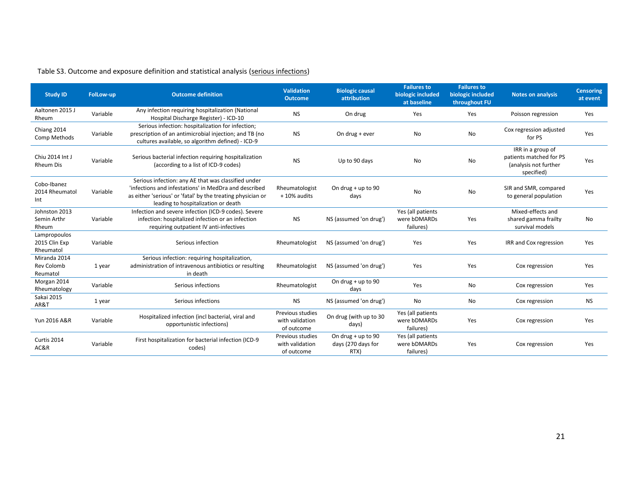| <b>Study ID</b>                               | <b>FolLow-up</b> | <b>Outcome definition</b>                                                                                                                                                                                          | <b>Validation</b><br><b>Outcome</b>               | <b>Biologic causal</b><br>attribution              | <b>Failures to</b><br>biologic included<br>at baseline | <b>Failures to</b><br>biologic included<br>throughout FU | <b>Notes on analysis</b>                                                            | <b>Censoring</b><br>at event |
|-----------------------------------------------|------------------|--------------------------------------------------------------------------------------------------------------------------------------------------------------------------------------------------------------------|---------------------------------------------------|----------------------------------------------------|--------------------------------------------------------|----------------------------------------------------------|-------------------------------------------------------------------------------------|------------------------------|
| Aaltonen 2015 J<br>Rheum                      | Variable         | Any infection requiring hospitalization (National<br>Hospital Discharge Register) - ICD-10                                                                                                                         | <b>NS</b>                                         | On drug                                            | Yes                                                    | Yes                                                      | Poisson regression                                                                  | Yes                          |
| Chiang 2014<br>Comp Methods                   | Variable         | Serious infection: hospitalization for infection;<br>prescription of an antimicrobial injection; and TB (no<br>cultures available, so algorithm defined) - ICD-9                                                   | <b>NS</b>                                         | On drug + ever                                     | No                                                     | No                                                       | Cox regression adjusted<br>for PS                                                   | Yes                          |
| Chiu 2014 Int J<br><b>Rheum Dis</b>           | Variable         | Serious bacterial infection requiring hospitalization<br>(according to a list of ICD-9 codes)                                                                                                                      | <b>NS</b>                                         | Up to 90 days                                      | No                                                     | No                                                       | IRR in a group of<br>patients matched for PS<br>(analysis not further<br>specified) | Yes                          |
| Cobo-Ibanez<br>2014 Rheumatol<br>Int          | Variable         | Serious infection: any AE that was classified under<br>'infections and infestations' in MedDra and described<br>as either 'serious' or 'fatal' by the treating physician or<br>leading to hospitalization or death | Rheumatologist<br>+ 10% audits                    | On drug $+$ up to 90<br>days                       | No                                                     | No                                                       | SIR and SMR, compared<br>to general population                                      | Yes                          |
| Johnston 2013<br>Semin Arthr<br>Rheum         | Variable         | Infection and severe infection (ICD-9 codes). Severe<br>infection: hospitalized infection or an infection<br>requiring outpatient IV anti-infectives                                                               | <b>NS</b>                                         | NS (assumed 'on drug')                             | Yes (all patients<br>were bDMARDs<br>failures)         | Yes                                                      | Mixed-effects and<br>shared gamma frailty<br>survival models                        | No                           |
| Lampropoulos<br>2015 Clin Exp<br>Rheumatol    | Variable         | Serious infection                                                                                                                                                                                                  | Rheumatologist                                    | NS (assumed 'on drug')                             | Yes                                                    | Yes                                                      | IRR and Cox regression                                                              | Yes                          |
| Miranda 2014<br><b>Rev Colomb</b><br>Reumatol | 1 year           | Serious infection: requiring hospitalization,<br>administration of intravenous antibiotics or resulting<br>in death                                                                                                | Rheumatologist                                    | NS (assumed 'on drug')                             | Yes                                                    | Yes                                                      | Cox regression                                                                      | Yes                          |
| Morgan 2014<br>Rheumatology                   | Variable         | Serious infections                                                                                                                                                                                                 | Rheumatologist                                    | On drug $+$ up to 90<br>days                       | Yes                                                    | No                                                       | Cox regression                                                                      | Yes                          |
| Sakai 2015<br>AR&T                            | 1 year           | Serious infections                                                                                                                                                                                                 | <b>NS</b>                                         | NS (assumed 'on drug')                             | No                                                     | No                                                       | Cox regression                                                                      | <b>NS</b>                    |
| Yun 2016 A&R                                  | Variable         | Hospitalized infection (incl bacterial, viral and<br>opportunistic infections)                                                                                                                                     | Previous studies<br>with validation<br>of outcome | On drug (with up to 30<br>days)                    | Yes (all patients<br>were bDMARDs<br>failures)         | Yes                                                      | Cox regression                                                                      | Yes                          |
| Curtis 2014<br>AC&R                           | Variable         | First hospitalization for bacterial infection (ICD-9<br>codes)                                                                                                                                                     | Previous studies<br>with validation<br>of outcome | On drug $+$ up to 90<br>days (270 days for<br>RTX) | Yes (all patients<br>were bDMARDs<br>failures)         | Yes                                                      | Cox regression                                                                      | Yes                          |

## Table S3. Outcome and exposure definition and statistical analysis (serious infections)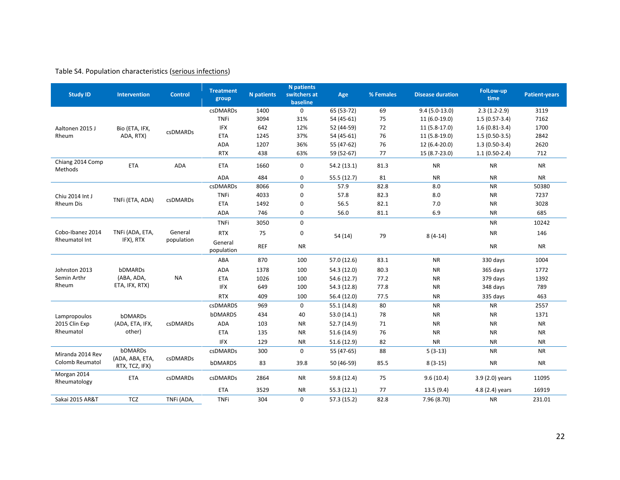## Table S4. Population characteristics (serious infections)

| <b>Study ID</b>                                | <b>Intervention</b>               | <b>Control</b>  | <b>Treatment</b><br>group           | <b>N</b> patients | <b>N</b> patients<br>switchers at<br>baseline | Age         | % Females | <b>Disease duration</b> | FolLow-up<br>time | <b>Patient-years</b> |
|------------------------------------------------|-----------------------------------|-----------------|-------------------------------------|-------------------|-----------------------------------------------|-------------|-----------|-------------------------|-------------------|----------------------|
|                                                |                                   |                 | csDMARDs                            | 1400              | $\mathbf{0}$                                  | 65 (53-72)  | 69        | $9.4(5.0-13.0)$         | $2.3(1.2-2.9)$    | 3119                 |
|                                                |                                   |                 | <b>TNFi</b>                         | 3094              | 31%                                           | 54 (45-61)  | 75        | 11 (6.0-19.0)           | $1.5(0.57-3.4)$   | 7162                 |
| Aaltonen 2015 J                                | Bio (ETA, IFX,                    |                 | <b>IFX</b>                          | 642               | 12%                                           | 52 (44-59)  | 72        | 11 (5.8-17.0)           | $1.6(0.81-3.4)$   | 1700                 |
| Rheum                                          | ADA, RTX)                         | <b>csDMARDs</b> | <b>ETA</b>                          | 1245              | 37%                                           | 54 (45-61)  | 76        | 11 (5.8-19.0)           | $1.5(0.50-3.5)$   | 2842                 |
|                                                |                                   |                 | ADA                                 | 1207              | 36%                                           | 55 (47-62)  | 76        | 12 (6.4-20.0)           | $1.3(0.50-3.4)$   | 2620                 |
|                                                |                                   |                 | <b>RTX</b>                          | 438               | 63%                                           | 59 (52-67)  | 77        | 15 (8.7-23.0)           | $1.1(0.50-2.4)$   | 712                  |
| Chiang 2014 Comp<br>Methods                    | <b>ETA</b>                        | ADA             | <b>ETA</b>                          | 1660              | 0                                             | 54.2 (13.1) | 81.3      | <b>NR</b>               | <b>NR</b>         | <b>NR</b>            |
|                                                |                                   |                 | ADA                                 | 484               | 0                                             | 55.5 (12.7) | 81        | <b>NR</b>               | <b>NR</b>         | <b>NR</b>            |
|                                                |                                   |                 | csDMARDs                            | 8066              | 0                                             | 57.9        | 82.8      | 8.0                     | <b>NR</b>         | 50380                |
| Chiu 2014 Int J                                | TNFi (ETA, ADA)                   | csDMARDs        | <b>TNFi</b>                         | 4033              | 0                                             | 57.8        | 82.3      | 8.0                     | <b>NR</b>         | 7237                 |
| Rheum Dis                                      |                                   |                 | <b>ETA</b>                          | 1492              | 0                                             | 56.5        | 82.1      | 7.0                     | <b>NR</b>         | 3028                 |
|                                                |                                   |                 | <b>ADA</b>                          | 746               | 0                                             | 56.0        | 81.1      | 6.9                     | <b>NR</b>         | 685                  |
|                                                |                                   |                 | <b>TNFi</b>                         | 3050              | $\mathbf{0}$                                  |             |           |                         | <b>NR</b>         | 10242                |
| Cobo-Ibanez 2014<br>Rheumatol Int<br>IFX), RTX | TNFi (ADA, ETA,                   | General         | <b>RTX</b>                          | 75                | 0                                             | 54 (14)     | 79        | $8(4-14)$               | <b>NR</b>         | 146                  |
|                                                |                                   | population      | General<br><b>REF</b><br>population | <b>NR</b>         |                                               |             |           | <b>NR</b>               | <b>NR</b>         |                      |
|                                                |                                   |                 | ABA                                 | 870               | 100                                           | 57.0 (12.6) | 83.1      | <b>NR</b>               | 330 days          | 1004                 |
| Johnston 2013                                  | bDMARDs                           |                 | ADA                                 | 1378              | 100                                           | 54.3 (12.0) | 80.3      | <b>NR</b>               | 365 days          | 1772                 |
| Semin Arthr                                    | (ABA, ADA,                        | <b>NA</b>       | <b>ETA</b>                          | 1026              | 100                                           | 54.6 (12.7) | 77.2      | <b>NR</b>               | 379 days          | 1392                 |
| Rheum                                          | ETA, IFX, RTX)                    |                 | <b>IFX</b>                          | 649               | 100                                           | 54.3 (12.8) | 77.8      | <b>NR</b>               | 348 days          | 789                  |
|                                                |                                   |                 | <b>RTX</b>                          | 409               | 100                                           | 56.4 (12.0) | 77.5      | <b>NR</b>               | 335 days          | 463                  |
|                                                |                                   |                 | <b>csDMARDS</b>                     | 969               | $\mathbf 0$                                   | 55.1(14.8)  | 80        | <b>NR</b>               | <b>NR</b>         | 2557                 |
| Lampropoulos                                   | <b>bDMARDs</b>                    |                 | bDMARDS                             | 434               | 40                                            | 53.0(14.1)  | 78        | <b>NR</b>               | <b>NR</b>         | 1371                 |
| 2015 Clin Exp                                  | (ADA, ETA, IFX,                   | csDMARDs        | ADA                                 | 103               | <b>NR</b>                                     | 52.7 (14.9) | 71        | <b>NR</b>               | <b>NR</b>         | <b>NR</b>            |
| Rheumatol                                      | other)                            |                 | <b>ETA</b>                          | 135               | <b>NR</b>                                     | 51.6 (14.9) | 76        | <b>NR</b>               | <b>NR</b>         | <b>NR</b>            |
|                                                |                                   |                 | <b>IFX</b>                          | 129               | <b>NR</b>                                     | 51.6(12.9)  | 82        | <b>NR</b>               | <b>NR</b>         | <b>NR</b>            |
| Miranda 2014 Rev                               | <b>bDMARDs</b>                    |                 | csDMARDs                            | 300               | 0                                             | 55 (47-65)  | 88        | $5(3-13)$               | <b>NR</b>         | <b>NR</b>            |
| Colomb Reumatol                                | (ADA, ABA, ETA,<br>RTX, TCZ, IFX) | <b>csDMARDs</b> | bDMARDS                             | 83                | 39.8                                          | 50 (46-59)  | 85.5      | $8(3-15)$               | <b>NR</b>         | <b>NR</b>            |
| Morgan 2014<br>Rheumatology                    | <b>ETA</b>                        | csDMARDs        | csDMARDs                            | 2864              | <b>NR</b>                                     | 59.8 (12.4) | 75        | 9.6(10.4)               | 3.9 (2.0) years   | 11095                |
|                                                |                                   |                 | <b>ETA</b>                          | 3529              | <b>NR</b>                                     | 55.3(12.1)  | 77        | 13.5(9.4)               | 4.8 (2.4) years   | 16919                |
| Sakai 2015 AR&T                                | <b>TCZ</b>                        | TNFi (ADA,      | <b>TNFi</b>                         | 304               | $\mathbf 0$                                   | 57.3(15.2)  | 82.8      | 7.96 (8.70)             | <b>NR</b>         | 231.01               |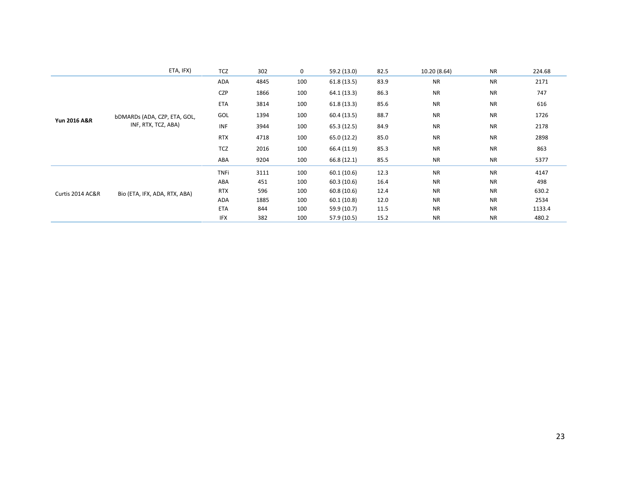|                  | ETA, IFX)                     | <b>TCZ</b>  | 302  | 0   | 59.2 (13.0) | 82.5 | 10.20 (8.64) | <b>NR</b> | 224.68 |
|------------------|-------------------------------|-------------|------|-----|-------------|------|--------------|-----------|--------|
|                  |                               | ADA         | 4845 | 100 | 61.8(13.5)  | 83.9 | <b>NR</b>    | <b>NR</b> | 2171   |
|                  |                               | <b>CZP</b>  | 1866 | 100 | 64.1(13.3)  | 86.3 | <b>NR</b>    | <b>NR</b> | 747    |
|                  |                               | <b>ETA</b>  | 3814 | 100 | 61.8(13.3)  | 85.6 | <b>NR</b>    | <b>NR</b> | 616    |
|                  | bDMARDs (ADA, CZP, ETA, GOL,  | GOL         | 1394 | 100 | 60.4(13.5)  | 88.7 | <b>NR</b>    | <b>NR</b> | 1726   |
| Yun 2016 A&R     | INF, RTX, TCZ, ABA)           | <b>INF</b>  | 3944 | 100 | 65.3(12.5)  | 84.9 | <b>NR</b>    | <b>NR</b> | 2178   |
|                  |                               | <b>RTX</b>  | 4718 | 100 | 65.0 (12.2) | 85.0 | <b>NR</b>    | <b>NR</b> | 2898   |
|                  |                               | <b>TCZ</b>  | 2016 | 100 | 66.4 (11.9) | 85.3 | <b>NR</b>    | <b>NR</b> | 863    |
|                  |                               | ABA         | 9204 | 100 | 66.8 (12.1) | 85.5 | <b>NR</b>    | <b>NR</b> | 5377   |
|                  |                               | <b>TNFi</b> | 3111 | 100 | 60.1(10.6)  | 12.3 | <b>NR</b>    | <b>NR</b> | 4147   |
|                  |                               | ABA         | 451  | 100 | 60.3(10.6)  | 16.4 | <b>NR</b>    | <b>NR</b> | 498    |
| Curtis 2014 AC&R | Bio (ETA, IFX, ADA, RTX, ABA) | <b>RTX</b>  | 596  | 100 | 60.8(10.6)  | 12.4 | <b>NR</b>    | <b>NR</b> | 630.2  |
|                  |                               | ADA         | 1885 | 100 | 60.1(10.8)  | 12.0 | <b>NR</b>    | <b>NR</b> | 2534   |
|                  |                               | <b>ETA</b>  | 844  | 100 | 59.9 (10.7) | 11.5 | <b>NR</b>    | <b>NR</b> | 1133.4 |
|                  |                               | <b>IFX</b>  | 382  | 100 | 57.9 (10.5) | 15.2 | <b>NR</b>    | <b>NR</b> | 480.2  |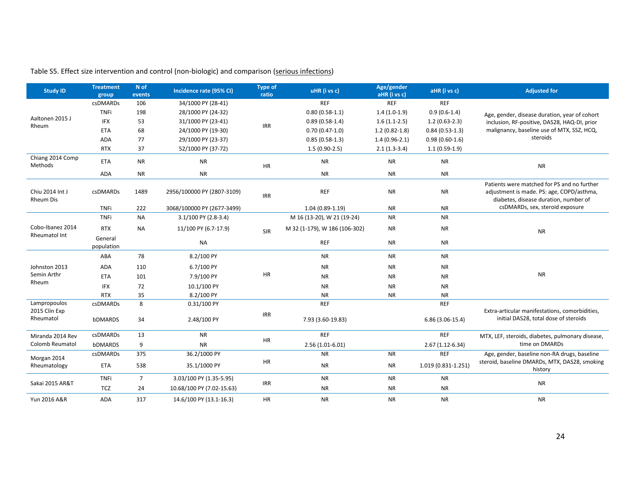| <b>Study ID</b>                     | <b>Treatment</b><br>group | N of<br>events | Incidence rate (95% CI)    | <b>Type of</b><br>ratio | uHR (i vs c)                  | Age/gender<br>aHR (i vs c) | aHR (i vs c)        | <b>Adjusted for</b>                                                                                                               |
|-------------------------------------|---------------------------|----------------|----------------------------|-------------------------|-------------------------------|----------------------------|---------------------|-----------------------------------------------------------------------------------------------------------------------------------|
|                                     | <b>csDMARDs</b>           | 106            | 34/1000 PY (28-41)         |                         | <b>REF</b>                    | <b>REF</b>                 | <b>REF</b>          |                                                                                                                                   |
|                                     | <b>TNFi</b>               | 198            | 28/1000 PY (24-32)         |                         | $0.80(0.58-1.1)$              | $1.4(1.0-1.9)$             | $0.9(0.6-1.4)$      | Age, gender, disease duration, year of cohort                                                                                     |
| Aaltonen 2015 J<br>Rheum            | <b>IFX</b>                | 53             | 31/1000 PY (23-41)         | <b>IRR</b>              | $0.89(0.58-1.4)$              | $1.6(1.1-2.5)$             | $1.2(0.63-2.3)$     | inclusion, RF-positive, DAS28, HAQ-DI, prior                                                                                      |
|                                     | <b>ETA</b>                | 68             | 24/1000 PY (19-30)         |                         | $0.70(0.47-1.0)$              | $1.2(0.82-1.8)$            | $0.84(0.53-1.3)$    | malignancy, baseline use of MTX, SSZ, HCQ,                                                                                        |
|                                     | ADA                       | 77             | 29/1000 PY (23-37)         |                         | $0.85(0.58-1.3)$              | $1.4(0.96-2.1)$            | $0.98(0.60-1.6)$    | steroids                                                                                                                          |
|                                     | <b>RTX</b>                | 37             | 52/1000 PY (37-72)         |                         | $1.5(0.90-2.5)$               | $2.1(1.3-3.4)$             | $1.1(0.59-1.9)$     |                                                                                                                                   |
| Chiang 2014 Comp<br>Methods         | <b>ETA</b>                | <b>NR</b>      | <b>NR</b>                  | $\sf HR$                | <b>NR</b>                     | <b>NR</b>                  | <b>NR</b>           | <b>NR</b>                                                                                                                         |
|                                     | <b>ADA</b>                | <b>NR</b>      | <b>NR</b>                  |                         | <b>NR</b>                     | <b>NR</b>                  | <b>NR</b>           |                                                                                                                                   |
| Chiu 2014 Int J<br><b>Rheum Dis</b> | csDMARDs                  | 1489           | 2956/100000 PY (2807-3109) | <b>IRR</b>              | <b>REF</b>                    | <b>NR</b>                  | <b>NR</b>           | Patients were matched for PS and no further<br>adjustment is made. PS: age, COPD/asthma,<br>diabetes, disease duration, number of |
|                                     | <b>TNFi</b>               | 222            | 3068/100000 PY (2677-3499) |                         | $1.04(0.89-1.19)$             | <b>NR</b>                  | <b>NR</b>           | csDMARDs, sex, steroid exposure                                                                                                   |
|                                     | <b>TNFi</b>               | <b>NA</b>      | 3.1/100 PY (2.8-3.4)       |                         | M 16 (13-20), W 21 (19-24)    | <b>NR</b>                  | <b>NR</b>           |                                                                                                                                   |
| Cobo-Ibanez 2014                    | <b>RTX</b>                | <b>NA</b>      | 11/100 PY (6.7-17.9)       | SIR                     | M 32 (1-179), W 186 (106-302) | <b>NR</b>                  | <b>NR</b>           | <b>NR</b>                                                                                                                         |
| Rheumatol Int                       | General<br>population     |                | <b>NA</b>                  |                         | <b>REF</b>                    | <b>NR</b>                  | <b>NR</b>           |                                                                                                                                   |
|                                     | ABA                       | 78             | 8.2/100 PY                 |                         | <b>NR</b>                     | <b>NR</b>                  | <b>NR</b>           |                                                                                                                                   |
| Johnston 2013                       | ADA                       | 110            | 6.7/100 PY                 |                         | <b>NR</b>                     | <b>NR</b>                  | <b>NR</b>           |                                                                                                                                   |
| Semin Arthr                         | <b>ETA</b>                | 101            | 7.9/100 PY                 | HR                      | <b>NR</b>                     | <b>NR</b>                  | <b>NR</b>           | ${\sf NR}$                                                                                                                        |
| Rheum                               | <b>IFX</b>                | 72             | 10.1/100 PY                |                         | <b>NR</b>                     | <b>NR</b>                  | <b>NR</b>           |                                                                                                                                   |
|                                     | <b>RTX</b>                | 35             | 8.2/100 PY                 |                         | <b>NR</b>                     | <b>NR</b>                  | <b>NR</b>           |                                                                                                                                   |
| Lampropoulos                        | csDMARDs                  | 8              | 0.31/100 PY                |                         | <b>REF</b>                    |                            | <b>REF</b>          |                                                                                                                                   |
| 2015 Clin Exp<br>Rheumatol          | bDMARDS                   | 34             | 2.48/100 PY                | <b>IRR</b>              | 7.93 (3.60-19.83)             |                            | $6.86(3.06-15.4)$   | Extra-articular manifestations, comorbidities,<br>initial DAS28, total dose of steroids                                           |
| Miranda 2014 Rev                    | csDMARDs                  | 13             | <b>NR</b>                  |                         | <b>REF</b>                    |                            | <b>REF</b>          | MTX, LEF, steroids, diabetes, pulmonary disease,                                                                                  |
| Colomb Reumatol                     | bDMARDS                   | 9              | <b>NR</b>                  | HR                      | $2.56(1.01-6.01)$             |                            | $2.67(1.12-6.34)$   | time on DMARDs                                                                                                                    |
| Morgan 2014                         | csDMARDs                  | 375            | 36.2/1000 PY               |                         | <b>NR</b>                     | <b>NR</b>                  | <b>REF</b>          | Age, gender, baseline non-RA drugs, baseline                                                                                      |
| Rheumatology                        | <b>ETA</b>                | 538            | 35.1/1000 PY               | HR                      | <b>NR</b>                     | <b>NR</b>                  | 1.019 (0.831-1.251) | steroid, baseline DMARDs, MTX, DAS28, smoking<br>history                                                                          |
| Sakai 2015 AR&T                     | <b>TNFi</b>               | $\overline{7}$ | 3.03/100 PY (1.35-5.95)    |                         | <b>NR</b>                     | <b>NR</b>                  | <b>NR</b>           | <b>NR</b>                                                                                                                         |
|                                     | <b>TCZ</b>                | 24             | 10.68/100 PY (7.02-15.63)  | <b>IRR</b>              | <b>NR</b>                     | <b>NR</b>                  | <b>NR</b>           |                                                                                                                                   |
| Yun 2016 A&R                        | ADA                       | 317            | 14.6/100 PY (13.1-16.3)    | HR                      | <b>NR</b>                     | <b>NR</b>                  | <b>NR</b>           | <b>NR</b>                                                                                                                         |

# Table S5. Effect size intervention and control (non-biologic) and comparison (serious infections)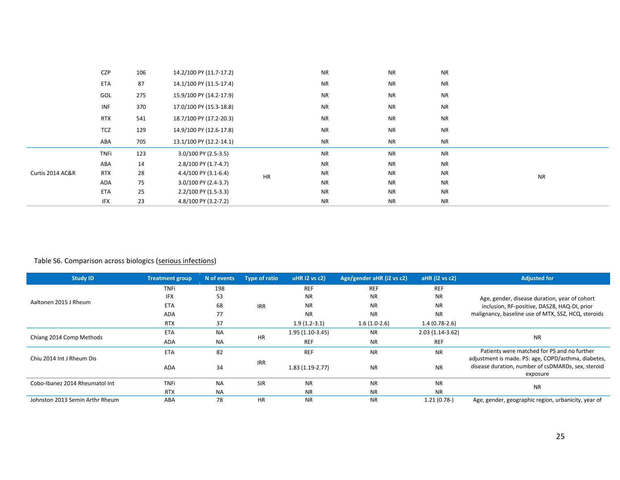|                  | CZP                                          | 106 | 14.2/100 PY (11.7-17.2) |           | <b>NR</b> | <b>NR</b> | <b>NR</b> |           |
|------------------|----------------------------------------------|-----|-------------------------|-----------|-----------|-----------|-----------|-----------|
|                  | <b>ETA</b>                                   | 87  | 14.1/100 PY (11.5-17.4) |           | <b>NR</b> | <b>NR</b> | <b>NR</b> |           |
|                  | GOL                                          | 275 | 15.9/100 PY (14.2-17.9) |           | <b>NR</b> | <b>NR</b> | <b>NR</b> |           |
|                  | INF                                          | 370 | 17.0/100 PY (15.3-18.8) |           | <b>NR</b> | <b>NR</b> | <b>NR</b> |           |
|                  | <b>RTX</b><br>18.7/100 PY (17.2-20.3)<br>541 |     |                         | <b>NR</b> | <b>NR</b> | <b>NR</b> |           |           |
|                  | TCZ                                          | 129 | 14.9/100 PY (12.6-17.8) |           | <b>NR</b> | <b>NR</b> | <b>NR</b> |           |
|                  | ABA                                          | 705 | 13.1/100 PY (12.2-14.1) |           | <b>NR</b> | <b>NR</b> | <b>NR</b> |           |
|                  | TNFi                                         | 123 | 3.0/100 PY (2.5-3.5)    |           | <b>NR</b> | <b>NR</b> | <b>NR</b> |           |
|                  | ABA                                          | 14  | 2.8/100 PY (1.7-4.7)    |           | <b>NR</b> | <b>NR</b> | <b>NR</b> |           |
| Curtis 2014 AC&R | <b>RTX</b>                                   | 28  | 4.4/100 PY (3.1-6.4)    | HR        | <b>NR</b> | <b>NR</b> | <b>NR</b> | <b>NR</b> |
|                  | ADA                                          | 75  | 3.0/100 PY (2.4-3.7)    |           | <b>NR</b> | <b>NR</b> | <b>NR</b> |           |
|                  | <b>ETA</b>                                   | 25  | 2.2/100 PY (1.5-3.3)    |           | <b>NR</b> | <b>NR</b> | <b>NR</b> |           |
|                  | IFX                                          | 23  | 4.8/100 PY (3.2-7.2)    |           | <b>NR</b> | <b>NR</b> | <b>NR</b> |           |

## Table S6. Comparison across biologics (serious infections)

| <b>Study ID</b>                 | <b>Treatment group</b> | N of events | <b>Type of ratio</b> | uHR $12$ vs $c2$  | Age/gender aHR (i2 vs c2)         | $aHR$ (i2 vs $c2$ ) | <b>Adjusted for</b>                                                                                                   |
|---------------------------------|------------------------|-------------|----------------------|-------------------|-----------------------------------|---------------------|-----------------------------------------------------------------------------------------------------------------------|
|                                 | <b>TNFi</b>            | 198         |                      | <b>REF</b>        | <b>REF</b>                        | <b>REF</b>          |                                                                                                                       |
|                                 | <b>IFX</b>             | 53          |                      | <b>NR</b>         | <b>NR</b>                         | <b>NR</b>           | Age, gender, disease duration, year of cohort                                                                         |
| Aaltonen 2015 J Rheum           | ETA                    | 68          | <b>IRR</b>           | <b>NR</b>         | <b>NR</b>                         | <b>NR</b>           | inclusion, RF-positive, DAS28, HAQ-DI, prior                                                                          |
|                                 | <b>ADA</b>             | 77          |                      | <b>NR</b>         | <b>NR</b>                         | <b>NR</b>           | malignancy, baseline use of MTX, SSZ, HCQ, steroids                                                                   |
|                                 | <b>RTX</b>             | 37          |                      | $1.9(1.2-3.1)$    | $1.6(1.0-2.6)$<br>$1.4(0.78-2.6)$ |                     |                                                                                                                       |
|                                 | <b>ETA</b>             | <b>NA</b>   |                      | $1.95(1.10-3.45)$ | <b>NR</b>                         | $2.03(1.14-3.62)$   |                                                                                                                       |
| Chiang 2014 Comp Methods        | <b>ADA</b>             | <b>NA</b>   | <b>HR</b>            | <b>REF</b>        | <b>NR</b>                         | <b>REF</b>          | <b>NR</b>                                                                                                             |
|                                 | <b>ETA</b>             | 82          |                      | <b>REF</b>        | <b>NR</b>                         | <b>NR</b>           | Patients were matched for PS and no further                                                                           |
| Chiu 2014 Int J Rheum Dis       | <b>ADA</b>             | 34          | <b>IRR</b>           | $1.83(1.19-2.77)$ | <b>NR</b>                         | <b>NR</b>           | adjustment is made. PS: age, COPD/asthma, diabetes,<br>disease duration, number of csDMARDs, sex, steroid<br>exposure |
| Cobo-Ibanez 2014 Rheumatol Int  | <b>TNFi</b>            | <b>NA</b>   | <b>SIR</b>           | <b>NR</b>         | <b>NR</b>                         | <b>NR</b>           | <b>NR</b>                                                                                                             |
|                                 | <b>RTX</b>             | <b>NA</b>   |                      | <b>NR</b>         | <b>NR</b>                         | <b>NR</b>           |                                                                                                                       |
| Johnston 2013 Semin Arthr Rheum | ABA                    | 78          | <b>HR</b>            | <b>NR</b>         | <b>NR</b>                         | $1.21(0.78-)$       | Age, gender, geographic region, urbanicity, year of                                                                   |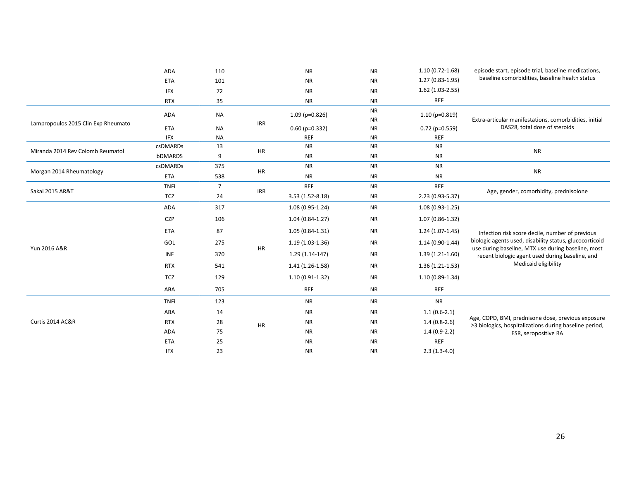|                                     | <b>ADA</b>  | 110            |            | <b>NR</b>         | <b>NR</b>              | $1.10(0.72 - 1.68)$ | episode start, episode trial, baseline medications,                                                          |
|-------------------------------------|-------------|----------------|------------|-------------------|------------------------|---------------------|--------------------------------------------------------------------------------------------------------------|
|                                     | <b>ETA</b>  | 101            |            | <b>NR</b>         | <b>NR</b>              | $1.27(0.83-1.95)$   | baseline comorbidities, baseline health status                                                               |
|                                     | <b>IFX</b>  | 72             |            | <b>NR</b>         | <b>NR</b>              | $1.62(1.03-2.55)$   |                                                                                                              |
|                                     | <b>RTX</b>  | 35             |            | <b>NR</b>         | <b>NR</b>              | <b>REF</b>          |                                                                                                              |
|                                     | <b>ADA</b>  | <b>NA</b>      |            | $1.09$ (p=0.826)  | <b>NR</b>              | $1.10(p=0.819)$     |                                                                                                              |
| Lampropoulos 2015 Clin Exp Rheumato | <b>ETA</b>  | <b>NA</b>      | <b>IRR</b> | $0.60$ (p=0.332)  | <b>NR</b><br><b>NR</b> | $0.72$ (p=0.559)    | Extra-articular manifestations, comorbidities, initial<br>DAS28, total dose of steroids                      |
|                                     | <b>IFX</b>  | <b>NA</b>      |            | <b>REF</b>        | <b>NR</b>              | <b>REF</b>          |                                                                                                              |
|                                     | csDMARDs    | 13             |            | <b>NR</b>         | <b>NR</b>              | <b>NR</b>           |                                                                                                              |
| Miranda 2014 Rev Colomb Reumatol    | bDMARDS     | 9              | HR         | <b>NR</b>         | <b>NR</b>              | <b>NR</b>           | <b>NR</b>                                                                                                    |
|                                     | csDMARDs    | 375            |            | <b>NR</b>         | <b>NR</b>              | <b>NR</b>           |                                                                                                              |
| Morgan 2014 Rheumatology            | <b>ETA</b>  | 538            | HR         | <b>NR</b>         | <b>NR</b>              | <b>NR</b>           | <b>NR</b>                                                                                                    |
|                                     | <b>TNFi</b> | $\overline{7}$ |            | <b>REF</b>        | <b>NR</b>              | <b>REF</b>          |                                                                                                              |
| Sakai 2015 AR&T                     | <b>TCZ</b>  | 24             | IRR        | 3.53 (1.52-8.18)  | <b>NR</b>              | 2.23 (0.93-5.37)    | Age, gender, comorbidity, prednisolone                                                                       |
|                                     | <b>ADA</b>  | 317            |            | $1.08(0.95-1.24)$ | <b>NR</b>              | 1.08 (0.93-1.25)    |                                                                                                              |
|                                     | CZP         | 106            |            | $1.04(0.84-1.27)$ | <b>NR</b>              | $1.07(0.86-1.32)$   |                                                                                                              |
|                                     | <b>ETA</b>  | 87             |            | $1.05(0.84-1.31)$ | <b>NR</b>              | $1.24(1.07-1.45)$   | Infection risk score decile, number of previous                                                              |
|                                     | GOL         | 275            |            | $1.19(1.03-1.36)$ | <b>NR</b>              | 1.14 (0.90-1.44)    | biologic agents used, disability status, glucocorticoid                                                      |
| Yun 2016 A&R                        | INF         | 370            | HR         | $1.29(1.14-147)$  | <b>NR</b>              | $1.39(1.21-1.60)$   | use during baseilne, MTX use during baseline, most<br>recent biologic agent used during baseline, and        |
|                                     | <b>RTX</b>  | 541            |            | $1.41(1.26-1.58)$ | <b>NR</b>              | $1.36(1.21-1.53)$   | Medicaid eligibility                                                                                         |
|                                     | <b>TCZ</b>  | 129            |            | $1.10(0.91-1.32)$ | <b>NR</b>              | 1.10 (0.89-1.34)    |                                                                                                              |
|                                     | ABA         | 705            |            | <b>REF</b>        | <b>NR</b>              | <b>REF</b>          |                                                                                                              |
|                                     | <b>TNFi</b> | 123            |            | <b>NR</b>         | <b>NR</b>              | <b>NR</b>           |                                                                                                              |
|                                     | ABA         | 14             |            | <b>NR</b>         | <b>NR</b>              | $1.1(0.6-2.1)$      |                                                                                                              |
| Curtis 2014 AC&R                    | <b>RTX</b>  | 28             | HR         | <b>NR</b>         | <b>NR</b>              | $1.4(0.8-2.6)$      | Age, COPD, BMI, prednisone dose, previous exposure<br>≥3 biologics, hospitalizations during baseline period, |
|                                     | ADA         | 75             |            | <b>NR</b>         | <b>NR</b>              | $1.4(0.9-2.2)$      | ESR, seropositive RA                                                                                         |
|                                     | <b>ETA</b>  | 25             |            | <b>NR</b>         | <b>NR</b>              | <b>REF</b>          |                                                                                                              |
|                                     | <b>IFX</b>  | 23             |            | <b>NR</b>         | <b>NR</b>              | $2.3(1.3-4.0)$      |                                                                                                              |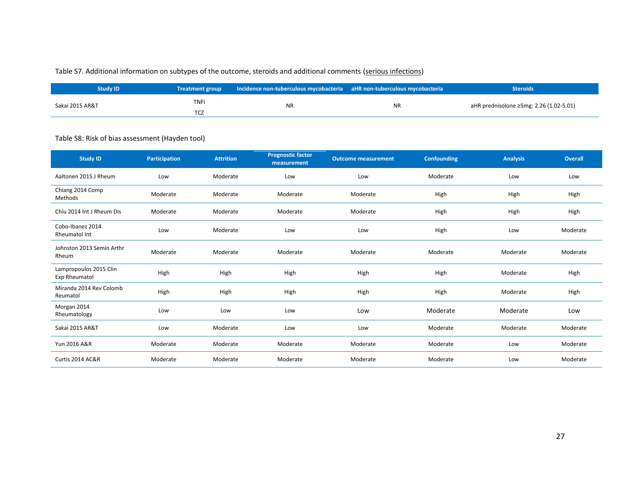## Table S7. Additional information on subtypes of the outcome, steroids and additional comments (serious infections)

| Study ID        | Treatment group    | Incidence non-tuberculous mycobacteria aHR non-tuberculous mycobacteria |           | <b>Steroids</b>                         |
|-----------------|--------------------|-------------------------------------------------------------------------|-----------|-----------------------------------------|
| Sakai 2015 AR&T | <b>TNFi</b><br>TCZ | <b>NR</b>                                                               | <b>NR</b> | aHR prednisolone ≥5mg: 2.26 (1.02-5.01) |

## Table S8: Risk of bias assessment (Hayden tool)

| <b>Study ID</b>                         | <b>Participation</b> | <b>Attrition</b> | <b>Prognostic factor</b><br>measurement | <b>Outcome measurement</b> | <b>Confounding</b> | <b>Analysis</b> | <b>Overall</b> |
|-----------------------------------------|----------------------|------------------|-----------------------------------------|----------------------------|--------------------|-----------------|----------------|
| Aaltonen 2015 J Rheum                   | Low                  | Moderate         | Low                                     | Low                        | Moderate           | Low             | Low            |
| Chiang 2014 Comp<br>Methods             | Moderate             | Moderate         | Moderate                                | Moderate                   | High               | High            | High           |
| Chiu 2014 Int J Rheum Dis               | Moderate             | Moderate         | Moderate                                | Moderate                   | High               | High            | High           |
| Cobo-Ibanez 2014<br>Rheumatol Int       | Low                  | Moderate         | Low                                     | Low                        | High               | Low             | Moderate       |
| Johnston 2013 Semin Arthr<br>Rheum      | Moderate             | Moderate         | Moderate                                | Moderate                   | Moderate           | Moderate        | Moderate       |
| Lampropoulos 2015 Clin<br>Exp Rheumatol | High                 | High             | High                                    | High                       | High               | Moderate        | High           |
| Miranda 2014 Rev Colomb<br>Reumatol     | High                 | High             | High                                    | High                       | High               | Moderate        | High           |
| Morgan 2014<br>Rheumatology             | Low                  | Low              | Low                                     | Low                        | Moderate           | Moderate        | Low            |
| Sakai 2015 AR&T                         | Low                  | Moderate         | Low                                     | Low                        | Moderate           | Moderate        | Moderate       |
| Yun 2016 A&R                            | Moderate             | Moderate         | Moderate                                | Moderate                   | Moderate           | Low             | Moderate       |
| Curtis 2014 AC&R                        | Moderate             | Moderate         | Moderate                                | Moderate                   | Moderate           | Low             | Moderate       |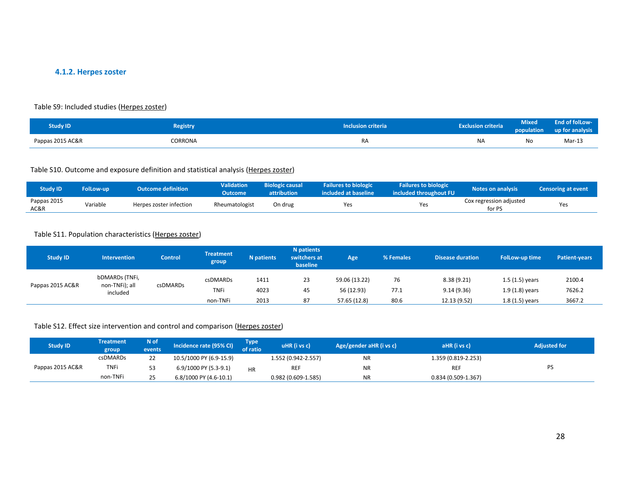## **4.1.2. Herpes zoster**

#### Table S9: Included studies (Herpes zoster)

| <b>Study ID</b>  | <b>Registry</b> | <b>Inclusion criteria</b> | <b>Exclusion criteria</b> | Mixed<br>population | End of folLow-<br>up for analysis |
|------------------|-----------------|---------------------------|---------------------------|---------------------|-----------------------------------|
| Pappas 2015 AC&R | CORRONA         | RA                        | <b>NA</b>                 | No                  | Mar-13                            |

## Table S10. Outcome and exposure definition and statistical analysis (Herpes zoster)

| <b>Study ID</b>     | <b>FolLow-up</b> | <b>Outcome definition</b> | <b>Validation</b><br>Outcome | <b>Biologic causal</b><br>attribution | <b>Failures to biologic</b><br>included at baseline | <b>Failures to biologic</b><br>included throughout FU | <b>Notes on analysis</b>          | Censoring at event |
|---------------------|------------------|---------------------------|------------------------------|---------------------------------------|-----------------------------------------------------|-------------------------------------------------------|-----------------------------------|--------------------|
| Pappas 2015<br>AC&R | Variable         | Herpes zoster infection   | Rheumatologist               | On drug                               | Yes                                                 | Yes                                                   | Cox regression adjusted<br>for PS | Yes                |

### Table S11. Population characteristics (Herpes zoster)

| <b>Study ID</b>  | <b>Intervention</b>                          | <b>Control</b> | <b>Treatment</b><br>group | <b>N</b> patients | N patients<br>switchers at<br>baseline | <b>Age</b>                  | % Females  | <b>Disease duration</b>  | <b>FolLow-up time</b>                | <b>Patient-years</b> |
|------------------|----------------------------------------------|----------------|---------------------------|-------------------|----------------------------------------|-----------------------------|------------|--------------------------|--------------------------------------|----------------------|
| Pappas 2015 AC&R | bDMARDs (TNFi,<br>non-TNFi); all<br>included | csDMARDs       | csDMARDs<br><b>TNFi</b>   | 1411<br>4023      | 23<br>45                               | 59.06 (13.22)<br>56 (12.93) | 76<br>77.1 | 8.38(9.21)<br>9.14(9.36) | $1.5(1.5)$ years<br>$1.9(1.8)$ years | 2100.4<br>7626.2     |
|                  |                                              |                | non-TNFi                  | 2013              | 87                                     | 57.65 (12.8)                | 80.6       | 12.13 (9.52)             | $1.8(1.5)$ years                     | 3667.2               |

## Table S12. Effect size intervention and control and comparison (Herpes zoster)

| <b>Study ID</b>  | <b>Treatment</b><br>group | N of,<br>events | Incidence rate (95% CI) | Гуре<br>of ratio | $uHR$ (i vs c)       | Age/gender aHR (i vs c) | aHR (i vs c)        | <b>Adjusted for</b> |
|------------------|---------------------------|-----------------|-------------------------|------------------|----------------------|-------------------------|---------------------|---------------------|
|                  | <b>csDMARDs</b>           | 22              | 10.5/1000 PY (6.9-15.9) |                  | 1.552 (0.942-2.557)  | <b>NR</b>               | 1.359 (0.819-2.253) |                     |
| Pappas 2015 AC&R | <b>TNFi</b>               | 53              | 6.9/1000 PY (5.3-9.1)   | HR               | <b>REF</b>           | <b>NR</b>               | <b>REF</b>          | PS                  |
|                  | non-TNFi                  | 25              | 6.8/1000 PY (4.6-10.1)  |                  | $0.982(0.609-1.585)$ | <b>NR</b>               | 0.834 (0.509-1.367) |                     |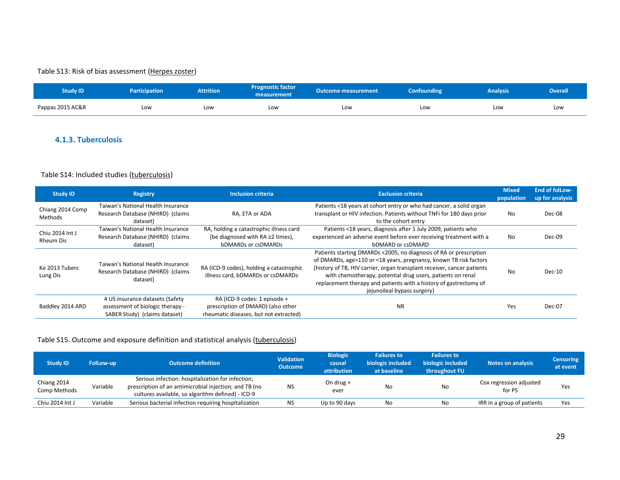## Table S13: Risk of bias assessment (Herpes zoster)

| <b>Study ID</b>  | <b>Participation</b> | <b>Attrition</b> | <b>Prognostic factor</b><br>measurement | <b>Outcome measurement</b> | <b>Confounding</b> | <b>Analysis</b> | <b>Overall</b> |
|------------------|----------------------|------------------|-----------------------------------------|----------------------------|--------------------|-----------------|----------------|
| Pappas 2015 AC&R | Low                  | Low              | Low                                     | Low                        | Low                | Low             | Low            |

## **4.1.3. Tuberculosis**

#### Table S14: Included studies (tuberculosis)

| <b>Study ID</b>                     | <b>Registry</b>                                                                                      | <b>Inclusion criteria</b>                                                                                       | <b>Exclusion criteria</b>                                                                                                                                                                                                                                                                                                                                                            | <b>Mixed</b><br>population | <b>End of follow-</b><br>up for analysis |
|-------------------------------------|------------------------------------------------------------------------------------------------------|-----------------------------------------------------------------------------------------------------------------|--------------------------------------------------------------------------------------------------------------------------------------------------------------------------------------------------------------------------------------------------------------------------------------------------------------------------------------------------------------------------------------|----------------------------|------------------------------------------|
| Chiang 2014 Comp<br>Methods         | Taiwan's National Health Insurance<br>Research Database (NHIRD) (claims<br>dataset)                  | RA. ETA or ADA                                                                                                  | Patients <18 years at cohort entry or who had cancer, a solid organ<br>transplant or HIV infection. Patients without TNFi for 180 days prior<br>to the cohort entry                                                                                                                                                                                                                  | No                         | Dec-08                                   |
| Chiu 2014 Int J<br><b>Rheum Dis</b> | Taiwan's National Health Insurance<br>Research Database (NHIRD) (claims<br>dataset)                  | RA, holding a catastrophic illness card<br>(be diagnosed with $RA \geq 2$ times),<br><b>bDMARDs or csDMARDs</b> | Patients <18 years, diagnosis after 1 July 2009, patients who<br>experienced an adverse event before ever receiving treatment with a<br>bDMARD or csDMARD                                                                                                                                                                                                                            | No.                        | Dec-09                                   |
| Ke 2013 Tuberc<br>Lung Dis          | Taiwan's National Health Insurance<br>Research Database (NHIRD) (claims<br>dataset)                  | RA (ICD-9 codes), holding a catastrophic<br>illness card, bDMARDs or csDMARDs                                   | Patients starting DMARDs <2005, no diagnosis of RA or prescription<br>of DMARDs, age>110 or <18 years, pregnancy, known TB risk factors<br>(history of TB, HIV carrier, organ transplant receiver, cancer patients<br>with chemotherapy, potential drug users, patients on renal<br>replacement therapy and patients with a history of gastrectomy of<br>jejunoileal bypass surgery) | No                         | $Dec-10$                                 |
| Baddley 2014 ARD                    | 4 US insurance datasets (Safety<br>assessment of biologic therapy -<br>SABER Study) (claims dataset) | RA (ICD-9 codes: 1 episode +<br>prescription of DMARD) (also other<br>rheumatic diseases, but not extracted)    | <b>NR</b>                                                                                                                                                                                                                                                                                                                                                                            | Yes                        | Dec-07                                   |

## Table S15. Outcome and exposure definition and statistical analysis (tuberculosis)

| <b>Study ID</b>             | <b>FolLow-up</b> | <b>Outcome definition</b>                                                                                                                                        | <b>Validation</b><br><b>Outcome</b> | <b>Biologic</b><br>causal<br>attribution | <b>Failures to</b><br>biologic included<br>at baseline | <b>Failures to</b><br>biologic included<br>throughout FU | <b>Notes on analysis</b>          | <b>Censoring</b><br>at event |
|-----------------------------|------------------|------------------------------------------------------------------------------------------------------------------------------------------------------------------|-------------------------------------|------------------------------------------|--------------------------------------------------------|----------------------------------------------------------|-----------------------------------|------------------------------|
| Chiang 2014<br>Comp Methods | Variable         | Serious infection: hospitalization for infection;<br>prescription of an antimicrobial injection; and TB (no<br>cultures available, so algorithm defined) - ICD-9 | <b>NS</b>                           | On drug $+$<br>ever                      | No                                                     | No                                                       | Cox regression adjusted<br>for PS | Yes                          |
| Chiu 2014 Int J             | Variable         | Serious bacterial infection requiring hospitalization                                                                                                            | NS                                  | Up to 90 days                            | No                                                     | No                                                       | IRR in a group of patients        | Yes                          |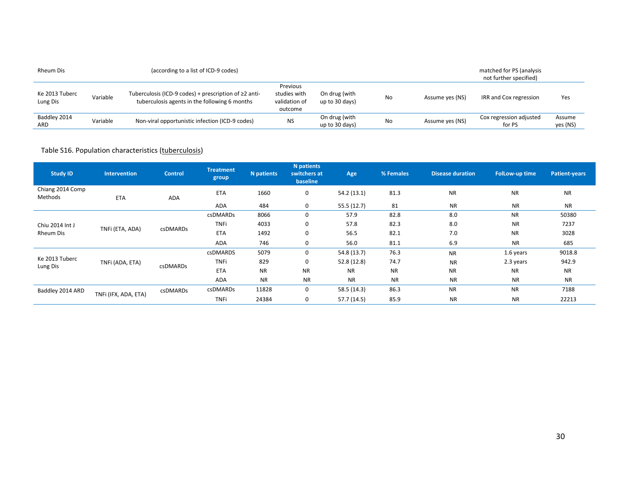| <b>Rheum Dis</b>           |          | (according to a list of ICD-9 codes)                                                                         |                                                      |                                 |    |                 | matched for PS (analysis<br>not further specified) |                    |
|----------------------------|----------|--------------------------------------------------------------------------------------------------------------|------------------------------------------------------|---------------------------------|----|-----------------|----------------------------------------------------|--------------------|
| Ke 2013 Tuberc<br>Lung Dis | Variable | Tuberculosis (ICD-9 codes) + prescription of $\geq 2$ anti-<br>tuberculosis agents in the following 6 months | Previous<br>studies with<br>validation of<br>outcome | On drug (with<br>up to 30 days) | No | Assume yes (NS) | IRR and Cox regression                             | Yes                |
| Baddley 2014<br>ARD        | Variable | Non-viral opportunistic infection (ICD-9 codes)                                                              | NS                                                   | On drug (with<br>up to 30 days) | No | Assume yes (NS) | Cox regression adjusted<br>for PS                  | Assume<br>yes (NS) |

## Table S16. Population characteristics (tuberculosis)

| <b>Study ID</b>             | <b>Intervention</b>  | <b>Control</b>  | <b>Treatment</b><br>group | N patients | N patients<br>switchers at<br>baseline | Age         | % Females | <b>Disease duration</b> | <b>FolLow-up time</b> | <b>Patient-years</b> |
|-----------------------------|----------------------|-----------------|---------------------------|------------|----------------------------------------|-------------|-----------|-------------------------|-----------------------|----------------------|
| Chiang 2014 Comp<br>Methods | ETA                  | ADA             | <b>ETA</b>                | 1660       | 0                                      | 54.2(13.1)  | 81.3      | <b>NR</b>               | <b>NR</b>             | <b>NR</b>            |
|                             |                      |                 | ADA                       | 484        | 0                                      | 55.5 (12.7) | 81        | <b>NR</b>               | <b>NR</b>             | <b>NR</b>            |
|                             |                      |                 | <b>csDMARDs</b>           | 8066       | $\mathbf 0$                            | 57.9        | 82.8      | 8.0                     | <b>NR</b>             | 50380                |
| Chiu 2014 Int J             |                      |                 | <b>TNFi</b>               | 4033       | $\mathbf 0$                            | 57.8        | 82.3      | 8.0                     | <b>NR</b>             | 7237                 |
| Rheum Dis                   | TNFi (ETA, ADA)      | csDMARDs        | <b>ETA</b>                | 1492       | 0                                      | 56.5        | 82.1      | 7.0                     | <b>NR</b>             | 3028                 |
|                             |                      |                 | <b>ADA</b>                | 746        | 0                                      | 56.0        | 81.1      | 6.9                     | <b>NR</b>             | 685                  |
|                             |                      |                 | <b>csDMARDS</b>           | 5079       | 0                                      | 54.8 (13.7) | 76.3      | <b>NR</b>               | 1.6 years             | 9018.8               |
| Ke 2013 Tuberc<br>Lung Dis  | TNFi (ADA, ETA)      | <b>csDMARDs</b> | <b>TNFi</b>               | 829        | 0                                      | 52.8 (12.8) | 74.7      | <b>NR</b>               | 2.3 years             | 942.9                |
|                             |                      |                 | <b>ETA</b>                | <b>NR</b>  | <b>NR</b>                              | <b>NR</b>   | <b>NR</b> | <b>NR</b>               | <b>NR</b>             | <b>NR</b>            |
|                             |                      |                 | <b>ADA</b>                | <b>NR</b>  | <b>NR</b>                              | <b>NR</b>   | <b>NR</b> | <b>NR</b>               | <b>NR</b>             | <b>NR</b>            |
| Baddley 2014 ARD            |                      | csDMARDs        | csDMARDs                  | 11828      | 0                                      | 58.5 (14.3) | 86.3      | <b>NR</b>               | <b>NR</b>             | 7188                 |
|                             | TNFi (IFX, ADA, ETA) |                 | <b>TNFi</b>               | 24384      | 0                                      | 57.7 (14.5) | 85.9      | <b>NR</b>               | <b>NR</b>             | 22213                |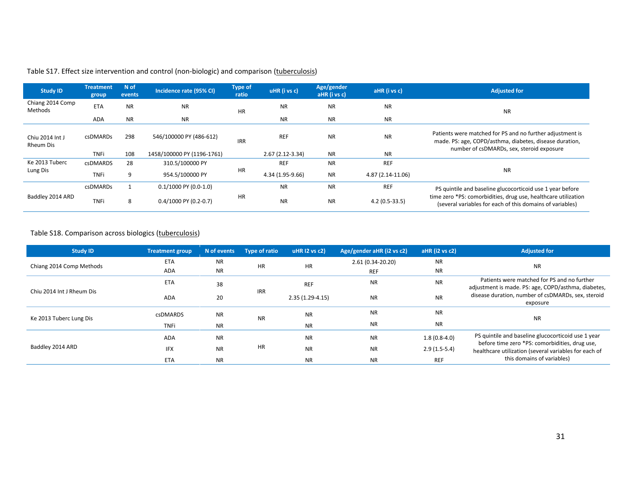| <b>Study ID</b>              | <b>Treatment</b><br>group | N of<br>events | Incidence rate (95% CI)    | <b>Type of</b><br>ratio | uHR (i vs c)      | Age/gender<br>aHR (i vs c) | aHR (i vs c)      | <b>Adjusted for</b>                                                                                                                                               |
|------------------------------|---------------------------|----------------|----------------------------|-------------------------|-------------------|----------------------------|-------------------|-------------------------------------------------------------------------------------------------------------------------------------------------------------------|
| Chiang 2014 Comp<br>Methods  | <b>ETA</b>                | <b>NR</b>      | <b>NR</b>                  | <b>HR</b>               | <b>NR</b>         | <b>NR</b>                  | <b>NR</b>         | NR                                                                                                                                                                |
|                              | ADA                       | <b>NR</b>      | <b>NR</b>                  |                         | <b>NR</b>         | <b>NR</b>                  | NR.               |                                                                                                                                                                   |
| Chiu 2014 Int J<br>Rheum Dis | <b>csDMARDs</b>           | 298            | 546/100000 PY (486-612)    | <b>IRR</b>              | <b>REF</b>        | <b>NR</b>                  | <b>NR</b>         | Patients were matched for PS and no further adjustment is<br>made. PS: age, COPD/asthma, diabetes, disease duration,<br>number of csDMARDs, sex, steroid exposure |
|                              | <b>TNFi</b>               | 108            | 1458/100000 PY (1196-1761) |                         | $2.67(2.12-3.34)$ | <b>NR</b>                  | NR.               |                                                                                                                                                                   |
| Ke 2013 Tuberc               | <b>csDMARDS</b>           | 28             | 310.5/100000 PY            |                         | <b>REF</b>        | <b>NR</b>                  | <b>REF</b>        |                                                                                                                                                                   |
| Lung Dis                     | <b>TNFi</b>               | 9              | 954.5/100000 PY            | HR                      | 4.34 (1.95-9.66)  | <b>NR</b>                  | 4.87 (2.14-11.06) | <b>NR</b>                                                                                                                                                         |
|                              | <b>csDMARDs</b>           |                | $0.1/1000$ PY (0.0-1.0)    |                         | <b>NR</b>         | <b>NR</b>                  | <b>REF</b>        | PS quintile and baseline glucocorticoid use 1 year before                                                                                                         |
| Baddley 2014 ARD             | <b>TNFi</b>               | 8              | $0.4/1000$ PY (0.2-0.7)    | <b>HR</b>               | <b>NR</b>         | <b>NR</b>                  | $4.2(0.5-33.5)$   | time zero *PS: comorbidities, drug use, healthcare utilization<br>(several variables for each of this domains of variables)                                       |

# Table S17. Effect size intervention and control (non-biologic) and comparison (tuberculosis)

## Table S18. Comparison across biologics (tuberculosis)

| <b>Study ID</b>           | <b>Treatment group</b> | N of events | Type of ratio | uHR 12 vs c2)     | Age/gender aHR (i2 vs c2) | aHR (i2 vs c2) | <b>Adjusted for</b>                                                                                  |
|---------------------------|------------------------|-------------|---------------|-------------------|---------------------------|----------------|------------------------------------------------------------------------------------------------------|
| Chiang 2014 Comp Methods  | <b>ETA</b>             | <b>NR</b>   | <b>HR</b>     | <b>HR</b>         | 2.61 (0.34-20.20)         | <b>NR</b>      | <b>NR</b>                                                                                            |
|                           | <b>ADA</b>             | <b>NR</b>   |               |                   | <b>REF</b>                | <b>NR</b>      |                                                                                                      |
|                           | ETA                    | 38          |               | <b>REF</b>        | <b>NR</b>                 | <b>NR</b>      | Patients were matched for PS and no further<br>adjustment is made. PS: age, COPD/asthma, diabetes,   |
| Chiu 2014 Int J Rheum Dis | <b>ADA</b>             | 20          | <b>IRR</b>    | $2.35(1.29-4.15)$ | <b>NR</b>                 | <b>NR</b>      | disease duration, number of csDMARDs, sex, steroid<br>exposure                                       |
| Ke 2013 Tuberc Lung Dis   | <b>csDMARDS</b>        | <b>NR</b>   | <b>NR</b>     | <b>NR</b>         | <b>NR</b>                 | <b>NR</b>      | <b>NR</b>                                                                                            |
|                           | <b>TNFi</b>            | <b>NR</b>   |               | <b>NR</b>         | <b>NR</b>                 | <b>NR</b>      |                                                                                                      |
|                           | <b>ADA</b>             | <b>NR</b>   |               | <b>NR</b>         | <b>NR</b>                 | $1.8(0.8-4.0)$ | PS quintile and baseline glucocorticoid use 1 year<br>before time zero *PS: comorbidities, drug use, |
| Baddley 2014 ARD          | <b>IFX</b>             | <b>NR</b>   | HR            | <b>NR</b>         | <b>NR</b>                 | $2.9(1.5-5.4)$ | healthcare utilization (several variables for each of                                                |
|                           | <b>ETA</b>             | <b>NR</b>   |               | <b>NR</b>         | <b>NR</b>                 | <b>REF</b>     | this domains of variables)                                                                           |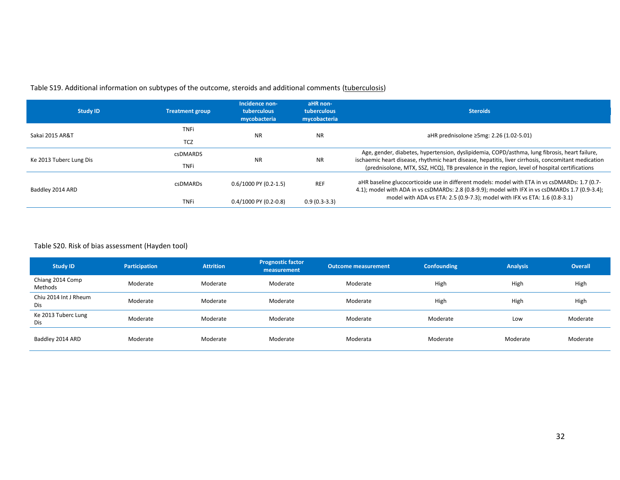## Table S19. Additional information on subtypes of the outcome, steroids and additional comments (tuberculosis)

| <b>Study ID</b>         | <b>Treatment group</b> | Incidence non-<br>tuberculous<br>mycobacteria | aHR non-<br>tuberculous<br>mycobacteria | <b>Steroids</b>                                                                                                                                                                                     |  |  |
|-------------------------|------------------------|-----------------------------------------------|-----------------------------------------|-----------------------------------------------------------------------------------------------------------------------------------------------------------------------------------------------------|--|--|
| Sakai 2015 AR&T         | <b>TNFi</b>            | <b>NR</b>                                     | <b>NR</b>                               |                                                                                                                                                                                                     |  |  |
|                         | <b>TCZ</b>             |                                               |                                         | aHR prednisolone ≥5mg: 2.26 (1.02-5.01)                                                                                                                                                             |  |  |
|                         | <b>csDMARDS</b>        |                                               |                                         | Age, gender, diabetes, hypertension, dyslipidemia, COPD/asthma, lung fibrosis, heart failure,                                                                                                       |  |  |
| Ke 2013 Tuberc Lung Dis | <b>TNFi</b>            | <b>NR</b>                                     | <b>NR</b>                               | ischaemic heart disease, rhythmic heart disease, hepatitis, liver cirrhosis, concomitant medication<br>(prednisolone, MTX, SSZ, HCQ), TB prevalence in the region, level of hospital certifications |  |  |
| Baddley 2014 ARD        | csDMARDs               | $0.6/1000$ PY (0.2-1.5)                       | <b>REF</b>                              | aHR baseline glucocorticoide use in different models: model with ETA in vs csDMARDs: 1.7 (0.7-<br>4.1); model with ADA in vs csDMARDs: 2.8 (0.8-9.9); model with IFX in vs csDMARDs 1.7 (0.9-3.4);  |  |  |
|                         | <b>TNFi</b>            | $0.4/1000$ PY (0.2-0.8)                       | $0.9(0.3-3.3)$                          | model with ADA vs ETA: 2.5 (0.9-7.3); model with IFX vs ETA: 1.6 (0.8-3.1)                                                                                                                          |  |  |

## Table S20. Risk of bias assessment (Hayden tool)

| <b>Study ID</b>              | Participation | <b>Attrition</b> | <b>Prognostic factor</b><br>measurement | Outcome measurement | <b>Confounding</b> | <b>Analysis</b> | <b>Overall</b> |
|------------------------------|---------------|------------------|-----------------------------------------|---------------------|--------------------|-----------------|----------------|
| Chiang 2014 Comp<br>Methods  | Moderate      | Moderate         | Moderate                                | Moderate            | High               | High            | High           |
| Chiu 2014 Int J Rheum<br>Dis | Moderate      | Moderate         | Moderate                                | Moderate            | High               | High            | High           |
| Ke 2013 Tuberc Lung<br>Dis   | Moderate      | Moderate         | Moderate                                | Moderate            | Moderate           | Low             | Moderate       |
| Baddley 2014 ARD             | Moderate      | Moderate         | Moderate                                | Moderata            | Moderate           | Moderate        | Moderate       |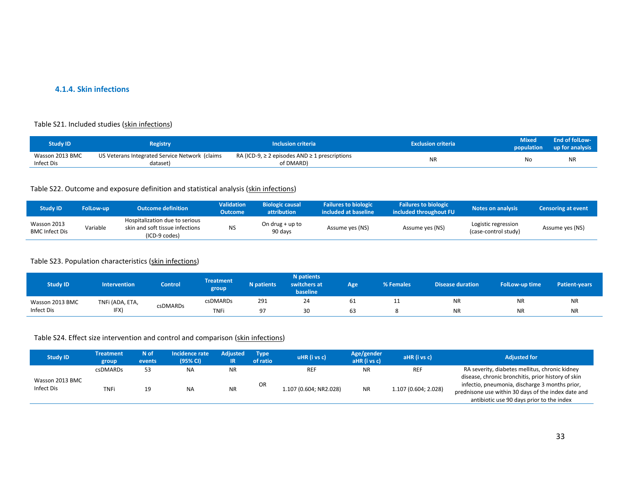### **4.1.4. Skin infections**

#### Table S21. Included studies (skin infections)

| Study ID        | <b>Registry</b>                                | <b>Inclusion criteria</b>                               | <b>Exclusion criteria</b> | <b>Aixed</b> | End of folLow-<br>population up for analysis |
|-----------------|------------------------------------------------|---------------------------------------------------------|---------------------------|--------------|----------------------------------------------|
| Wasson 2013 BMC | US Veterans Integrated Service Network (claims | RA (ICD-9, $\geq$ 2 episodes AND $\geq$ 1 prescriptions | <b>NID</b>                | No           | <b>NR</b>                                    |
| Infect Dis      | dataset)                                       | of DMARD)                                               | יוי                       |              |                                              |

#### Table S22. Outcome and exposure definition and statistical analysis (skin infections)

| <b>Study ID</b>                      | <b>FolLow-up</b> | <b>Outcome definition</b>                                                          | <b>Validation</b><br>Outcome | <b>Biologic causal</b><br><b>attribution</b> | <b>Failures to biologic</b><br>included at baseline | <b>Failures to biologic</b><br>included throughout FU | Notes on analysis                           | <b>Censoring at event</b> |
|--------------------------------------|------------------|------------------------------------------------------------------------------------|------------------------------|----------------------------------------------|-----------------------------------------------------|-------------------------------------------------------|---------------------------------------------|---------------------------|
| Wasson 2013<br><b>BMC Infect Dis</b> | Variable         | Hospitalization due to serious<br>skin and soft tissue infections<br>(ICD-9 codes) | NS                           | On drug $+$ up to<br>90 days                 | Assume yes (NS)                                     | Assume yes (NS)                                       | Logistic regression<br>(case-control study) | Assume yes (NS)           |

## Table S23. Population characteristics (skin infections)

| <b>Study ID</b> | <b>Intervention</b> | <b>Control</b> | <b>Treatment</b><br>group | <b>N</b> patients | <b>N</b> patients<br>switchers at<br>baseline | Age | % Females | Disease duration | FolLow-up time | <b>Patient-vears</b> |
|-----------------|---------------------|----------------|---------------------------|-------------------|-----------------------------------------------|-----|-----------|------------------|----------------|----------------------|
| Wasson 2013 BMC | TNFi (ADA, ETA,     |                | <b>csDMARDs</b>           | 291               | 24                                            | 61  | + +       | <b>NR</b>        | NR             | <b>NR</b>            |
| Infect Dis      | IFX                 | csDMARDs       | <b>TNF</b>                | Ω-                | 30                                            | 63  |           | <b>NR</b>        | <b>NR</b>      | <b>NR</b>            |

## Table S24. Effect size intervention and control and comparison (skin infections)

| <b>Study ID</b>               | <b>Treatment</b><br>group | N of<br>events | Incidence rate<br>(95% CI) | Adjusted  | <b>Type</b><br>of ratio | uHR (i vs c)           | Age/gender<br>aHR (i vs c) | aHR (i vs c)         | <b>Adjusted for</b>                                                                                                                                                                                      |
|-------------------------------|---------------------------|----------------|----------------------------|-----------|-------------------------|------------------------|----------------------------|----------------------|----------------------------------------------------------------------------------------------------------------------------------------------------------------------------------------------------------|
|                               | <b>csDMARDs</b>           | 53             | <b>NA</b>                  | <b>NR</b> |                         | <b>REF</b>             | <b>NR</b>                  | <b>REF</b>           | RA severity, diabetes mellitus, chronic kidney                                                                                                                                                           |
| Wasson 2013 BMC<br>Infect Dis | <b>TNFi</b>               | 19             | <b>NA</b>                  | <b>NR</b> | OR                      | 1.107 (0.604; NR2.028) | <b>NR</b>                  | 1.107 (0.604; 2.028) | disease, chronic bronchitis, prior history of skin<br>infectio, pneumonia, discharge 3 months prior,<br>prednisone use within 30 days of the index date and<br>antibiotic use 90 days prior to the index |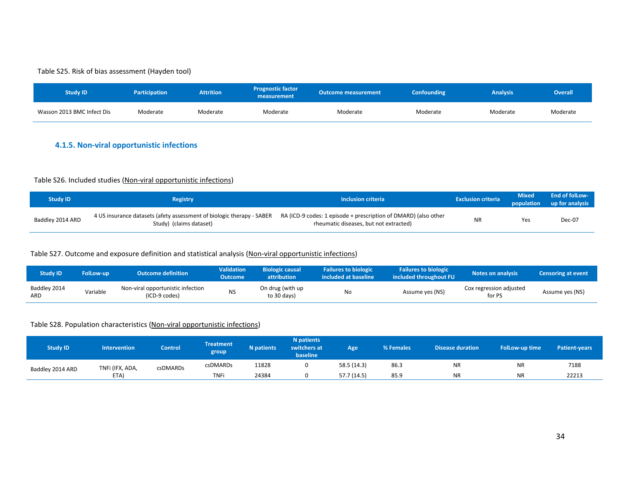#### Table S25. Risk of bias assessment (Hayden tool)

| <b>Study ID</b>            | <b>Participation</b> | <b>Attrition</b> | <b>Prognostic factor</b><br>measurement | <b>Outcome measurement</b> | <b>Confounding</b> | <b>Analysis</b> | <b>Overall</b> |
|----------------------------|----------------------|------------------|-----------------------------------------|----------------------------|--------------------|-----------------|----------------|
| Wasson 2013 BMC Infect Dis | Moderate             | Moderate         | Moderate                                | Moderate                   | Moderate           | Moderate        | Moderate       |

## **4.1.5. Non-viral opportunistic infections**

## Table S26. Included studies (Non-viral opportunistic infections)

| <b>Study ID</b>  | <b>Registry</b>                                                                                                                                                  | <b>Inclusion criteria</b>              | <b>Exclusion criteria</b> | <b>Mixed</b> | <b>End of folLow-</b><br>population up for analysis |
|------------------|------------------------------------------------------------------------------------------------------------------------------------------------------------------|----------------------------------------|---------------------------|--------------|-----------------------------------------------------|
| Baddley 2014 ARD | 4 US insurance datasets (afety assessment of biologic therapy - SABER RA (ICD-9 codes: 1 episode + prescription of DMARD) (also other<br>Study) (claims dataset) | rheumatic diseases, but not extracted) | <b>NR</b>                 | Yes          | Dec-07                                              |

## Table S27. Outcome and exposure definition and statistical analysis (Non-viral opportunistic infections)

| <b>Study ID</b>     | <b>FolLow-up</b> | <b>Outcome definition</b>                          | <b>Validation</b><br><b>Outcome</b> | <b>Biologic causal</b><br><b>attribution</b> | <b>Failures to biologic</b><br>included at baseline | <b>Failures to biologic</b><br>included throughout FU | <b>Notes on analysis</b>          | <b>Censoring at event</b> |
|---------------------|------------------|----------------------------------------------------|-------------------------------------|----------------------------------------------|-----------------------------------------------------|-------------------------------------------------------|-----------------------------------|---------------------------|
| Baddley 2014<br>ARD | Variable         | Non-viral opportunistic infection<br>(ICD-9 codes) | <b>NS</b>                           | On drug (with up<br>to 30 days)              | No                                                  | Assume yes (NS)                                       | Cox regression adjusted<br>for PS | Assume yes (NS)           |

#### Table S28. Population characteristics (Non-viral opportunistic infections)

| <b>Study ID</b>  | Intervention     | Control  | <b>Treatment</b><br>group | <b>N</b> patients | N patients<br>switchers at<br>baseline | Age         | % Females   | <b>Disease duration</b> | FolLow-up time | <b>Patient-vears</b> |       |
|------------------|------------------|----------|---------------------------|-------------------|----------------------------------------|-------------|-------------|-------------------------|----------------|----------------------|-------|
| Baddley 2014 ARD | TNFi (IFX, ADA,  | csDMARDs | <b>csDMARDs</b>           | 11828             |                                        | 58.5 (14.3) | 86.3        | <b>NR</b>               | <b>NR</b>      | 7188                 |       |
|                  | ETA <sup>®</sup> |          |                           | <b>TNF</b>        | 24384                                  |             | 57.7 (14.5) | 85.9                    | <b>NR</b>      | <b>NR</b>            | 22213 |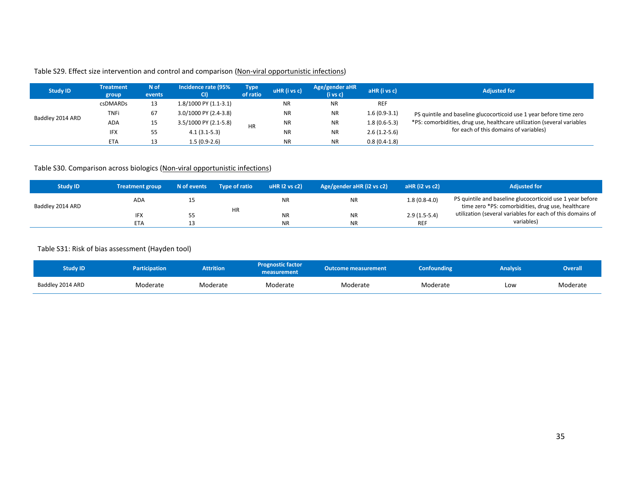## Table S29. Effect size intervention and control and comparison (Non-viral opportunistic infections)

| <b>Study ID</b>  | <b>Treatment</b><br>group | N of<br>events | Incidence rate (95%<br>CI) | <b>Type</b><br>of ratio | uHR (i vs c) | Age/gender aHR<br>(i vs c) | aHR (i vs c)   | <b>Adjusted for</b>                                                     |
|------------------|---------------------------|----------------|----------------------------|-------------------------|--------------|----------------------------|----------------|-------------------------------------------------------------------------|
|                  | csDMARDs                  | 13             | 1.8/1000 PY (1.1-3.1)      |                         | NR           | ΝR                         | <b>REF</b>     |                                                                         |
|                  | <b>TNFi</b>               | 67             | 3.0/1000 PY (2.4-3.8)      |                         | ΝR           | <b>NR</b>                  | $1.6(0.9-3.1)$ | PS quintile and baseline glucocorticoid use 1 year before time zero     |
| Baddley 2014 ARD | <b>ADA</b>                | 15             | 3.5/1000 PY (2.1-5.8)      | <b>HR</b>               | <b>NR</b>    | <b>NR</b>                  | $1.8(0.6-5.3)$ | *PS: comorbidities, drug use, healthcare utilization (several variables |
|                  | <b>IFX</b>                | 55             | $4.1(3.1-5.3)$             |                         | ΝR           | <b>NR</b>                  | $2.6(1.2-5.6)$ | for each of this domains of variables)                                  |
|                  | <b>ETA</b>                | 13             | 1.5 (0.9-2.6)              |                         | <b>NR</b>    | <b>NR</b>                  | $0.8(0.4-1.8)$ |                                                                         |

## Table S30. Comparison across biologics (Non-viral opportunistic infections)

| <b>Study ID</b>  | <b>Treatment group</b> | N of events | Type of ratio | uHR $12$ vs $c2$ | Age/gender aHR (i2 vs c2) | aHR (i2 vs c2) | <b>Adjusted for</b>                                                                                             |
|------------------|------------------------|-------------|---------------|------------------|---------------------------|----------------|-----------------------------------------------------------------------------------------------------------------|
| Baddley 2014 ARD | <b>ADA</b>             |             | <b>HR</b>     | <b>NR</b>        | <b>NR</b>                 | $1.8(0.8-4.0)$ | PS quintile and baseline glucocorticoid use 1 year before<br>time zero *PS: comorbidities, drug use, healthcare |
|                  | <b>IFX</b>             |             |               | <b>NR</b>        | <b>NR</b>                 | $2.9(1.5-5.4)$ | utilization (several variables for each of this domains of                                                      |
|                  | <b>ETA</b>             |             |               | <b>NR</b>        | <b>NR</b>                 | <b>REF</b>     | variables)                                                                                                      |

## Table S31: Risk of bias assessment (Hayden tool)

| Study ID         | <b>Participation</b> | <b>Attrition</b> | <b>Prognostic factor</b><br>measurement | <b>Outcome measurement</b> | <b>Confounding</b> | <b>Analysis</b> | Overall <sup>1</sup> |
|------------------|----------------------|------------------|-----------------------------------------|----------------------------|--------------------|-----------------|----------------------|
| Baddley 2014 ARD | Moderate             | Moderate         | Moderate                                | Moderate                   | Moderate           | Low             | Moderate             |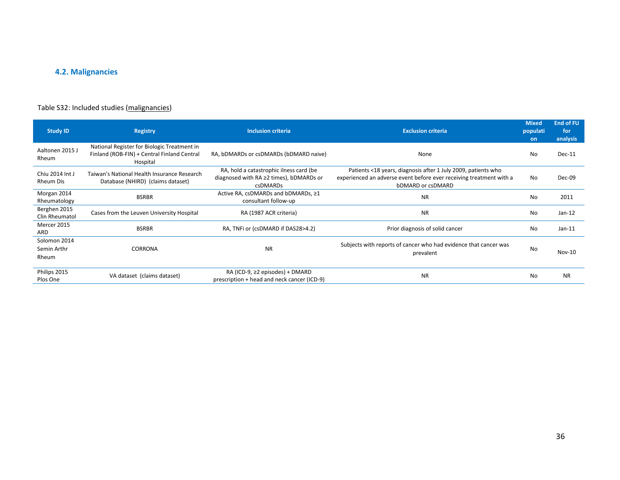# **4.2. Malignancies**

## Table S32: Included studies (malignancies)

| <b>Study ID</b>                      | <b>Registry</b>                                                                                        | <b>Inclusion criteria</b>                                                                                   | <b>Exclusion criteria</b>                                                                                                                                 | <b>Mixed</b><br>populati<br><b>on</b> | <b>End of FU</b><br>for<br>analysis |
|--------------------------------------|--------------------------------------------------------------------------------------------------------|-------------------------------------------------------------------------------------------------------------|-----------------------------------------------------------------------------------------------------------------------------------------------------------|---------------------------------------|-------------------------------------|
| Aaltonen 2015 J<br>Rheum             | National Register for Biologic Treatment in<br>Finland (ROB-FIN) + Central Finland Central<br>Hospital | RA, bDMARDs or csDMARDs (bDMARD naive)                                                                      | None                                                                                                                                                      | <b>No</b>                             | Dec-11                              |
| Chiu 2014 Int J<br>Rheum Dis         | Taiwan's National Health Insurance Research<br>Database (NHIRD) (claims dataset)                       | RA, hold a catastrophic ilness card (be<br>diagnosed with $RA \geq 2$ times), bDMARDs or<br><b>csDMARDs</b> | Patients <18 years, diagnosis after 1 July 2009, patients who<br>experienced an adverse event before ever receiving treatment with a<br>bDMARD or csDMARD | <b>No</b>                             | Dec-09                              |
| Morgan 2014<br>Rheumatology          | <b>BSRBR</b>                                                                                           | Active RA, csDMARDs and bDMARDs, ≥1<br>consultant follow-up                                                 | <b>NR</b>                                                                                                                                                 | <b>No</b>                             | 2011                                |
| Berghen 2015<br>Clin Rheumatol       | Cases from the Leuven University Hospital                                                              | RA (1987 ACR criteria)                                                                                      | <b>NR</b>                                                                                                                                                 | <b>No</b>                             | $Jan-12$                            |
| Mercer 2015<br>ARD                   | <b>BSRBR</b>                                                                                           | RA, TNFi or (csDMARD if DAS28>4.2)                                                                          | Prior diagnosis of solid cancer                                                                                                                           | <b>No</b>                             | $Jan-11$                            |
| Solomon 2014<br>Semin Arthr<br>Rheum | <b>CORRONA</b>                                                                                         | <b>NR</b>                                                                                                   | Subjects with reports of cancer who had evidence that cancer was<br>prevalent                                                                             | <b>No</b>                             | <b>Nov-10</b>                       |
| Philips 2015<br>Plos One             | VA dataset (claims dataset)                                                                            | RA (ICD-9, $\geq$ 2 episodes) + DMARD<br>prescription + head and neck cancer (ICD-9)                        | <b>NR</b>                                                                                                                                                 | <b>No</b>                             | <b>NR</b>                           |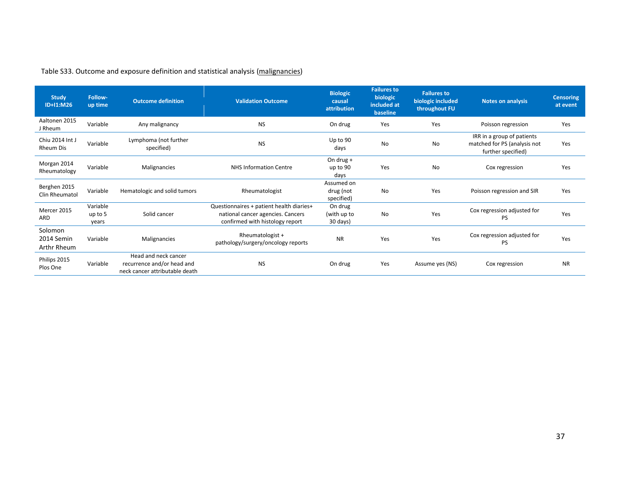| <b>Study</b><br>ID+I1:M26            | Follow-<br>up time           | <b>Outcome definition</b>                                                            | <b>Validation Outcome</b>                                                                                        | <b>Biologic</b><br>causal<br>attribution | <b>Failures to</b><br>biologic<br>included at<br>baseline | <b>Failures to</b><br>biologic included<br>throughout FU | <b>Notes on analysis</b>                                                         | <b>Censoring</b><br>at event |
|--------------------------------------|------------------------------|--------------------------------------------------------------------------------------|------------------------------------------------------------------------------------------------------------------|------------------------------------------|-----------------------------------------------------------|----------------------------------------------------------|----------------------------------------------------------------------------------|------------------------------|
| Aaltonen 2015<br>J Rheum             | Variable                     | Any malignancy                                                                       | <b>NS</b>                                                                                                        | On drug                                  | Yes                                                       | Yes                                                      | Poisson regression                                                               | Yes                          |
| Chiu 2014 Int J<br><b>Rheum Dis</b>  | Variable                     | Lymphoma (not further<br>specified)                                                  | <b>NS</b>                                                                                                        | Up to 90<br>days                         | <b>No</b>                                                 | <b>No</b>                                                | IRR in a group of patients<br>matched for PS (analysis not<br>further specified) | Yes                          |
| Morgan 2014<br>Rheumatology          | Variable                     | Malignancies                                                                         | <b>NHS Information Centre</b>                                                                                    | On drug $+$<br>up to 90<br>days          | Yes                                                       | <b>No</b>                                                | Cox regression                                                                   | Yes                          |
| Berghen 2015<br>Clin Rheumatol       | Variable                     | Hematologic and solid tumors                                                         | Rheumatologist                                                                                                   | Assumed on<br>drug (not<br>specified)    | <b>No</b>                                                 | Yes                                                      | Poisson regression and SIR                                                       | Yes                          |
| Mercer 2015<br>ARD                   | Variable<br>up to 5<br>years | Solid cancer                                                                         | Questionnaires + patient health diaries+<br>national cancer agencies. Cancers<br>confirmed with histology report | On drug<br>(with up to<br>30 days)       | No                                                        | Yes                                                      | Cox regression adjusted for<br><b>PS</b>                                         | Yes                          |
| Solomon<br>2014 Semin<br>Arthr Rheum | Variable                     | Malignancies                                                                         | Rheumatologist +<br>pathology/surgery/oncology reports                                                           | <b>NR</b>                                | Yes                                                       | Yes                                                      | Cox regression adjusted for<br>PS                                                | Yes                          |
| Philips 2015<br>Plos One             | Variable                     | Head and neck cancer<br>recurrence and/or head and<br>neck cancer attributable death | <b>NS</b>                                                                                                        | On drug                                  | Yes                                                       | Assume yes (NS)                                          | Cox regression                                                                   | <b>NR</b>                    |

## Table S33. Outcome and exposure definition and statistical analysis (malignancies)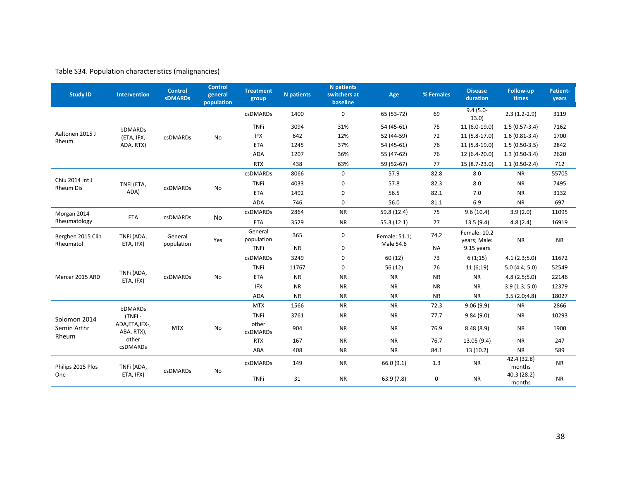## Table S34. Population characteristics (malignancies)

| <b>Study ID</b>                     | Intervention                  | <b>Control</b><br><b>sDMARDs</b> | <b>Control</b><br>general<br>population | <b>Treatment</b><br>group | <b>N</b> patients | <b>N</b> patients<br>switchers at<br>baseline | Age                        | % Females | <b>Disease</b><br>duration   | <b>Follow-up</b><br>times | Patient-<br>years |
|-------------------------------------|-------------------------------|----------------------------------|-----------------------------------------|---------------------------|-------------------|-----------------------------------------------|----------------------------|-----------|------------------------------|---------------------------|-------------------|
|                                     |                               |                                  |                                         | csDMARDs                  | 1400              | $\mathbf 0$                                   | 65 (53-72)                 | 69        | $9.4(5.0 -$<br>13.0)         | $2.3(1.2-2.9)$            | 3119              |
|                                     | bDMARDs                       |                                  |                                         | <b>TNFi</b>               | 3094              | 31%                                           | 54 (45-61)                 | 75        | 11 (6.0-19.0)                | $1.5(0.57-3.4)$           | 7162              |
| Aaltonen 2015 J<br>Rheum            | (ETA, IFX,                    | csDMARDs                         | No                                      | <b>IFX</b>                | 642               | 12%                                           | 52 (44-59)                 | 72        | 11 (5.8-17.0)                | $1.6(0.81-3.4)$           | 1700              |
|                                     | ADA, RTX)                     |                                  |                                         | <b>ETA</b>                | 1245              | 37%                                           | 54 (45-61)                 | 76        | 11 (5.8-19.0)                | $1.5(0.50-3.5)$           | 2842              |
|                                     |                               |                                  |                                         | ADA                       | 1207              | 36%                                           | 55 (47-62)                 | 76        | 12 (6.4-20.0)                | $1.3(0.50-3.4)$           | 2620              |
|                                     |                               |                                  |                                         | <b>RTX</b>                | 438               | 63%                                           | 59 (52-67)                 | 77        | 15 (8.7-23.0)                | $1.1(0.50-2.4)$           | 712               |
|                                     |                               |                                  |                                         | csDMARDs                  | 8066              | $\mathbf 0$                                   | 57.9                       | 82.8      | 8.0                          | <b>NR</b>                 | 55705             |
| Chiu 2014 Int J<br><b>Rheum Dis</b> | TNFi (ETA,                    | csDMARDs                         | No                                      | <b>TNFi</b>               | 4033              | $\mathbf 0$                                   | 57.8                       | 82.3      | 8.0                          | <b>NR</b>                 | 7495              |
|                                     | ADA)                          |                                  |                                         | <b>ETA</b>                | 1492              | $\mathbf 0$                                   | 56.5                       | 82.1      | 7.0                          | <b>NR</b>                 | 3132              |
|                                     |                               |                                  |                                         | <b>ADA</b>                | 746               | $\mathbf 0$                                   | 56.0                       | 81.1      | 6.9                          | <b>NR</b>                 | 697               |
| Morgan 2014                         | <b>ETA</b>                    | <b>csDMARDs</b>                  |                                         | csDMARDs                  | 2864              | <b>NR</b>                                     | 59.8 (12.4)                | 75        | 9.6(10.4)                    | 3.9(2.0)                  | 11095             |
| Rheumatology                        |                               |                                  | No                                      | <b>ETA</b>                | 3529              | <b>NR</b>                                     | 55.3(12.1)                 | 77        | 13.5(9.4)                    | 4.8(2.4)                  | 16919             |
| Berghen 2015 Clin<br>Rheumatol      | TNFi (ADA,<br>ETA, IFX)       | General<br>population            | Yes                                     | General<br>population     | 365               | 0                                             | Female: 51.1;<br>Male 54.6 | 74.2      | Female: 10.2<br>years; Male: | <b>NR</b>                 | <b>NR</b>         |
|                                     |                               |                                  |                                         | <b>TNFi</b>               | <b>NR</b>         | $\mathbf 0$                                   |                            | <b>NA</b> | 9.15 years                   |                           |                   |
|                                     |                               |                                  |                                         | <b>csDMARDs</b>           | 3249              | $\mathbf 0$                                   | 60(12)                     | 73        | 6(1;15)                      | 4.1(2.3;5.0)              | 11672             |
|                                     | TNFi (ADA,                    |                                  |                                         | <b>TNFi</b>               | 11767             | $\mathbf 0$                                   | 56 (12)                    | 76        | 11(6;19)                     | 5.0(4.4; 5.0)             | 52549             |
| Mercer 2015 ARD                     | ETA, IFX)                     | csDMARDs                         | No                                      | <b>ETA</b>                | <b>NR</b>         | <b>NR</b>                                     | <b>NR</b>                  | <b>NR</b> | <b>NR</b>                    | 4.8(2.5;5.0)              | 22146             |
|                                     |                               |                                  |                                         | <b>IFX</b>                | <b>NR</b>         | <b>NR</b>                                     | <b>NR</b>                  | <b>NR</b> | <b>NR</b>                    | 3.9(1.3; 5.0)             | 12379             |
|                                     |                               |                                  |                                         | ADA                       | <b>NR</b>         | <b>NR</b>                                     | <b>NR</b>                  | <b>NR</b> | <b>NR</b>                    | 3.5(2.0;4.8)              | 18027             |
|                                     | bDMARDs                       |                                  |                                         | <b>MTX</b>                | 1566              | <b>NR</b>                                     | <b>NR</b>                  | 72.3      | 9.06(9.9)                    | <b>NR</b>                 | 2866              |
| Solomon 2014                        | (TNFi-                        |                                  |                                         | <b>TNFi</b>               | 3761              | <b>NR</b>                                     | <b>NR</b>                  | 77.7      | 9.84(9.0)                    | <b>NR</b>                 | 10293             |
| Semin Arthr                         | ADA, ETA, IFX-,<br>ABA, RTX), | <b>MTX</b>                       | No                                      | other<br><b>csDMARDs</b>  | 904               | <b>NR</b>                                     | <b>NR</b>                  | 76.9      | 8.48(8.9)                    | <b>NR</b>                 | 1900              |
| Rheum                               | other                         |                                  |                                         | <b>RTX</b>                | 167               | <b>NR</b>                                     | <b>NR</b>                  | 76.7      | 13.05 (9.4)                  | <b>NR</b>                 | 247               |
|                                     | <b>csDMARDs</b>               |                                  |                                         | ABA                       | 408               | <b>NR</b>                                     | <b>NR</b>                  | 84.1      | 13(10.2)                     | <b>NR</b>                 | 589               |
| Philips 2015 Plos                   | TNFi (ADA,                    | <b>csDMARDs</b>                  | No                                      | csDMARDs                  | 149               | <b>NR</b>                                     | 66.0 (9.1)                 | 1.3       | <b>NR</b>                    | 42.4 (32.8)<br>months     | <b>NR</b>         |
| ETA, IFX)<br>One                    |                               |                                  |                                         | <b>TNFi</b>               | 31                | <b>NR</b>                                     | 63.9(7.8)                  | 0         | <b>NR</b>                    | 40.3 (28.2)<br>months     | <b>NR</b>         |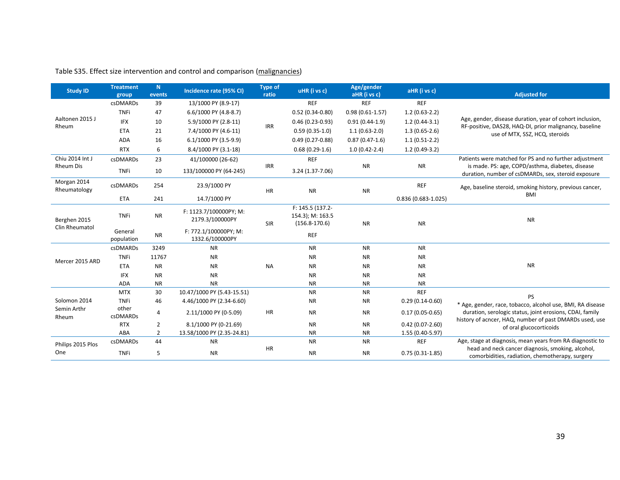| <b>Study ID</b>             | <b>Treatment</b><br>group | N<br>events    | Incidence rate (95% CI)                   | <b>Type of</b><br>ratio | uHR (i vs c)                                              | Age/gender<br>aHR (i vs c) | aHR (i vs c)           | <b>Adjusted for</b>                                                                                                 |
|-----------------------------|---------------------------|----------------|-------------------------------------------|-------------------------|-----------------------------------------------------------|----------------------------|------------------------|---------------------------------------------------------------------------------------------------------------------|
|                             | <b>csDMARDs</b>           | 39             | 13/1000 PY (8.9-17)                       |                         | <b>REF</b>                                                | <b>REF</b>                 | <b>REF</b>             |                                                                                                                     |
|                             | <b>TNFi</b>               | 47             | 6.6/1000 PY (4.8-8.7)                     |                         | $0.52(0.34-0.80)$                                         | $0.98(0.61 - 1.57)$        | $1.2(0.63-2.2)$        |                                                                                                                     |
| Aaltonen 2015 J             | <b>IFX</b>                | 10             | 5.9/1000 PY (2.8-11)                      |                         | $0.46(0.23-0.93)$                                         | $0.91(0.44-1.9)$           | $1.2(0.44-3.1)$        | Age, gender, disease duration, year of cohort inclusion,                                                            |
| Rheum                       | <b>ETA</b>                | 21             | 7.4/1000 PY (4.6-11)                      | <b>IRR</b>              | $0.59(0.35-1.0)$                                          | $1.1(0.63-2.0)$            | $1.3(0.65-2.6)$        | RF-positive, DAS28, HAQ-DI, prior malignancy, baseline<br>use of MTX, SSZ, HCQ, steroids                            |
|                             | <b>ADA</b>                | 16             | 6.1/1000 PY (3.5-9.9)                     |                         | $0.49(0.27-0.88)$                                         | $0.87(0.47-1.6)$           | $1.1(0.51-2.2)$        |                                                                                                                     |
|                             | <b>RTX</b>                | 6              | 8.4/1000 PY (3.1-18)                      |                         | $0.68(0.29-1.6)$                                          | $1.0(0.42-2.4)$            | $1.2(0.49-3.2)$        |                                                                                                                     |
| Chiu 2014 Int J             | csDMARDs                  | 23             | 41/100000 (26-62)                         |                         | <b>REF</b>                                                |                            |                        | Patients were matched for PS and no further adjustment                                                              |
| <b>Rheum Dis</b>            | <b>TNFi</b>               | 10             | 133/100000 PY (64-245)                    | <b>IRR</b>              | 3.24 (1.37-7.06)                                          | <b>NR</b>                  | <b>NR</b>              | is made. PS: age, COPD/asthma, diabetes, disease<br>duration, number of csDMARDs, sex, steroid exposure             |
| Morgan 2014<br>Rheumatology | csDMARDs                  | 254            | 23.9/1000 PY                              | HR                      | <b>NR</b>                                                 | <b>NR</b>                  | <b>REF</b>             | Age, baseline steroid, smoking history, previous cancer,                                                            |
|                             | <b>ETA</b>                | 241            | 14.7/1000 PY                              |                         |                                                           |                            | $0.836(0.683 - 1.025)$ | <b>BMI</b>                                                                                                          |
| Berghen 2015                | ${\sf NR}$<br>TNFi        |                | F: 1123.7/100000PY; M:<br>2179.3/100000PY | SIR                     | F: 145.5 (137.2-<br>154.3); M: 163.5<br>$(156.8 - 170.6)$ | <b>NR</b>                  | <b>NR</b>              | <b>NR</b>                                                                                                           |
| Clin Rheumatol              | General<br>population     | <b>NR</b>      | F: 772.1/100000PY; M:<br>1332.6/100000PY  |                         | <b>REF</b>                                                |                            |                        |                                                                                                                     |
|                             | csDMARDs                  | 3249           | <b>NR</b>                                 |                         | <b>NR</b>                                                 | <b>NR</b>                  | <b>NR</b>              |                                                                                                                     |
| Mercer 2015 ARD             | <b>TNFi</b>               | 11767          | <b>NR</b>                                 |                         | <b>NR</b>                                                 | <b>NR</b>                  | <b>NR</b>              |                                                                                                                     |
|                             | <b>ETA</b>                | <b>NR</b>      | <b>NR</b>                                 | <b>NA</b>               | <b>NR</b>                                                 | <b>NR</b>                  | <b>NR</b>              | <b>NR</b>                                                                                                           |
|                             | <b>IFX</b>                | <b>NR</b>      | <b>NR</b>                                 |                         | <b>NR</b>                                                 | <b>NR</b>                  | <b>NR</b>              |                                                                                                                     |
|                             | <b>ADA</b>                | <b>NR</b>      | <b>NR</b>                                 |                         | <b>NR</b>                                                 | <b>NR</b>                  | <b>NR</b>              |                                                                                                                     |
|                             | <b>MTX</b>                | 30             | 10.47/1000 PY (5.43-15.51)                |                         | <b>NR</b>                                                 | <b>NR</b>                  | <b>REF</b>             | <b>PS</b>                                                                                                           |
| Solomon 2014                | <b>TNFi</b>               | 46             | 4.46/1000 PY (2.34-6.60)                  |                         | <b>NR</b>                                                 | <b>NR</b>                  | $0.29(0.14-0.60)$      | * Age, gender, race, tobacco, alcohol use, BMI, RA disease                                                          |
| Semin Arthr<br>Rheum        | other<br>csDMARDs         | 4              | 2.11/1000 PY (0-5.09)                     | <b>HR</b>               | <b>NR</b>                                                 | <b>NR</b>                  | $0.17(0.05 - 0.65)$    | duration, serologic status, joint erosions, CDAI, family<br>history of acncer, HAQ, number of past DMARDs used, use |
|                             | <b>RTX</b>                | $\overline{2}$ | 8.1/1000 PY (0-21.69)                     |                         | <b>NR</b>                                                 | <b>NR</b>                  | $0.42(0.07 - 2.60)$    | of oral glucocorticoids                                                                                             |
|                             | ABA                       | $\overline{2}$ | 13.58/1000 PY (2.35-24.81)                |                         | <b>NR</b>                                                 | <b>NR</b>                  | 1.55 (0.40-5.97)       |                                                                                                                     |
| Philips 2015 Plos           | csDMARDs                  | 44             | <b>NR</b>                                 |                         | <b>NR</b>                                                 | <b>NR</b>                  | <b>REF</b>             | Age, stage at diagnosis, mean years from RA diagnostic to                                                           |
| One                         | TNFi                      | 5              | <b>NR</b>                                 | HR                      | <b>NR</b>                                                 | <b>NR</b>                  | $0.75(0.31-1.85)$      | head and neck cancer diagnosis, smoking, alcohol,<br>comorbidities, radiation, chemotherapy, surgery                |

## Table S35. Effect size intervention and control and comparison (malignancies)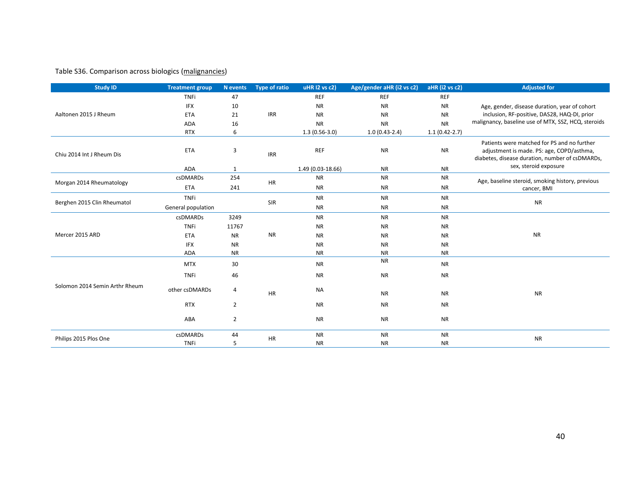## Table S36. Comparison across biologics (malignancies)

| <b>Study ID</b>                | <b>Treatment group</b> | N events       | <b>Type of ratio</b> | uHR I2 vs c2)     | Age/gender aHR (i2 vs c2) | aHR (i2 vs c2)  | <b>Adjusted for</b>                                                                                                                         |           |           |           |
|--------------------------------|------------------------|----------------|----------------------|-------------------|---------------------------|-----------------|---------------------------------------------------------------------------------------------------------------------------------------------|-----------|-----------|-----------|
|                                | <b>TNFi</b>            | 47             |                      | <b>REF</b>        | <b>REF</b>                | <b>REF</b>      |                                                                                                                                             |           |           |           |
|                                | <b>IFX</b>             | 10             |                      | <b>NR</b>         | <b>NR</b>                 | <b>NR</b>       | Age, gender, disease duration, year of cohort                                                                                               |           |           |           |
| Aaltonen 2015 J Rheum          | <b>ETA</b>             | 21             | <b>IRR</b>           | <b>NR</b>         | <b>NR</b>                 | <b>NR</b>       | inclusion, RF-positive, DAS28, HAQ-DI, prior                                                                                                |           |           |           |
|                                | ADA                    | 16             |                      | <b>NR</b>         | <b>NR</b>                 | <b>NR</b>       | malignancy, baseline use of MTX, SSZ, HCQ, steroids                                                                                         |           |           |           |
|                                | <b>RTX</b>             | 6              |                      | $1.3(0.56-3.0)$   | $1.0(0.43-2.4)$           | $1.1(0.42-2.7)$ |                                                                                                                                             |           |           |           |
| Chiu 2014 Int J Rheum Dis      | <b>ETA</b>             | 3              | <b>IRR</b>           | <b>REF</b>        | <b>NR</b>                 | <b>NR</b>       | Patients were matched for PS and no further<br>adjustment is made. PS: age, COPD/asthma,<br>diabetes, disease duration, number of csDMARDs, |           |           |           |
|                                | <b>ADA</b>             | 1              |                      | 1.49 (0.03-18.66) | <b>NR</b>                 | <b>NR</b>       | sex, steroid exposure                                                                                                                       |           |           |           |
| Morgan 2014 Rheumatology       | csDMARDs               | 254            | HR                   | <b>NR</b>         | <b>NR</b>                 | <b>NR</b>       | Age, baseline steroid, smoking history, previous                                                                                            |           |           |           |
|                                | <b>ETA</b>             | 241            |                      | <b>NR</b>         | <b>NR</b>                 | <b>NR</b>       | cancer, BMI                                                                                                                                 |           |           |           |
|                                | <b>TNFi</b>            |                |                      | <b>NR</b>         | <b>NR</b>                 | <b>NR</b>       |                                                                                                                                             |           |           |           |
| Berghen 2015 Clin Rheumatol    | General population     |                | SIR                  | <b>NR</b>         | <b>NR</b>                 | <b>NR</b>       | <b>NR</b>                                                                                                                                   |           |           |           |
|                                | <b>csDMARDs</b>        | 3249           |                      | <b>NR</b>         | <b>NR</b>                 | <b>NR</b>       |                                                                                                                                             |           |           |           |
|                                | <b>TNFi</b>            | 11767          |                      | <b>NR</b>         | <b>NR</b>                 | <b>NR</b>       |                                                                                                                                             |           |           |           |
| Mercer 2015 ARD                | <b>ETA</b>             | <b>NR</b>      | <b>NR</b>            |                   |                           |                 | <b>NR</b>                                                                                                                                   | <b>NR</b> | <b>NR</b> | <b>NR</b> |
|                                | <b>IFX</b>             | <b>NR</b>      |                      | <b>NR</b>         | <b>NR</b>                 | <b>NR</b>       |                                                                                                                                             |           |           |           |
|                                | ADA                    | <b>NR</b>      |                      | <b>NR</b>         | <b>NR</b>                 | <b>NR</b>       |                                                                                                                                             |           |           |           |
|                                | <b>MTX</b>             | 30             |                      | <b>NR</b>         | <b>NR</b>                 | <b>NR</b>       |                                                                                                                                             |           |           |           |
|                                | <b>TNFi</b>            | 46             |                      | <b>NR</b>         | <b>NR</b>                 | <b>NR</b>       |                                                                                                                                             |           |           |           |
| Solomon 2014 Semin Arthr Rheum | other csDMARDs         | 4              | <b>HR</b>            | <b>NA</b>         | <b>NR</b>                 | <b>NR</b>       | <b>NR</b>                                                                                                                                   |           |           |           |
|                                | <b>RTX</b>             | $\overline{2}$ |                      | <b>NR</b>         | <b>NR</b>                 | <b>NR</b>       |                                                                                                                                             |           |           |           |
|                                | ABA                    | $\overline{2}$ |                      | <b>NR</b>         | <b>NR</b>                 | <b>NR</b>       |                                                                                                                                             |           |           |           |
| Philips 2015 Plos One          | <b>csDMARDs</b>        | 44             | <b>HR</b>            | <b>NR</b>         | <b>NR</b>                 | <b>NR</b>       | <b>NR</b>                                                                                                                                   |           |           |           |
|                                | <b>TNFi</b>            | 5              |                      | <b>NR</b>         | <b>NR</b>                 | <b>NR</b>       |                                                                                                                                             |           |           |           |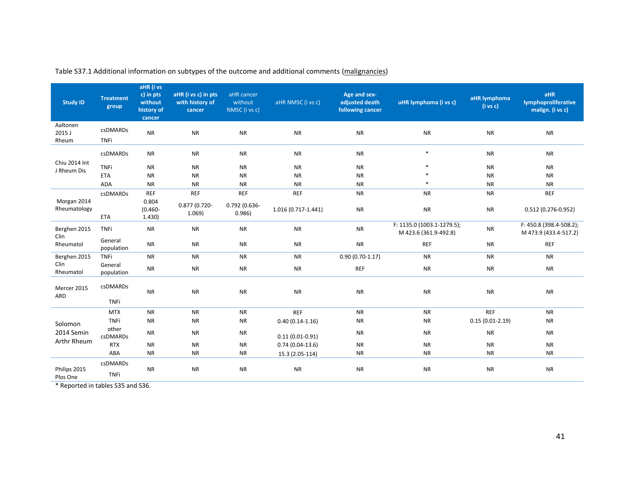| <b>Study ID</b>              | <b>Treatment</b><br>group | aHR (i vs<br>c) in pts<br>without<br>history of<br>cancer | aHR (i vs c) in pts<br>with history of<br>cancer | aHR cancer<br>without<br>NMSC (i vs c) | aHR NMSC (i vs c)   | Age and sex-<br>adjusted death<br>following cancer | uHR lymphoma (i vs c)                               | aHR lymphoma<br>$(i \text{ vs } c)$ | aHR<br><b>lymphoproliferative</b><br>malign. (i vs c) |
|------------------------------|---------------------------|-----------------------------------------------------------|--------------------------------------------------|----------------------------------------|---------------------|----------------------------------------------------|-----------------------------------------------------|-------------------------------------|-------------------------------------------------------|
| Aaltonen<br>2015 J<br>Rheum  | csDMARDs<br><b>TNFi</b>   | <b>NR</b>                                                 | <b>NR</b>                                        | <b>NR</b>                              | <b>NR</b>           | <b>NR</b>                                          | <b>NR</b>                                           | <b>NR</b>                           | <b>NR</b>                                             |
|                              | <b>csDMARDs</b>           | <b>NR</b>                                                 | <b>NR</b>                                        | <b>NR</b>                              | <b>NR</b>           | <b>NR</b>                                          | $\ast$                                              | <b>NR</b>                           | <b>NR</b>                                             |
| Chiu 2014 Int<br>J Rheum Dis | <b>TNFi</b>               | <b>NR</b>                                                 | <b>NR</b>                                        | <b>NR</b>                              | <b>NR</b>           | <b>NR</b>                                          | $\ast$                                              | <b>NR</b>                           | <b>NR</b>                                             |
|                              | <b>ETA</b>                | <b>NR</b>                                                 | <b>NR</b>                                        | <b>NR</b>                              | <b>NR</b>           | <b>NR</b>                                          |                                                     | <b>NR</b>                           | <b>NR</b>                                             |
|                              | <b>ADA</b>                | <b>NR</b>                                                 | <b>NR</b>                                        | <b>NR</b>                              | <b>NR</b>           | <b>NR</b>                                          | $\ast$                                              | <b>NR</b>                           | <b>NR</b>                                             |
|                              | csDMARDs                  | <b>REF</b>                                                | <b>REF</b>                                       | <b>REF</b>                             | REF                 | <b>NR</b>                                          | <b>NR</b>                                           | <b>NR</b>                           | <b>REF</b>                                            |
| Morgan 2014<br>Rheumatology  | <b>ETA</b>                | 0.804<br>$(0.460 -$<br>1.430)                             | 0.877 (0.720-<br>1.069                           | 0.792 (0.636-<br>0.986)                | 1.016 (0.717-1.441) | <b>NR</b>                                          | <b>NR</b>                                           | <b>NR</b>                           | $0.512(0.276-0.952)$                                  |
| Berghen 2015                 | <b>TNFi</b>               | <b>NR</b>                                                 | <b>NR</b>                                        | <b>NR</b>                              | <b>NR</b>           | <b>NR</b>                                          | F: 1135.0 (1003.1-1279.5);<br>M 423.6 (361.9-492.8) | <b>NR</b>                           | F: 450.8 (398.4-508.2);<br>M 473.9 (433.4-517.2)      |
| Clin<br>Rheumatol            | General<br>population     | <b>NR</b>                                                 | <b>NR</b>                                        | <b>NR</b>                              | <b>NR</b>           | <b>NR</b>                                          | <b>REF</b>                                          | <b>NR</b>                           | <b>REF</b>                                            |
| Berghen 2015                 | <b>TNFi</b>               | <b>NR</b>                                                 | <b>NR</b>                                        | <b>NR</b>                              | <b>NR</b>           | $0.90(0.70-1.17)$                                  | <b>NR</b>                                           | <b>NR</b>                           | <b>NR</b>                                             |
| Clin<br>Rheumatol            | General<br>population     | <b>NR</b>                                                 | <b>NR</b>                                        | <b>NR</b>                              | <b>NR</b>           | <b>REF</b>                                         | <b>NR</b>                                           | <b>NR</b>                           | <b>NR</b>                                             |
| Mercer 2015<br>ARD           | csDMARDs<br><b>TNFi</b>   | <b>NR</b>                                                 | <b>NR</b>                                        | <b>NR</b>                              | <b>NR</b>           | <b>NR</b>                                          | <b>NR</b>                                           | <b>NR</b>                           | <b>NR</b>                                             |
|                              | <b>MTX</b>                | <b>NR</b>                                                 | <b>NR</b>                                        | <b>NR</b>                              | <b>REF</b>          | <b>NR</b>                                          | <b>NR</b>                                           | <b>REF</b>                          | <b>NR</b>                                             |
| Solomon                      | <b>TNFi</b>               | <b>NR</b>                                                 | <b>NR</b>                                        | <b>NR</b>                              | $0.40(0.14-1.16)$   | <b>NR</b>                                          | <b>NR</b>                                           | $0.15(0.01-2.19)$                   | <b>NR</b>                                             |
| 2014 Semin                   | other<br><b>csDMARDs</b>  | <b>NR</b>                                                 | <b>NR</b>                                        | <b>NR</b>                              | $0.11(0.01 - 0.91)$ | <b>NR</b>                                          | <b>NR</b>                                           | <b>NR</b>                           | <b>NR</b>                                             |
| Arthr Rheum                  | <b>RTX</b>                | <b>NR</b>                                                 | <b>NR</b>                                        | <b>NR</b>                              | $0.74(0.04-13.6)$   | <b>NR</b>                                          | <b>NR</b>                                           | <b>NR</b>                           | <b>NR</b>                                             |
|                              | ABA                       | <b>NR</b>                                                 | <b>NR</b>                                        | <b>NR</b>                              | 15.3 (2.05-114)     | <b>NR</b>                                          | <b>NR</b>                                           | <b>NR</b>                           | <b>NR</b>                                             |
| Philips 2015<br>Plos One     | csDMARDs<br><b>TNFi</b>   | <b>NR</b>                                                 | <b>NR</b>                                        | <b>NR</b>                              | <b>NR</b>           | <b>NR</b>                                          | <b>NR</b>                                           | <b>NR</b>                           | <b>NR</b>                                             |

Table S37.1 Additional information on subtypes of the outcome and additional comments (malignancies)

\* Reported in tables S35 and S36.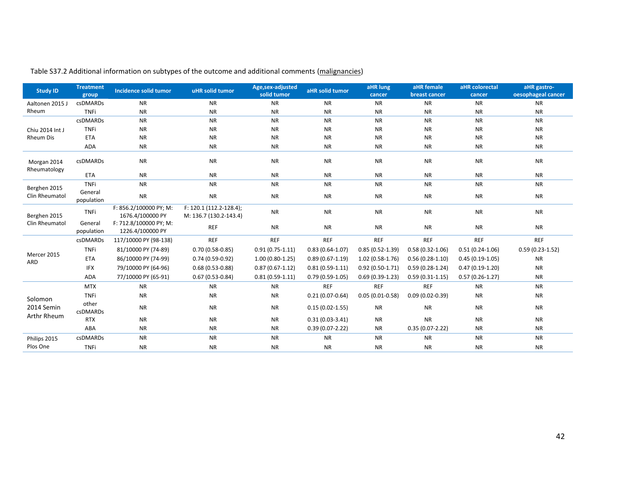| <b>Study ID</b>             | <b>Treatment</b><br>group | <b>Incidence solid tumor</b>               | uHR solid tumor                                   | Age,sex-adjusted<br>solid tumor | aHR solid tumor     | aHR lung<br>cancer  | aHR female<br>breast cancer | aHR colorectal<br>cancer | aHR gastro-<br>oesophageal cancer |
|-----------------------------|---------------------------|--------------------------------------------|---------------------------------------------------|---------------------------------|---------------------|---------------------|-----------------------------|--------------------------|-----------------------------------|
| Aaltonen 2015 J             | csDMARDs                  | <b>NR</b>                                  | <b>NR</b>                                         | <b>NR</b>                       | <b>NR</b>           | <b>NR</b>           | <b>NR</b>                   | <b>NR</b>                | <b>NR</b>                         |
| Rheum                       | <b>TNFi</b>               | <b>NR</b>                                  | <b>NR</b>                                         | <b>NR</b>                       | <b>NR</b>           | <b>NR</b>           | <b>NR</b>                   | <b>NR</b>                | <b>NR</b>                         |
|                             | <b>csDMARDs</b>           | <b>NR</b>                                  | <b>NR</b>                                         | <b>NR</b>                       | <b>NR</b>           | <b>NR</b>           | <b>NR</b>                   | <b>NR</b>                | <b>NR</b>                         |
| Chiu 2014 Int J             | <b>TNFi</b>               | <b>NR</b>                                  | <b>NR</b>                                         | <b>NR</b>                       | <b>NR</b>           | <b>NR</b>           | <b>NR</b>                   | <b>NR</b>                | <b>NR</b>                         |
| <b>Rheum Dis</b>            | <b>ETA</b>                | <b>NR</b>                                  | <b>NR</b>                                         | <b>NR</b>                       | <b>NR</b>           | <b>NR</b>           | <b>NR</b>                   | <b>NR</b>                | <b>NR</b>                         |
|                             | ADA                       | <b>NR</b>                                  | <b>NR</b>                                         | <b>NR</b>                       | <b>NR</b>           | <b>NR</b>           | <b>NR</b>                   | <b>NR</b>                | <b>NR</b>                         |
| Morgan 2014<br>Rheumatology | csDMARDs                  | <b>NR</b>                                  | <b>NR</b>                                         | <b>NR</b>                       | <b>NR</b>           | <b>NR</b>           | <b>NR</b>                   | <b>NR</b>                | <b>NR</b>                         |
|                             | <b>ETA</b>                | <b>NR</b>                                  | <b>NR</b>                                         | <b>NR</b>                       | <b>NR</b>           | <b>NR</b>           | <b>NR</b>                   | <b>NR</b>                | <b>NR</b>                         |
| Berghen 2015                | <b>TNFi</b>               | <b>NR</b>                                  | <b>NR</b>                                         | <b>NR</b>                       | <b>NR</b>           | <b>NR</b>           | <b>NR</b>                   | <b>NR</b>                | <b>NR</b>                         |
| Clin Rheumatol              | General<br>population     | <b>NR</b>                                  | <b>NR</b>                                         | <b>NR</b>                       | <b>NR</b>           | <b>NR</b>           | <b>NR</b>                   | <b>NR</b>                | <b>NR</b>                         |
| Berghen 2015                | <b>TNFi</b>               | F: 856.2/100000 PY; M:<br>1676.4/100000 PY | F: 120.1 (112.2-128.4);<br>M: 136.7 (130.2-143.4) | <b>NR</b>                       | <b>NR</b>           | <b>NR</b>           | <b>NR</b>                   | <b>NR</b>                | <b>NR</b>                         |
| Clin Rheumatol              | General<br>population     | F: 712.8/100000 PY; M:<br>1226.4/100000 PY | <b>REF</b>                                        | <b>NR</b>                       | <b>NR</b>           | <b>NR</b>           | <b>NR</b>                   | <b>NR</b>                | <b>NR</b>                         |
|                             | csDMARDs                  | 117/10000 PY (98-138)                      | <b>REF</b>                                        | <b>REF</b>                      | <b>REF</b>          | <b>REF</b>          | <b>REF</b>                  | <b>REF</b>               | <b>REF</b>                        |
|                             | <b>TNFi</b>               | 81/10000 PY (74-89)                        | $0.70(0.58-0.85)$                                 | $0.91(0.75-1.11)$               | $0.83(0.64-1.07)$   | $0.85(0.52 - 1.39)$ | $0.58(0.32 - 1.06)$         | $0.51(0.24-1.06)$        | $0.59(0.23-1.52)$                 |
| Mercer 2015<br>ARD          | <b>ETA</b>                | 86/10000 PY (74-99)                        | $0.74(0.59-0.92)$                                 | $1.00(0.80-1.25)$               | $0.89(0.67-1.19)$   | $1.02(0.58-1.76)$   | $0.56(0.28-1.10)$           | $0.45(0.19-1.05)$        | <b>NR</b>                         |
|                             | <b>IFX</b>                | 79/10000 PY (64-96)                        | $0.68(0.53 - 0.88)$                               | $0.87(0.67 - 1.12)$             | $0.81(0.59-1.11)$   | $0.92(0.50-1.71)$   | $0.59(0.28-1.24)$           | $0.47(0.19-1.20)$        | <b>NR</b>                         |
|                             | <b>ADA</b>                | 77/10000 PY (65-91)                        | $0.67(0.53 - 0.84)$                               | $0.81(0.59-1.11)$               | $0.79(0.59-1.05)$   | $0.69(0.39-1.23)$   | $0.59(0.31-1.15)$           | $0.57(0.26-1.27)$        | <b>NR</b>                         |
|                             | <b>MTX</b>                | <b>NR</b>                                  | <b>NR</b>                                         | <b>NR</b>                       | <b>REF</b>          | <b>REF</b>          | <b>REF</b>                  | <b>NR</b>                | <b>NR</b>                         |
| Solomon                     | <b>TNFi</b>               | <b>NR</b>                                  | <b>NR</b>                                         | <b>NR</b>                       | $0.21(0.07-0.64)$   | $0.05(0.01-0.58)$   | $0.09(0.02 - 0.39)$         | <b>NR</b>                | <b>NR</b>                         |
| 2014 Semin                  | other<br>csDMARDs         | <b>NR</b>                                  | <b>NR</b>                                         | <b>NR</b>                       | $0.15(0.02 - 1.55)$ | <b>NR</b>           | <b>NR</b>                   | <b>NR</b>                | <b>NR</b>                         |
| Arthr Rheum                 | <b>RTX</b>                | <b>NR</b>                                  | <b>NR</b>                                         | <b>NR</b>                       | $0.31(0.03-3.41)$   | <b>NR</b>           | <b>NR</b>                   | <b>NR</b>                | <b>NR</b>                         |
|                             | ABA                       | <b>NR</b>                                  | <b>NR</b>                                         | <b>NR</b>                       | $0.39(0.07 - 2.22)$ | <b>NR</b>           | $0.35(0.07-2.22)$           | <b>NR</b>                | <b>NR</b>                         |
| Philips 2015                | csDMARDs                  | <b>NR</b>                                  | <b>NR</b>                                         | <b>NR</b>                       | <b>NR</b>           | <b>NR</b>           | <b>NR</b>                   | <b>NR</b>                | <b>NR</b>                         |
| Plos One                    | <b>TNFi</b>               | <b>NR</b>                                  | <b>NR</b>                                         | <b>NR</b>                       | <b>NR</b>           | <b>NR</b>           | <b>NR</b>                   | <b>NR</b>                | <b>NR</b>                         |

Table S37.2 Additional information on subtypes of the outcome and additional comments (malignancies)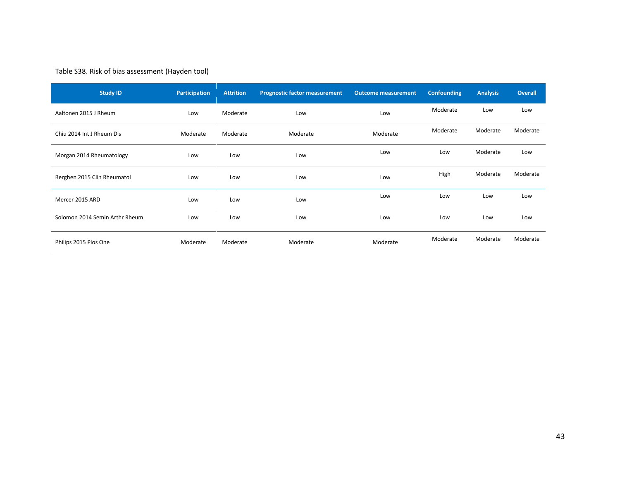## Table S38. Risk of bias assessment (Hayden tool)

| <b>Study ID</b>                | Participation | <b>Attrition</b> | <b>Prognostic factor measurement</b> | <b>Outcome measurement</b> | <b>Confounding</b> | <b>Analysis</b> | <b>Overall</b> |
|--------------------------------|---------------|------------------|--------------------------------------|----------------------------|--------------------|-----------------|----------------|
| Aaltonen 2015 J Rheum          | Low           | Moderate         | Low                                  | Low                        | Moderate           | Low             | Low            |
| Chiu 2014 Int J Rheum Dis      | Moderate      | Moderate         | Moderate                             | Moderate                   | Moderate           | Moderate        | Moderate       |
| Morgan 2014 Rheumatology       | Low           | Low              | Low                                  | Low                        | Low                | Moderate        | Low            |
| Berghen 2015 Clin Rheumatol    | Low           | Low              | Low                                  | Low                        | High               | Moderate        | Moderate       |
| Mercer 2015 ARD                | Low           | Low              | Low                                  | Low                        | Low                | Low             | Low            |
| Solomon 2014 Semin Arthr Rheum | Low           | Low              | Low                                  | Low                        | Low                | Low             | Low            |
| Philips 2015 Plos One          | Moderate      | Moderate         | Moderate                             | Moderate                   | Moderate           | Moderate        | Moderate       |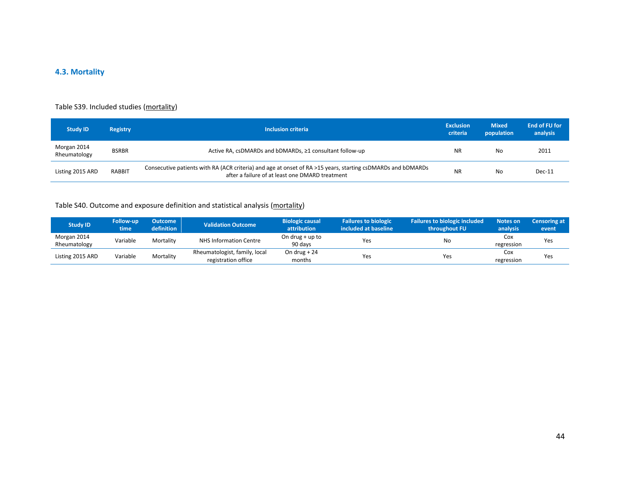## **4.3. Mortality**

#### Table S39. Included studies (mortality)

| <b>Study ID</b>             | <b>Registry</b> | Inclusion criteria                                                                                                                                             | <b>Exclusion</b><br>criteria | <b>Mixed</b><br>population | <b>End of FU for</b><br>analysis |
|-----------------------------|-----------------|----------------------------------------------------------------------------------------------------------------------------------------------------------------|------------------------------|----------------------------|----------------------------------|
| Morgan 2014<br>Rheumatology | <b>BSRBR</b>    | Active RA, csDMARDs and bDMARDs, ≥1 consultant follow-up                                                                                                       | <b>NR</b>                    | No                         | 2011                             |
| Listing 2015 ARD            | <b>RABBIT</b>   | Consecutive patients with RA (ACR criteria) and age at onset of RA >15 years, starting csDMARDs and bDMARDs<br>after a failure of at least one DMARD treatment | <b>NR</b>                    | No                         | $Dec-11$                         |

## Table S40. Outcome and exposure definition and statistical analysis (mortality)

| <b>Study ID</b>             | <b>Follow-up</b><br>time | Outcome<br><b>definition</b> | Validation Outcome                                   | <b>Biologic causal</b><br>attribution | <b>Failures to biologic</b><br>included at baseline | Failures to biologic included<br>throughout FU | Notes on<br>analysis | <b>Censoring at</b><br>event |
|-----------------------------|--------------------------|------------------------------|------------------------------------------------------|---------------------------------------|-----------------------------------------------------|------------------------------------------------|----------------------|------------------------------|
| Morgan 2014<br>Rheumatology | Variable                 | Mortality                    | NHS Information Centre                               | On drug $+$ up to<br>90 days          | Yes                                                 | No                                             | Cox<br>regression    | Yes                          |
| Listing 2015 ARD            | Variable                 | Mortality                    | Rheumatologist, family, local<br>registration office | On drug $+24$<br>months               | Yes                                                 | Yes                                            | Cox<br>regression    | Yes                          |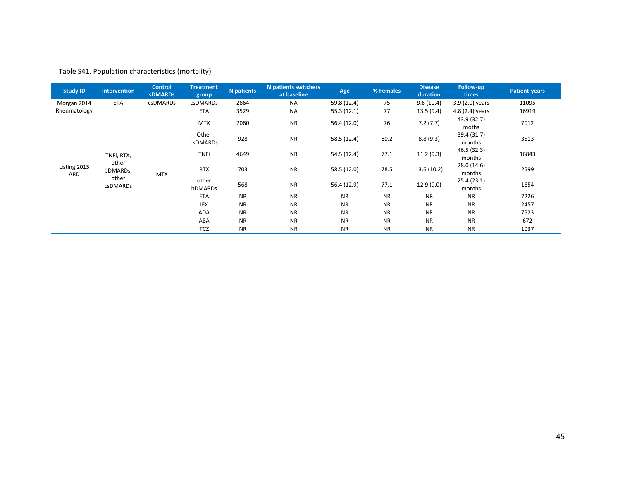## Table S41. Population characteristics (mortality)

| <b>Study ID</b>     | Intervention      | <b>Control</b><br><b>sDMARDs</b> | <b>Treatment</b><br>group | <b>N</b> patients | <b>N</b> patients switchers<br>at baseline | Age         | % Females | <b>Disease</b><br>duration | Follow-up<br>times    | <b>Patient-years</b> |
|---------------------|-------------------|----------------------------------|---------------------------|-------------------|--------------------------------------------|-------------|-----------|----------------------------|-----------------------|----------------------|
| Morgan 2014         | <b>ETA</b>        | <b>csDMARDs</b>                  | <b>csDMARDs</b>           | 2864              | <b>NA</b>                                  | 59.8 (12.4) | 75        | 9.6(10.4)                  | $3.9(2.0)$ years      | 11095                |
| Rheumatology        |                   |                                  | ETA                       | 3529              | <b>NA</b>                                  | 55.3(12.1)  | 77        | 13.5(9.4)                  | 4.8 (2.4) years       | 16919                |
|                     |                   |                                  | <b>MTX</b>                | 2060              | <b>NR</b>                                  | 56.4(12.0)  | 76        | 7.2(7.7)                   | 43.9 (32.7)<br>moths  | 7012                 |
|                     |                   |                                  | Other<br>csDMARDs         | 928               | <b>NR</b>                                  | 58.5 (12.4) | 80.2      | 8.8(9.3)                   | 39.4 (31.7)<br>months | 3513                 |
|                     | TNFi, RTX,        |                                  | <b>TNFi</b>               | 4649              | <b>NR</b>                                  | 54.5 (12.4) | 77.1      | 11.2(9.3)                  | 46.5 (32.3)<br>months | 16843                |
| Listing 2015<br>ARD | other<br>bDMARDs, | <b>MTX</b>                       | <b>RTX</b>                | 703               | <b>NR</b>                                  | 58.5 (12.0) | 78.5      | 13.6(10.2)                 | 28.0 (14.6)<br>months | 2599                 |
|                     | other<br>csDMARDs |                                  | other<br>bDMARDs          | 568               | <b>NR</b>                                  | 56.4 (12.9) | 77.1      | 12.9(9.0)                  | 25.4(23.1)<br>months  | 1654                 |
|                     |                   |                                  | <b>ETA</b>                | <b>NR</b>         | <b>NR</b>                                  | <b>NR</b>   | <b>NR</b> | <b>NR</b>                  | <b>NR</b>             | 7226                 |
|                     |                   |                                  | <b>IFX</b>                | <b>NR</b>         | <b>NR</b>                                  | <b>NR</b>   | <b>NR</b> | <b>NR</b>                  | <b>NR</b>             | 2457                 |
|                     |                   |                                  | ADA                       | <b>NR</b>         | <b>NR</b>                                  | <b>NR</b>   | <b>NR</b> | <b>NR</b>                  | <b>NR</b>             | 7523                 |
|                     |                   |                                  | ABA                       | <b>NR</b>         | <b>NR</b>                                  | <b>NR</b>   | <b>NR</b> | <b>NR</b>                  | <b>NR</b>             | 672                  |
|                     |                   |                                  | TCZ                       | <b>NR</b>         | <b>NR</b>                                  | <b>NR</b>   | <b>NR</b> | <b>NR</b>                  | <b>NR</b>             | 1037                 |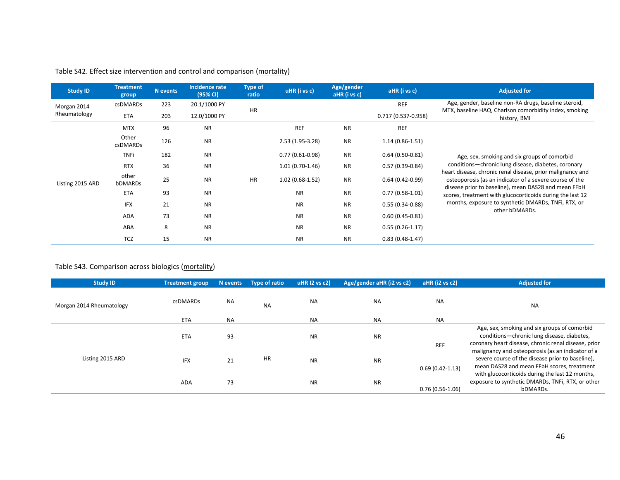| <b>Study ID</b>  | <b>Treatment</b><br>group | <b>N</b> events | Incidence rate<br>(95% CI) | <b>Type of</b><br>ratio | uHR (i vs c)      | Age/gender<br>aHR (i vs c) | aHR (i vs c)           | <b>Adjusted for</b>                                                                                               |
|------------------|---------------------------|-----------------|----------------------------|-------------------------|-------------------|----------------------------|------------------------|-------------------------------------------------------------------------------------------------------------------|
| Morgan 2014      | csDMARDs                  | 223             | 20.1/1000 PY               | <b>HR</b>               |                   |                            | <b>REF</b>             | Age, gender, baseline non-RA drugs, baseline steroid,<br>MTX, baseline HAQ, Charlson comorbidity index, smoking   |
| Rheumatology     | <b>ETA</b>                | 203             | 12.0/1000 PY               |                         |                   |                            | $0.717(0.537 - 0.958)$ | history, BMI                                                                                                      |
|                  | <b>MTX</b>                | 96              | <b>NR</b>                  |                         | <b>REF</b>        | <b>NR</b>                  | <b>REF</b>             |                                                                                                                   |
|                  | Other<br>csDMARDs         | 126             | <b>NR</b>                  |                         | 2.53 (1.95-3.28)  | <b>NR</b>                  | $1.14(0.86 - 1.51)$    |                                                                                                                   |
|                  | <b>TNFi</b>               | 182             | <b>NR</b>                  |                         | $0.77(0.61-0.98)$ | <b>NR</b>                  | $0.64(0.50-0.81)$      | Age, sex, smoking and six groups of comorbid                                                                      |
|                  | <b>RTX</b>                | 36              | <b>NR</b>                  | <b>HR</b>               | $1.01(0.70-1.46)$ | <b>NR</b>                  | $0.57(0.39-0.84)$      | conditions-chronic lung disease, diabetes, coronary<br>heart disease, chronic renal disease, prior malignancy and |
| Listing 2015 ARD | other<br>bDMARDs          | 25              | <b>NR</b>                  |                         | $1.02(0.68-1.52)$ | <b>NR</b>                  | $0.64(0.42 - 0.99)$    | osteoporosis (as an indicator of a severe course of the<br>disease prior to baseline), mean DAS28 and mean FFbH   |
|                  | <b>ETA</b>                | 93              | <b>NR</b>                  |                         | <b>NR</b>         | <b>NR</b>                  | $0.77(0.58-1.01)$      | scores, treatment with glucocorticoids during the last 12                                                         |
|                  | <b>IFX</b>                | 21              | <b>NR</b>                  |                         | <b>NR</b>         | <b>NR</b>                  | $0.55(0.34-0.88)$      | months, exposure to synthetic DMARDs, TNFi, RTX, or<br>other bDMARDs.                                             |
|                  | ADA                       | 73              | <b>NR</b>                  |                         | <b>NR</b>         | <b>NR</b>                  | $0.60(0.45 - 0.81)$    |                                                                                                                   |
|                  | ABA                       | 8               | <b>NR</b>                  |                         | <b>NR</b>         | <b>NR</b>                  | $0.55(0.26-1.17)$      |                                                                                                                   |
|                  | <b>TCZ</b>                | 15              | <b>NR</b>                  |                         | <b>NR</b>         | <b>NR</b>                  | $0.83(0.48-1.47)$      |                                                                                                                   |

## Table S42. Effect size intervention and control and comparison (mortality)

## Table S43. Comparison across biologics (mortality)

| <b>Study ID</b>          | <b>Treatment group</b> | N events  | Type of ratio | uHR I2 vs c2) | Age/gender aHR (i2 vs c2) | aHR (i2 vs c2)      | <b>Adjusted for</b>                                                                                                                                 |
|--------------------------|------------------------|-----------|---------------|---------------|---------------------------|---------------------|-----------------------------------------------------------------------------------------------------------------------------------------------------|
| Morgan 2014 Rheumatology | csDMARDs               | <b>NA</b> | <b>NA</b>     | <b>NA</b>     | <b>NA</b>                 | NA                  | <b>NA</b>                                                                                                                                           |
|                          | <b>ETA</b>             | <b>NA</b> |               | <b>NA</b>     | <b>NA</b>                 | <b>NA</b>           |                                                                                                                                                     |
|                          | <b>ETA</b>             | 93        |               | <b>NR</b>     | <b>NR</b>                 | <b>REF</b>          | Age, sex, smoking and six groups of comorbid<br>conditions-chronic lung disease, diabetes,<br>coronary heart disease, chronic renal disease, prior  |
| Listing 2015 ARD         | <b>IFX</b>             | 21        | HR            | <b>NR</b>     | <b>NR</b>                 | $0.69(0.42 - 1.13)$ | malignancy and osteoporosis (as an indicator of a<br>severe course of the disease prior to baseline),<br>mean DAS28 and mean FFbH scores, treatment |
|                          | <b>ADA</b>             | 73        |               | <b>NR</b>     | <b>NR</b>                 | $0.76(0.56-1.06)$   | with glucocorticoids during the last 12 months,<br>exposure to synthetic DMARDs, TNFi, RTX, or other<br>bDMARDs.                                    |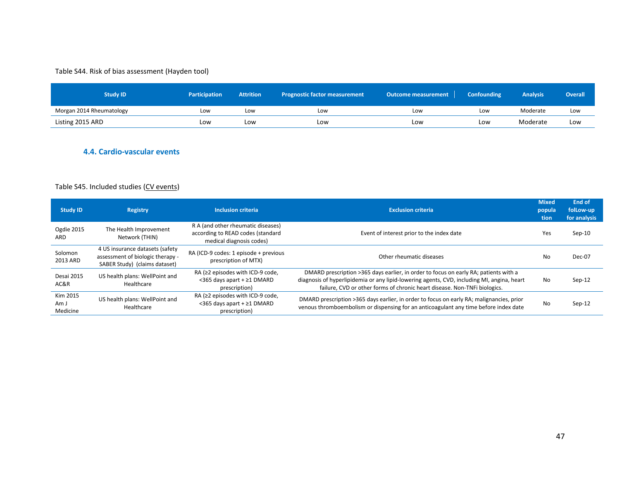## Table S44. Risk of bias assessment (Hayden tool)

| Study ID                 | <b>Participation</b> | <b>Attrition</b> | <b>Prognostic factor measurement</b> | Outcome measurement | <b>Confounding</b> | <b>Analysis</b> | <b>Overall</b> |
|--------------------------|----------------------|------------------|--------------------------------------|---------------------|--------------------|-----------------|----------------|
| Morgan 2014 Rheumatology | Low                  | Low              | Low                                  | Low                 | Low                | Moderate        | Low            |
| Listing 2015 ARD         | LOW                  | Low              | Low                                  | Low                 | Low                | Moderate        | Low            |

## **4.4. Cardio-vascular events**

#### Table S45. Included studies (CV events)

| <b>Study ID</b>              | Registry                                                                                             | <b>Inclusion criteria</b>                                                                           | <b>Exclusion criteria</b>                                                                                                                                                                                                                                       | <b>Mixed</b><br>popula<br>tion | <b>End of</b><br>folLow-up<br>for analysis |
|------------------------------|------------------------------------------------------------------------------------------------------|-----------------------------------------------------------------------------------------------------|-----------------------------------------------------------------------------------------------------------------------------------------------------------------------------------------------------------------------------------------------------------------|--------------------------------|--------------------------------------------|
| Ogdie 2015<br>ARD            | The Health Improvement<br>Network (THIN)                                                             | R A (and other rheumatic diseases)<br>according to READ codes (standard<br>medical diagnosis codes) | Event of interest prior to the index date                                                                                                                                                                                                                       | Yes                            | Sep-10                                     |
| Solomon<br>2013 ARD          | 4 US insurance datasets (safety<br>assessment of biologic therapy -<br>SABER Study) (claims dataset) | RA (ICD-9 codes: 1 episode + previous<br>prescription of MTX)                                       | Other rheumatic diseases                                                                                                                                                                                                                                        | No                             | Dec-07                                     |
| Desai 2015<br>AC&R           | US health plans: WellPoint and<br>Healthcare                                                         | RA ( $\geq$ 2 episodes with ICD-9 code,<br><365 days apart + ≥1 DMARD<br>prescription)              | DMARD prescription >365 days earlier, in order to focus on early RA; patients with a<br>diagnosis of hyperlipidemia or any lipid-lowering agents, CVD, including MI, angina, heart<br>failure, CVD or other forms of chronic heart disease. Non-TNFi biologics. | No                             | Sep-12                                     |
| Kim 2015<br>Am J<br>Medicine | US health plans: WellPoint and<br>Healthcare                                                         | RA ( $\geq$ 2 episodes with ICD-9 code,<br><365 days apart + ≥1 DMARD<br>prescription)              | DMARD prescription >365 days earlier, in order to focus on early RA; malignancies, prior<br>venous thromboembolism or dispensing for an anticoagulant any time before index date                                                                                | No                             | Sep-12                                     |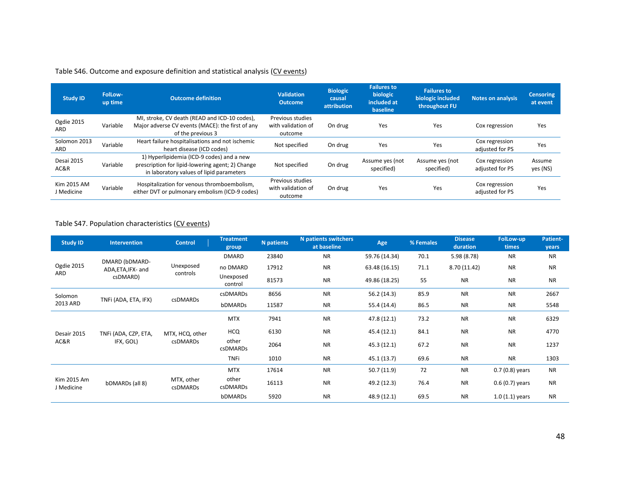## Table S46. Outcome and exposure definition and statistical analysis (CV events)

| <b>Study ID</b>           | FolLow-<br>up time | <b>Outcome definition</b>                                                                                                                 | <b>Validation</b><br><b>Outcome</b>               | <b>Biologic</b><br>causal<br>attribution | <b>Failures to</b><br>biologic<br>included at<br>baseline | <b>Failures to</b><br>biologic included<br>throughout FU | <b>Notes on analysis</b>          | <b>Censoring</b><br>at event |
|---------------------------|--------------------|-------------------------------------------------------------------------------------------------------------------------------------------|---------------------------------------------------|------------------------------------------|-----------------------------------------------------------|----------------------------------------------------------|-----------------------------------|------------------------------|
| Ogdie 2015<br><b>ARD</b>  | Variable           | MI, stroke, CV death (READ and ICD-10 codes),<br>Major adverse CV events (MACE): the first of any<br>of the previous 3                    | Previous studies<br>with validation of<br>outcome | On drug                                  | Yes                                                       | Yes                                                      | Cox regression                    | Yes                          |
| Solomon 2013<br>ARD       | Variable           | Heart failure hospitalisations and not ischemic<br>heart disease (ICD codes)                                                              | Not specified                                     | On drug                                  | Yes                                                       | Yes                                                      | Cox regression<br>adjusted for PS | Yes                          |
| Desai 2015<br>AC&R        | Variable           | 1) Hyperlipidemia (ICD-9 codes) and a new<br>prescription for lipid-lowering agent; 2) Change<br>in laboratory values of lipid parameters | Not specified                                     | On drug                                  | Assume yes (not<br>specified)                             | Assume yes (not<br>specified)                            | Cox regression<br>adjusted for PS | Assume<br>yes (NS)           |
| Kim 2015 AM<br>J Medicine | Variable           | Hospitalization for venous thromboembolism,<br>either DVT or pulmonary embolism (ICD-9 codes)                                             | Previous studies<br>with validation of<br>outcome | On drug                                  | Yes                                                       | Yes                                                      | Cox regression<br>adjusted for PS | Yes                          |

## Table S47. Population characteristics (CV events)

| <b>Study ID</b>           | <b>Intervention</b>                  | <b>Control</b>                | <b>Treatment</b><br>group | N patients | <b>N</b> patients switchers<br>at baseline | Age           | % Females | <b>Disease</b><br>duration | <b>FolLow-up</b><br>times | Patient-<br>years |
|---------------------------|--------------------------------------|-------------------------------|---------------------------|------------|--------------------------------------------|---------------|-----------|----------------------------|---------------------------|-------------------|
|                           |                                      |                               | <b>DMARD</b>              | 23840      | <b>NR</b>                                  | 59.76 (14.34) | 70.1      | 5.98 (8.78)                | <b>NR</b>                 | <b>NR</b>         |
| Ogdie 2015                | DMARD (bDMARD-<br>ADA, ETA, IFX- and | Unexposed                     | no DMARD                  | 17912      | <b>NR</b>                                  | 63.48 (16.15) | 71.1      | 8.70 (11.42)               | <b>NR</b>                 | <b>NR</b>         |
| ARD                       | csDMARD)                             | controls                      | Unexposed<br>control      | 81573      | <b>NR</b>                                  | 49.86 (18.25) | 55        | <b>NR</b>                  | <b>NR</b>                 | <b>NR</b>         |
| Solomon                   | TNFi (ADA, ETA, IFX)                 | csDMARDs                      | csDMARDs                  | 8656       | <b>NR</b>                                  | 56.2 (14.3)   | 85.9      | <b>NR</b>                  | <b>NR</b>                 | 2667              |
| 2013 ARD                  |                                      |                               | bDMARDs                   | 11587      | <b>NR</b>                                  | 55.4 (14.4)   | 86.5      | <b>NR</b>                  | <b>NR</b>                 | 5548              |
|                           |                                      |                               | <b>MTX</b>                | 7941       | <b>NR</b>                                  | 47.8 (12.1)   | 73.2      | <b>NR</b>                  | <b>NR</b>                 | 6329              |
| Desair 2015               | TNFi (ADA, CZP, ETA,                 | MTX, HCQ, other               | <b>HCQ</b>                | 6130       | <b>NR</b>                                  | 45.4 (12.1)   | 84.1      | <b>NR</b>                  | <b>NR</b>                 | 4770              |
| AC&R                      | IFX, GOL)                            | csDMARDs                      | other<br><b>csDMARDs</b>  | 2064       | <b>NR</b>                                  | 45.3 (12.1)   | 67.2      | <b>NR</b>                  | <b>NR</b>                 | 1237              |
|                           |                                      |                               | <b>TNFi</b>               | 1010       | <b>NR</b>                                  | 45.1 (13.7)   | 69.6      | <b>NR</b>                  | <b>NR</b>                 | 1303              |
|                           |                                      |                               | <b>MTX</b>                | 17614      | <b>NR</b>                                  | 50.7(11.9)    | 72        | <b>NR</b>                  | $0.7(0.8)$ years          | <b>NR</b>         |
| Kim 2015 Am<br>J Medicine | bDMARDs (all 8)                      | MTX, other<br><b>csDMARDs</b> | other<br>csDMARDs         | 16113      | <b>NR</b>                                  | 49.2 (12.3)   | 76.4      | <b>NR</b>                  | $0.6(0.7)$ years          | <b>NR</b>         |
|                           |                                      |                               | bDMARDs                   | 5920       | <b>NR</b>                                  | 48.9 (12.1)   | 69.5      | <b>NR</b>                  | $1.0(1.1)$ years          | <b>NR</b>         |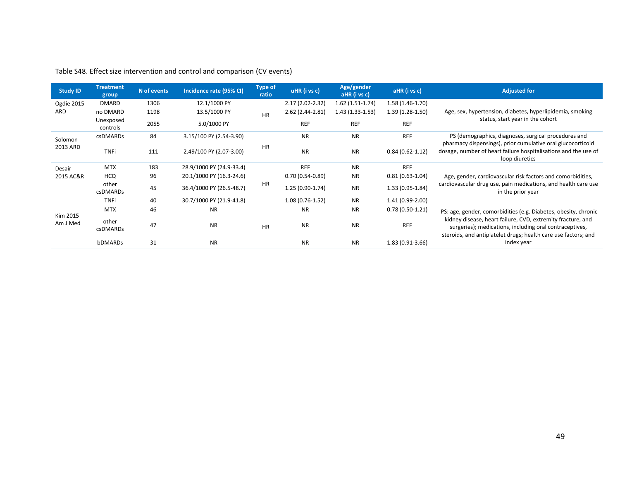| <b>Study ID</b>      | <b>Treatment</b><br>group | N of events | Incidence rate (95% CI)  | <b>Type of</b><br>ratio | uHR (i vs c)      | Age/gender<br>aHR (i vs c) | aHR (i vs c)        | <b>Adjusted for</b>                                                                                                                                                                      |
|----------------------|---------------------------|-------------|--------------------------|-------------------------|-------------------|----------------------------|---------------------|------------------------------------------------------------------------------------------------------------------------------------------------------------------------------------------|
| Ogdie 2015           | <b>DMARD</b>              | 1306        | 12.1/1000 PY             |                         | 2.17 (2.02-2.32)  | $1.62(1.51-1.74)$          | $1.58(1.46-1.70)$   |                                                                                                                                                                                          |
| ARD                  | no DMARD                  | 1198        | 13.5/1000 PY             | <b>HR</b>               | 2.62 (2.44-2.81)  | $1.43(1.33-1.53)$          | $1.39(1.28-1.50)$   | Age, sex, hypertension, diabetes, hyperlipidemia, smoking                                                                                                                                |
|                      | Unexposed<br>controls     | 2055        | 5.0/1000 PY              |                         | <b>REF</b>        | <b>REF</b>                 | <b>REF</b>          | status, start year in the cohort                                                                                                                                                         |
| Solomon              | <b>csDMARDs</b>           | 84          | 3.15/100 PY (2.54-3.90)  |                         | <b>NR</b>         | <b>NR</b>                  | <b>REF</b>          | PS (demographics, diagnoses, surgical procedures and                                                                                                                                     |
| 2013 ARD             | <b>TNFi</b>               | 111         | 2.49/100 PY (2.07-3.00)  | <b>HR</b>               | <b>NR</b>         | <b>NR</b>                  | $0.84(0.62 - 1.12)$ | pharmacy dispensings), prior cumulative oral glucocorticoid<br>dosage, number of heart failure hospitalisations and the use of<br>loop diuretics                                         |
| Desair               | <b>MTX</b>                | 183         | 28.9/1000 PY (24.9-33.4) |                         | <b>REF</b>        | <b>NR</b>                  | <b>REF</b>          |                                                                                                                                                                                          |
| 2015 AC&R            | HCQ.                      | 96          | 20.1/1000 PY (16.3-24.6) |                         | $0.70(0.54-0.89)$ | <b>NR</b>                  | $0.81(0.63-1.04)$   | Age, gender, cardiovascular risk factors and comorbidities,                                                                                                                              |
|                      | other<br><b>csDMARDs</b>  | 45          | 36.4/1000 PY (26.5-48.7) | <b>HR</b>               | $1.25(0.90-1.74)$ | <b>NR</b>                  | $1.33(0.95-1.84)$   | cardiovascular drug use, pain medications, and health care use<br>in the prior year                                                                                                      |
|                      | <b>TNFi</b>               | 40          | 30.7/1000 PY (21.9-41.8) |                         | $1.08(0.76-1.52)$ | <b>NR</b>                  | 1.41 (0.99-2.00)    |                                                                                                                                                                                          |
|                      | <b>MTX</b>                | 46          | <b>NR</b>                |                         | <b>NR</b>         | <b>NR</b>                  | $0.78(0.50-1.21)$   | PS: age, gender, comorbidities (e.g. Diabetes, obesity, chronic                                                                                                                          |
| Kim 2015<br>Am J Med | other<br><b>csDMARDs</b>  | 47          | <b>NR</b>                | <b>HR</b>               | <b>NR</b>         | <b>NR</b>                  | <b>REF</b>          | kidney disease, heart failure, CVD, extremity fracture, and<br>surgeries); medications, including oral contraceptives,<br>steroids, and antiplatelet drugs; health care use factors; and |
|                      | bDMARDs                   | 31          | <b>NR</b>                |                         | <b>NR</b>         | <b>NR</b>                  | $1.83(0.91-3.66)$   | index year                                                                                                                                                                               |

# Table S48. Effect size intervention and control and comparison (CV events)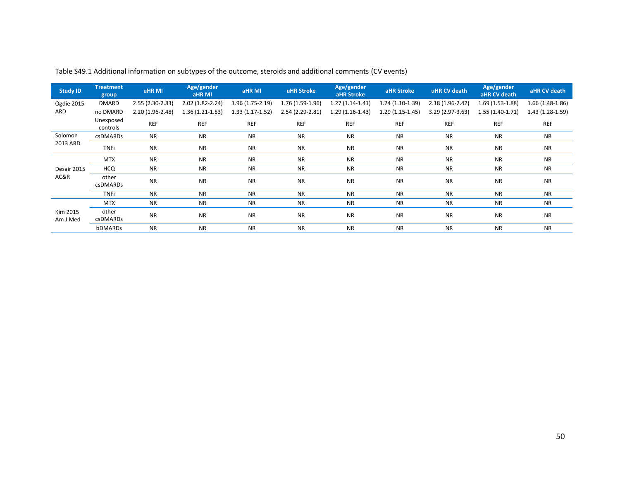| <b>Study ID</b>      | <b>Treatment</b><br>group | <b>uHR MI</b>     | Age/gender<br>aHR MI | aHR MI            | <b>uHR Stroke</b> | Age/gender<br>aHR Stroke | aHR Stroke        | uHR CV death      | Age/gender<br>aHR CV death | aHR CV death      |
|----------------------|---------------------------|-------------------|----------------------|-------------------|-------------------|--------------------------|-------------------|-------------------|----------------------------|-------------------|
| Ogdie 2015           | <b>DMARD</b>              | 2.55 (2.30-2.83)  | 2.02 (1.82-2.24)     | $1.96(1.75-2.19)$ | 1.76 (1.59-1.96)  | $1.27(1.14-1.41)$        | $1.24(1.10-1.39)$ | $2.18(1.96-2.42)$ | 1.69 (1.53-1.88)           | 1.66 (1.48-1.86)  |
| ARD                  | no DMARD                  | $2.20(1.96-2.48)$ | $1.36(1.21-1.53)$    | $1.33(1.17-1.52)$ | 2.54 (2.29-2.81)  | $1.29(1.16-1.43)$        | 1.29 (1.15-1.45)  | 3.29 (2.97-3.63)  | 1.55 (1.40-1.71)           | $1.43(1.28-1.59)$ |
|                      | Unexposed<br>controls     | <b>REF</b>        | <b>REF</b>           | <b>REF</b>        | <b>REF</b>        | <b>REF</b>               | <b>REF</b>        | <b>REF</b>        | <b>REF</b>                 | <b>REF</b>        |
| Solomon              | <b>csDMARDs</b>           | <b>NR</b>         | <b>NR</b>            | <b>NR</b>         | <b>NR</b>         | <b>NR</b>                | <b>NR</b>         | <b>NR</b>         | <b>NR</b>                  | <b>NR</b>         |
| 2013 ARD             | <b>TNFi</b>               | <b>NR</b>         | <b>NR</b>            | <b>NR</b>         | <b>NR</b>         | <b>NR</b>                | <b>NR</b>         | <b>NR</b>         | <b>NR</b>                  | <b>NR</b>         |
|                      | <b>MTX</b>                | <b>NR</b>         | <b>NR</b>            | <b>NR</b>         | <b>NR</b>         | <b>NR</b>                | <b>NR</b>         | <b>NR</b>         | <b>NR</b>                  | <b>NR</b>         |
| Desair 2015          | <b>HCQ</b>                | <b>NR</b>         | <b>NR</b>            | <b>NR</b>         | <b>NR</b>         | <b>NR</b>                | <b>NR</b>         | <b>NR</b>         | <b>NR</b>                  | <b>NR</b>         |
| AC&R                 | other<br><b>csDMARDs</b>  | <b>NR</b>         | <b>NR</b>            | <b>NR</b>         | <b>NR</b>         | <b>NR</b>                | <b>NR</b>         | <b>NR</b>         | <b>NR</b>                  | <b>NR</b>         |
|                      | <b>TNFi</b>               | <b>NR</b>         | <b>NR</b>            | <b>NR</b>         | <b>NR</b>         | <b>NR</b>                | <b>NR</b>         | <b>NR</b>         | <b>NR</b>                  | <b>NR</b>         |
|                      | <b>MTX</b>                | <b>NR</b>         | <b>NR</b>            | <b>NR</b>         | <b>NR</b>         | <b>NR</b>                | <b>NR</b>         | <b>NR</b>         | <b>NR</b>                  | <b>NR</b>         |
| Kim 2015<br>Am J Med | other<br><b>csDMARDs</b>  | <b>NR</b>         | <b>NR</b>            | <b>NR</b>         | <b>NR</b>         | <b>NR</b>                | <b>NR</b>         | <b>NR</b>         | <b>NR</b>                  | <b>NR</b>         |
|                      | bDMARDs                   | <b>NR</b>         | <b>NR</b>            | <b>NR</b>         | <b>NR</b>         | <b>NR</b>                | <b>NR</b>         | <b>NR</b>         | <b>NR</b>                  | <b>NR</b>         |

Table S49.1 Additional information on subtypes of the outcome, steroids and additional comments (CV events)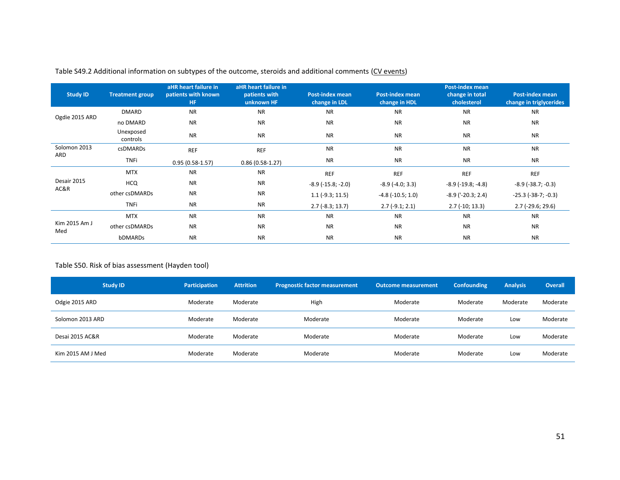| <b>Study ID</b>      | <b>Treatment group</b> | aHR heart failure in<br>patients with known<br><b>HF</b> | aHR heart failure in<br>patients with<br>unknown HF | <b>Post-index mean</b><br>change in LDL | <b>Post-index mean</b><br>change in HDL | <b>Post-index mean</b><br>change in total<br>cholesterol | <b>Post-index mean</b><br>change in triglycerides |
|----------------------|------------------------|----------------------------------------------------------|-----------------------------------------------------|-----------------------------------------|-----------------------------------------|----------------------------------------------------------|---------------------------------------------------|
|                      | <b>DMARD</b>           | <b>NR</b>                                                | <b>NR</b>                                           | <b>NR</b>                               | <b>NR</b>                               | <b>NR</b>                                                | <b>NR</b>                                         |
| Ogdie 2015 ARD       | no DMARD               | <b>NR</b>                                                | <b>NR</b>                                           | <b>NR</b>                               | <b>NR</b>                               | <b>NR</b>                                                | <b>NR</b>                                         |
|                      | Unexposed<br>controls  | <b>NR</b>                                                | <b>NR</b>                                           | <b>NR</b>                               | <b>NR</b>                               | <b>NR</b>                                                | <b>NR</b>                                         |
| Solomon 2013         | <b>csDMARDs</b>        | <b>REF</b>                                               | <b>REF</b>                                          | <b>NR</b>                               | <b>NR</b>                               | <b>NR</b>                                                | <b>NR</b>                                         |
| ARD                  | <b>TNFi</b>            | $0.95(0.58-1.57)$                                        | $0.86(0.58-1.27)$                                   | <b>NR</b>                               | <b>NR</b>                               | <b>NR</b>                                                | <b>NR</b>                                         |
|                      | <b>MTX</b>             | <b>NR</b>                                                | <b>NR</b>                                           | <b>REF</b>                              | <b>REF</b>                              | <b>REF</b>                                               | <b>REF</b>                                        |
| Desair 2015          | <b>HCQ</b>             | <b>NR</b>                                                | <b>NR</b>                                           | $-8.9$ ( $-15.8$ ; $-2.0$ )             | $-8.9$ ( $-4.0; 3.3$ )                  | $-8.9$ ( $-19.8$ ; $-4.8$ )                              | $-8.9$ ( $-38.7; -0.3$ )                          |
| AC&R                 | other csDMARDs         | <b>NR</b>                                                | <b>NR</b>                                           | $1.1$ (-9.3; 11.5)                      | $-4.8$ ( $-10.5$ ; 1.0)                 | $-8.9$ ( $-20.3$ ; 2.4)                                  | $-25.3$ $(-38-7; -0.3)$                           |
|                      | <b>TNFi</b>            | <b>NR</b>                                                | <b>NR</b>                                           | $2.7$ (-8.3; 13.7)                      | $2.7(-9.1; 2.1)$                        | $2.7$ (-10; 13.3)                                        | $2.7$ (-29.6; 29.6)                               |
|                      | <b>MTX</b>             | <b>NR</b>                                                | <b>NR</b>                                           | <b>NR</b>                               | <b>NR</b>                               | <b>NR</b>                                                | <b>NR</b>                                         |
| Kim 2015 Am J<br>Med | other csDMARDs         | <b>NR</b>                                                | <b>NR</b>                                           | <b>NR</b>                               | <b>NR</b>                               | <b>NR</b>                                                | <b>NR</b>                                         |
|                      | bDMARDs                | <b>NR</b>                                                | <b>NR</b>                                           | <b>NR</b>                               | <b>NR</b>                               | <b>NR</b>                                                | <b>NR</b>                                         |

## Table S49.2 Additional information on subtypes of the outcome, steroids and additional comments (CV events)

#### Table S50. Risk of bias assessment (Hayden tool)

| <b>Study ID</b>   | Participation | <b>Attrition</b> | <b>Prognostic factor measurement</b> | <b>Outcome measurement</b> | <b>Confounding</b> | <b>Analysis</b> | <b>Overall</b> |
|-------------------|---------------|------------------|--------------------------------------|----------------------------|--------------------|-----------------|----------------|
| Odgie 2015 ARD    | Moderate      | Moderate         | High                                 | Moderate                   | Moderate           | Moderate        | Moderate       |
| Solomon 2013 ARD  | Moderate      | Moderate         | Moderate                             | Moderate                   | Moderate           | Low             | Moderate       |
| Desai 2015 AC&R   | Moderate      | Moderate         | Moderate                             | Moderate                   | Moderate           | Low             | Moderate       |
| Kim 2015 AM J Med | Moderate      | Moderate         | Moderate                             | Moderate                   | Moderate           | Low             | Moderate       |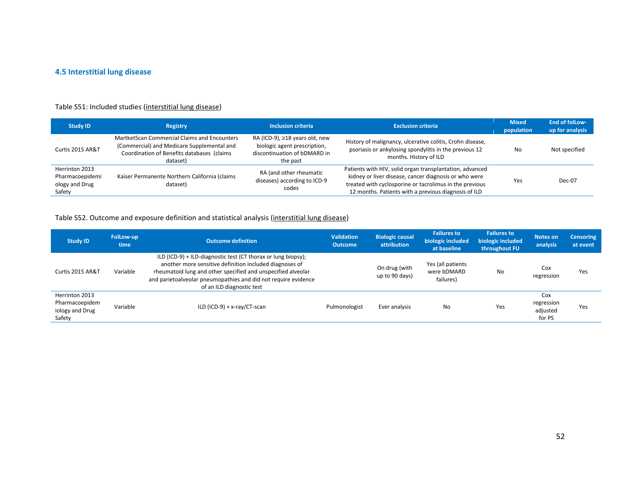# **4.5 Interstitial lung disease**

## Table S51: Included studies (interstitial lung disease)

| <b>Study ID</b>                                               | <b>Registry</b>                                                                                                                                      | <b>Inclusion criteria</b>                                                                                  | <b>Exclusion criteria</b>                                                                                                                                                                                                            | <b>Mixed</b><br>population | End of follow-<br>up for analysis |
|---------------------------------------------------------------|------------------------------------------------------------------------------------------------------------------------------------------------------|------------------------------------------------------------------------------------------------------------|--------------------------------------------------------------------------------------------------------------------------------------------------------------------------------------------------------------------------------------|----------------------------|-----------------------------------|
| Curtis 2015 AR&T                                              | MartketScan Commercial Claims and Encounters<br>(Commercial) and Medicare Supplemental and<br>Coordination of Benefits databases (claims<br>dataset) | RA (ICD-9), ≥18 years old, new<br>biologic agent prescription,<br>discontinuation of bDMARD in<br>the past | History of malignancy, ulcerative colitis, Crohn disease,<br>psoriasis or ankylosing spondylitis in the previous 12<br>months. History of ILD                                                                                        | No                         | Not specified                     |
| Herrinton 2013<br>Pharmacoepidemi<br>ology and Drug<br>Safety | Kaiser Permanente Northern California (claims<br>dataset)                                                                                            | RA (and other rheumatic<br>diseases) according to ICD-9<br>codes                                           | Patients with HIV, solid organ transplantation, advanced<br>kidney or liver disease, cancer diagnosis or who were<br>treated with cyclosporine or tacrolimus in the previous<br>12 months. Patients with a previous diagnosis of ILD | Yes                        | $Dec-07$                          |

## Table S52. Outcome and exposure definition and statistical analysis (interstitial lung disease)

| <b>Study ID</b>                                               | FolLow-up<br>time | <b>Outcome definition</b>                                                                                                                                                                                                                                                               | <b>Validation</b><br><b>Outcome</b> | <b>Biologic causal</b><br>attribution | <b>Failures to</b><br>biologic included<br>at baseline | <b>Failures to</b><br>biologic included<br>throughout FU | Notes on<br>analysis                    | <b>Censoring</b><br>at event |
|---------------------------------------------------------------|-------------------|-----------------------------------------------------------------------------------------------------------------------------------------------------------------------------------------------------------------------------------------------------------------------------------------|-------------------------------------|---------------------------------------|--------------------------------------------------------|----------------------------------------------------------|-----------------------------------------|------------------------------|
| Curtis 2015 AR&T                                              | Variable          | ILD (ICD-9) + ILD-diagnostic test (CT thorax or lung biopsy);<br>another more sensitive definition included diagnoses of<br>rheumatoid lung and other specified and unspecified alveolar<br>and parietoalveolar pneumopathies and did not require evidence<br>of an ILD diagnostic test |                                     | On drug (with<br>up to 90 days)       | Yes (all patients<br>were bDMARD<br>failures)          | No                                                       | Cox<br>regression                       | Yes                          |
| Herrinton 2013<br>Pharmacoepidem<br>iology and Drug<br>Safety | Variable          | ILD (ICD-9) + $x$ -ray/CT-scan                                                                                                                                                                                                                                                          | Pulmonologist                       | Ever analysis                         | No                                                     | Yes                                                      | Cox<br>regression<br>adjusted<br>for PS | Yes                          |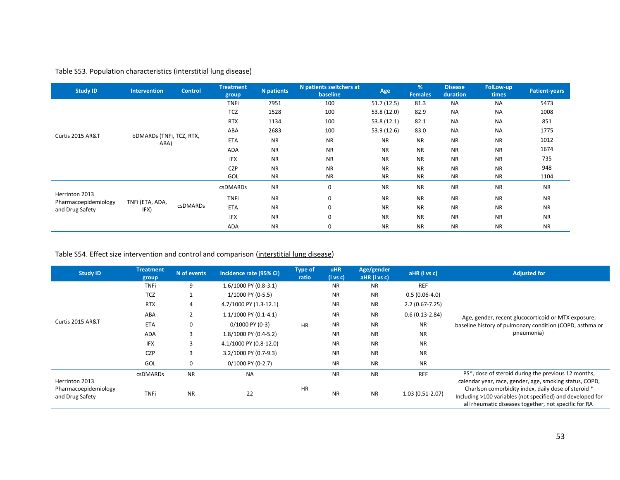## Table S53. Population characteristics (interstitial lung disease)

| <b>Study ID</b>                        | <b>Intervention</b>              | <b>Control</b>  | <b>Treatment</b><br>group | <b>N</b> patients | N patients switchers at<br>baseline | Age                                                                                                                                                                                                                                                                                                                                                                         | %<br><b>Females</b> | <b>Disease</b><br>duration | <b>FolLow-up</b><br>times | <b>Patient-years</b> |
|----------------------------------------|----------------------------------|-----------------|---------------------------|-------------------|-------------------------------------|-----------------------------------------------------------------------------------------------------------------------------------------------------------------------------------------------------------------------------------------------------------------------------------------------------------------------------------------------------------------------------|---------------------|----------------------------|---------------------------|----------------------|
|                                        |                                  |                 | <b>TNFi</b>               | 7951              | 100                                 | 51.7(12.5)                                                                                                                                                                                                                                                                                                                                                                  | 81.3                | <b>NA</b>                  | NA                        | 5473                 |
|                                        |                                  |                 | <b>TCZ</b>                | 1528              | 100                                 | 53.8 (12.0)                                                                                                                                                                                                                                                                                                                                                                 | 82.9                | <b>NA</b>                  | <b>NA</b>                 | 1008                 |
| Curtis 2015 AR&T                       |                                  |                 | <b>RTX</b>                | 1134              | 100                                 | 53.8(12.1)                                                                                                                                                                                                                                                                                                                                                                  | 82.1                | <b>NA</b>                  | <b>NA</b>                 | 851                  |
|                                        |                                  |                 | ABA                       | 2683              | 100                                 | 53.9 (12.6)                                                                                                                                                                                                                                                                                                                                                                 | 83.0                | <b>NA</b>                  | <b>NA</b>                 | 1775                 |
|                                        | bDMARDs (TNFi, TCZ, RTX,<br>ABA) |                 | <b>ETA</b>                | <b>NR</b>         | <b>NR</b>                           | <b>NR</b>                                                                                                                                                                                                                                                                                                                                                                   | <b>NR</b>           | <b>NR</b>                  | <b>NR</b>                 | 1012                 |
|                                        |                                  |                 | <b>ADA</b>                | <b>NR</b>         | <b>NR</b>                           | <b>NR</b>                                                                                                                                                                                                                                                                                                                                                                   | <b>NR</b>           | <b>NR</b>                  | <b>NR</b>                 | 1674                 |
|                                        |                                  |                 | <b>IFX</b>                | <b>NR</b>         | <b>NR</b>                           | <b>NR</b>                                                                                                                                                                                                                                                                                                                                                                   | <b>NR</b>           | <b>NR</b>                  | <b>NR</b>                 | 735                  |
|                                        |                                  |                 |                           | <b>CZP</b>        | <b>NR</b>                           | <b>NR</b>                                                                                                                                                                                                                                                                                                                                                                   | <b>NR</b>           | <b>NR</b>                  | <b>NR</b>                 | <b>NR</b>            |
|                                        |                                  |                 | GOL                       | <b>NR</b>         | <b>NR</b>                           | <b>NR</b><br><b>NR</b><br><b>NR</b><br><b>NR</b><br>0<br><b>NR</b><br><b>NR</b><br><b>NR</b><br><b>NR</b><br>$\mathbf 0$<br><b>NR</b><br><b>NR</b><br><b>NR</b><br><b>NR</b><br>$\mathbf 0$<br><b>NR</b><br><b>NR</b><br><b>NR</b><br><b>NR</b><br>$\mathbf 0$<br><b>NR</b><br><b>NR</b><br><b>NR</b><br><b>NR</b><br><b>NR</b><br><b>NR</b><br><b>NR</b><br><b>NR</b><br>0 | 1104                |                            |                           |                      |
|                                        |                                  |                 | <b>csDMARDs</b>           | <b>NR</b>         |                                     |                                                                                                                                                                                                                                                                                                                                                                             |                     |                            |                           | <b>NR</b>            |
| Herrinton 2013<br>Pharmacoepidemiology | TNFi (ETA, ADA,                  |                 | <b>TNFi</b>               | <b>NR</b>         |                                     |                                                                                                                                                                                                                                                                                                                                                                             |                     |                            |                           | <b>NR</b>            |
|                                        | IFX)                             | <b>csDMARDs</b> | <b>ETA</b>                | <b>NR</b>         |                                     |                                                                                                                                                                                                                                                                                                                                                                             |                     |                            |                           | <b>NR</b>            |
| and Drug Safety                        |                                  |                 | <b>IFX</b>                | <b>NR</b>         |                                     |                                                                                                                                                                                                                                                                                                                                                                             |                     |                            |                           | <b>NR</b>            |
|                                        |                                  |                 | ADA                       | <b>NR</b>         |                                     |                                                                                                                                                                                                                                                                                                                                                                             |                     |                            |                           | <b>NR</b>            |

## Table S54. Effect size intervention and control and comparison (interstitial lung disease)

| <b>Study ID</b>                                           | <b>Treatment</b><br>group | N of events    | Incidence rate (95% CI) | <b>Type of</b><br>ratio | <b>uHR</b><br>$(i \text{ vs } c)$ | Age/gender<br>$aHR$ (i vs c) | aHR (i vs c)       | <b>Adjusted for</b>                                                                                                                                                                                                                  |
|-----------------------------------------------------------|---------------------------|----------------|-------------------------|-------------------------|-----------------------------------|------------------------------|--------------------|--------------------------------------------------------------------------------------------------------------------------------------------------------------------------------------------------------------------------------------|
| Curtis 2015 AR&T                                          | <b>TNFi</b>               | 9              | 1.6/1000 PY (0.8-3.1)   |                         | <b>NR</b>                         | <b>NR</b>                    | <b>REF</b>         |                                                                                                                                                                                                                                      |
|                                                           | TCZ                       |                | 1/1000 PY (0-5.5)       |                         | <b>NR</b>                         | <b>NR</b>                    | $0.5(0.06-4.0)$    |                                                                                                                                                                                                                                      |
|                                                           | <b>RTX</b>                | 4              | 4.7/1000 PY (1.3-12.1)  |                         | <b>NR</b>                         | <b>NR</b>                    | $2.2(0.67 - 7.25)$ |                                                                                                                                                                                                                                      |
|                                                           | ABA                       | $\overline{2}$ | $1.1/1000$ PY (0.1-4.1) |                         | <b>NR</b>                         | <b>NR</b>                    | $0.6(0.13-2.84)$   | Age, gender, recent glucocorticoid or MTX exposure,                                                                                                                                                                                  |
|                                                           | ETA                       | 0              | $0/1000$ PY (0-3)       | <b>HR</b>               | <b>NR</b>                         | <b>NR</b>                    | <b>NR</b>          | baseline history of pulmonary condition (COPD, asthma or                                                                                                                                                                             |
|                                                           | ADA                       | 3              | 1.8/1000 PY (0.4-5.2)   |                         | <b>NR</b>                         | <b>NR</b>                    | <b>NR</b>          | pneumonia)                                                                                                                                                                                                                           |
|                                                           | <b>IFX</b>                | 3              | 4.1/1000 PY (0.8-12.0)  |                         | <b>NR</b>                         | <b>NR</b>                    | <b>NR</b>          |                                                                                                                                                                                                                                      |
|                                                           | <b>CZP</b>                | 3              | 3.2/1000 PY (0.7-9.3)   |                         | <b>NR</b>                         | <b>NR</b>                    | <b>NR</b>          |                                                                                                                                                                                                                                      |
|                                                           | GOL                       | 0              | $0/1000$ PY (0-2.7)     |                         | <b>NR</b>                         | <b>NR</b>                    | <b>NR</b>          |                                                                                                                                                                                                                                      |
| Herrinton 2013<br>Pharmacoepidemiology<br>and Drug Safety | <b>csDMARDs</b>           | <b>NR</b>      | <b>NA</b>               |                         | <b>NR</b>                         | <b>NR</b>                    | <b>REF</b>         | PS*, dose of steroid during the previous 12 months,                                                                                                                                                                                  |
|                                                           | <b>TNFi</b>               | <b>NR</b>      | 22                      | <b>HR</b>               | <b>NR</b>                         | <b>NR</b>                    | 1.03 (0.51-2.07)   | calendar year, race, gender, age, smoking status, COPD,<br>Charlson comorbidity index, daily dose of steroid *<br>Including >100 variables (not specified) and developed for<br>all rheumatic diseases together, not specific for RA |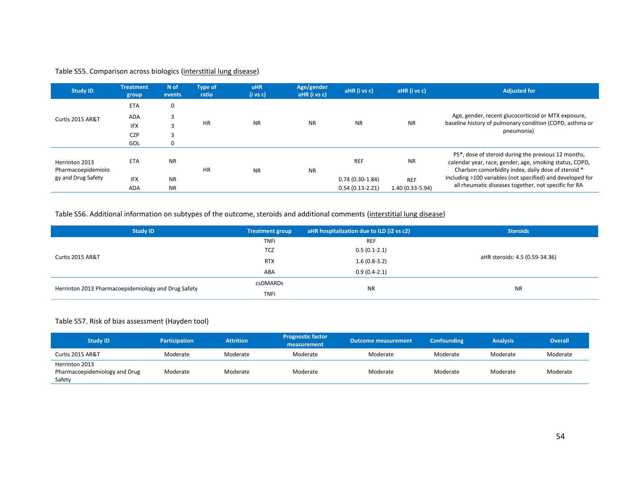#### Table S55. Comparison across biologics (interstitial lung disease)

| <b>Study ID</b>                                            | <b>Treatment</b><br>group | N of<br>events | <b>Type of</b><br>ratio | <b>uHR</b><br>$(i \text{ vs } c)$ | Age/gender<br>aHR (i vs c) | aHR (i vs c)      | aHR (i vs c)                   | <b>Adjusted for</b>                                                                                                                                                                |
|------------------------------------------------------------|---------------------------|----------------|-------------------------|-----------------------------------|----------------------------|-------------------|--------------------------------|------------------------------------------------------------------------------------------------------------------------------------------------------------------------------------|
| Curtis 2015 AR&T                                           | <b>ETA</b>                | 0              |                         |                                   |                            | <b>NR</b>         | <b>NR</b>                      | Age, gender, recent glucocorticoid or MTX exposure,<br>baseline history of pulmonary condition (COPD, asthma or<br>pneumonia)                                                      |
|                                                            | ADA                       | 3              |                         |                                   |                            |                   |                                |                                                                                                                                                                                    |
|                                                            | <b>IFX</b>                | 3              | <b>HR</b>               | <b>NR</b>                         | <b>NR</b>                  |                   |                                |                                                                                                                                                                                    |
|                                                            | <b>CZP</b>                | 3              |                         |                                   |                            |                   |                                |                                                                                                                                                                                    |
|                                                            | GOL                       | 0              |                         |                                   |                            |                   |                                |                                                                                                                                                                                    |
| Herrinton 2013<br>Pharmacoepidemiolo<br>gy and Drug Safety | <b>ETA</b>                | <b>NR</b>      | <b>HR</b>               | <b>NR</b>                         | <b>NR</b>                  | <b>REF</b>        | <b>NR</b>                      | PS <sup>*</sup> , dose of steroid during the previous 12 months,<br>calendar year, race, gender, age, smoking status, COPD,<br>Charlson comorbidity index, daily dose of steroid * |
|                                                            | <b>IFX</b>                | <b>NR</b>      |                         |                                   |                            | $0.74(0.30-1.84)$ | <b>REF</b><br>1.40 (0.33-5.94) | Including >100 variables (not specified) and developed for                                                                                                                         |
|                                                            | <b>ADA</b>                | <b>NR</b>      |                         |                                   |                            | $0.54(0.13-2.21)$ |                                | all rheumatic diseases together, not specific for RA                                                                                                                               |

#### Table S56. Additional information on subtypes of the outcome, steroids and additional comments (interstitial lung disease)

| <b>Study ID</b>                                     | Treatment group | $\mid$ aHR hospitalization due to ILD (i2 vs c2) | <b>Steroids</b>                |  |
|-----------------------------------------------------|-----------------|--------------------------------------------------|--------------------------------|--|
|                                                     | <b>TNFi</b>     | <b>REF</b>                                       |                                |  |
|                                                     | <b>TCZ</b>      | $0.5(0.1-2.1)$                                   |                                |  |
| Curtis 2015 AR&T                                    | <b>RTX</b>      | $1.6(0.8-3.2)$                                   | aHR steroids: 4.5 (0.59-34.36) |  |
|                                                     | ABA             | $0.9(0.4-2.1)$                                   |                                |  |
|                                                     | csDMARDs        |                                                  | <b>NR</b>                      |  |
| Herrinton 2013 Pharmacoepidemiology and Drug Safety | <b>TNFi</b>     | <b>NR</b>                                        |                                |  |

#### Table S57. Risk of bias assessment (Hayden tool)

| <b>Study ID</b>                                           | <b>Participation</b> | <b>Attrition</b> | <b>Prognostic factor</b><br>measurement | <b>Outcome measurement</b> | <b>Confounding</b> | <b>Analysis</b> | Overall  |
|-----------------------------------------------------------|----------------------|------------------|-----------------------------------------|----------------------------|--------------------|-----------------|----------|
| Curtis 2015 AR&T                                          | Moderate             | Moderate         | Moderate                                | Moderate                   | Moderate           | Moderate        | Moderate |
| Herrinton 2013<br>Pharmacoepidemiology and Drug<br>Safety | Moderate             | Moderate         | Moderate                                | Moderate                   | Moderate           | Moderate        | Moderate |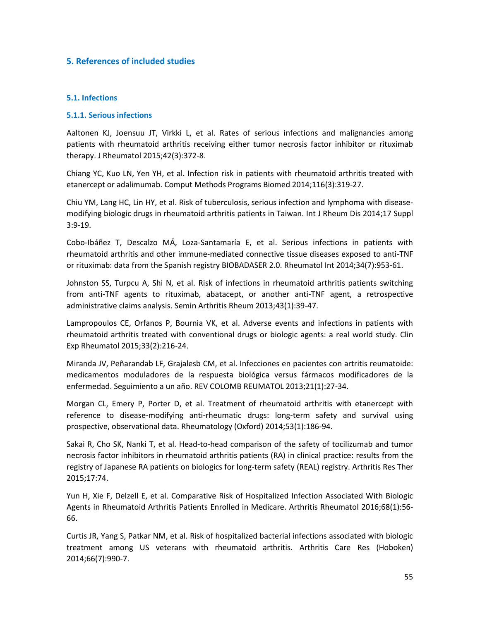### **5. References of included studies**

### **5.1. Infections**

### **5.1.1. Serious infections**

Aaltonen KJ, Joensuu JT, Virkki L, et al. Rates of serious infections and malignancies among patients with rheumatoid arthritis receiving either tumor necrosis factor inhibitor or rituximab therapy. J Rheumatol 2015;42(3):372-8.

Chiang YC, Kuo LN, Yen YH, et al. Infection risk in patients with rheumatoid arthritis treated with etanercept or adalimumab. Comput Methods Programs Biomed 2014;116(3):319-27.

Chiu YM, Lang HC, Lin HY, et al. Risk of tuberculosis, serious infection and lymphoma with diseasemodifying biologic drugs in rheumatoid arthritis patients in Taiwan. Int J Rheum Dis 2014;17 Suppl 3:9-19.

Cobo-Ibáñez T, Descalzo MÁ, Loza-Santamaría E, et al. Serious infections in patients with rheumatoid arthritis and other immune-mediated connective tissue diseases exposed to anti-TNF or rituximab: data from the Spanish registry BIOBADASER 2.0. Rheumatol Int 2014;34(7):953-61.

Johnston SS, Turpcu A, Shi N, et al. Risk of infections in rheumatoid arthritis patients switching from anti-TNF agents to rituximab, abatacept, or another anti-TNF agent, a retrospective administrative claims analysis. Semin Arthritis Rheum 2013;43(1):39-47.

Lampropoulos CE, Orfanos P, Bournia VK, et al. Adverse events and infections in patients with rheumatoid arthritis treated with conventional drugs or biologic agents: a real world study. Clin Exp Rheumatol 2015;33(2):216-24.

Miranda JV, Peñarandab LF, Grajalesb CM, et al. Infecciones en pacientes con artritis reumatoide: medicamentos moduladores de la respuesta biológica versus fármacos modificadores de la enfermedad. Seguimiento a un año. REV COLOMB REUMATOL 2013;21(1):27-34.

Morgan CL, Emery P, Porter D, et al. Treatment of rheumatoid arthritis with etanercept with reference to disease-modifying anti-rheumatic drugs: long-term safety and survival using prospective, observational data. Rheumatology (Oxford) 2014;53(1):186-94.

Sakai R, Cho SK, Nanki T, et al. Head-to-head comparison of the safety of tocilizumab and tumor necrosis factor inhibitors in rheumatoid arthritis patients (RA) in clinical practice: results from the registry of Japanese RA patients on biologics for long-term safety (REAL) registry. Arthritis Res Ther 2015;17:74.

Yun H, Xie F, Delzell E, et al. Comparative Risk of Hospitalized Infection Associated With Biologic Agents in Rheumatoid Arthritis Patients Enrolled in Medicare. Arthritis Rheumatol 2016;68(1):56- 66.

Curtis JR, Yang S, Patkar NM, et al. Risk of hospitalized bacterial infections associated with biologic treatment among US veterans with rheumatoid arthritis. Arthritis Care Res (Hoboken) 2014;66(7):990-7.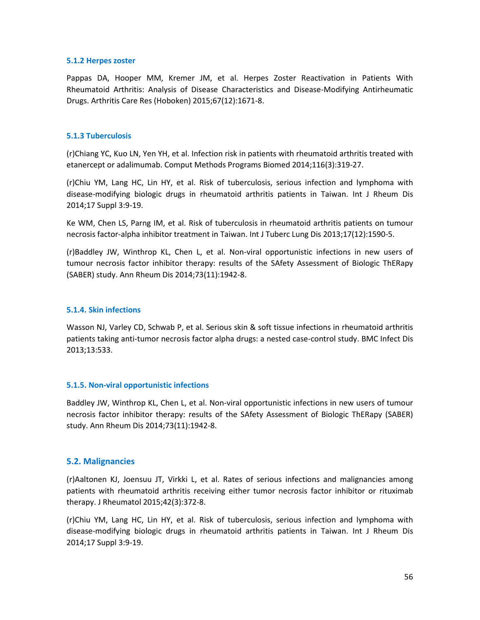#### **5.1.2 Herpes zoster**

Pappas DA, Hooper MM, Kremer JM, et al. Herpes Zoster Reactivation in Patients With Rheumatoid Arthritis: Analysis of Disease Characteristics and Disease-Modifying Antirheumatic Drugs. Arthritis Care Res (Hoboken) 2015;67(12):1671-8.

### **5.1.3 Tuberculosis**

(r)Chiang YC, Kuo LN, Yen YH, et al. Infection risk in patients with rheumatoid arthritis treated with etanercept or adalimumab. Comput Methods Programs Biomed 2014;116(3):319-27.

(r)Chiu YM, Lang HC, Lin HY, et al. Risk of tuberculosis, serious infection and lymphoma with disease-modifying biologic drugs in rheumatoid arthritis patients in Taiwan. Int J Rheum Dis 2014;17 Suppl 3:9-19.

Ke WM, Chen LS, Parng IM, et al. Risk of tuberculosis in rheumatoid arthritis patients on tumour necrosis factor-alpha inhibitor treatment in Taiwan. Int J Tuberc Lung Dis 2013;17(12):1590-5.

(r)Baddley JW, Winthrop KL, Chen L, et al. Non-viral opportunistic infections in new users of tumour necrosis factor inhibitor therapy: results of the SAfety Assessment of Biologic ThERapy (SABER) study. Ann Rheum Dis 2014;73(11):1942-8.

### **5.1.4. Skin infections**

Wasson NJ, Varley CD, Schwab P, et al. Serious skin & soft tissue infections in rheumatoid arthritis patients taking anti-tumor necrosis factor alpha drugs: a nested case-control study. BMC Infect Dis 2013;13:533.

### **5.1.5. Non-viral opportunistic infections**

Baddley JW, Winthrop KL, Chen L, et al. Non-viral opportunistic infections in new users of tumour necrosis factor inhibitor therapy: results of the SAfety Assessment of Biologic ThERapy (SABER) study. Ann Rheum Dis 2014;73(11):1942-8.

### **5.2. Malignancies**

(r)Aaltonen KJ, Joensuu JT, Virkki L, et al. Rates of serious infections and malignancies among patients with rheumatoid arthritis receiving either tumor necrosis factor inhibitor or rituximab therapy. J Rheumatol 2015;42(3):372-8.

(r)Chiu YM, Lang HC, Lin HY, et al. Risk of tuberculosis, serious infection and lymphoma with disease-modifying biologic drugs in rheumatoid arthritis patients in Taiwan. Int J Rheum Dis 2014;17 Suppl 3:9-19.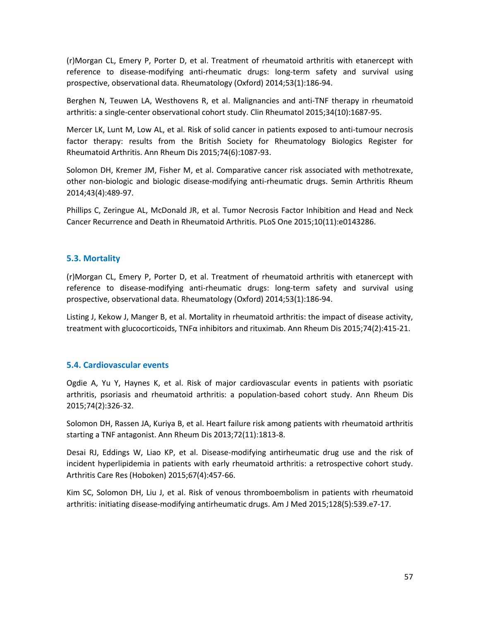(r)Morgan CL, Emery P, Porter D, et al. Treatment of rheumatoid arthritis with etanercept with reference to disease-modifying anti-rheumatic drugs: long-term safety and survival using prospective, observational data. Rheumatology (Oxford) 2014;53(1):186-94.

Berghen N, Teuwen LA, Westhovens R, et al. Malignancies and anti-TNF therapy in rheumatoid arthritis: a single-center observational cohort study. Clin Rheumatol 2015;34(10):1687-95.

Mercer LK, Lunt M, Low AL, et al. Risk of solid cancer in patients exposed to anti-tumour necrosis factor therapy: results from the British Society for Rheumatology Biologics Register for Rheumatoid Arthritis. Ann Rheum Dis 2015;74(6):1087-93.

Solomon DH, Kremer JM, Fisher M, et al. Comparative cancer risk associated with methotrexate, other non-biologic and biologic disease-modifying anti-rheumatic drugs. Semin Arthritis Rheum 2014;43(4):489-97.

Phillips C, Zeringue AL, McDonald JR, et al. Tumor Necrosis Factor Inhibition and Head and Neck Cancer Recurrence and Death in Rheumatoid Arthritis. PLoS One 2015;10(11):e0143286.

## **5.3. Mortality**

(r)Morgan CL, Emery P, Porter D, et al. Treatment of rheumatoid arthritis with etanercept with reference to disease-modifying anti-rheumatic drugs: long-term safety and survival using prospective, observational data. Rheumatology (Oxford) 2014;53(1):186-94.

Listing J, Kekow J, Manger B, et al. Mortality in rheumatoid arthritis: the impact of disease activity, treatment with glucocorticoids, TNFα inhibitors and rituximab. Ann Rheum Dis 2015;74(2):415-21.

### **5.4. Cardiovascular events**

Ogdie A, Yu Y, Haynes K, et al. Risk of major cardiovascular events in patients with psoriatic arthritis, psoriasis and rheumatoid arthritis: a population-based cohort study. Ann Rheum Dis 2015;74(2):326-32.

Solomon DH, Rassen JA, Kuriya B, et al. Heart failure risk among patients with rheumatoid arthritis starting a TNF antagonist. Ann Rheum Dis 2013;72(11):1813-8.

Desai RJ, Eddings W, Liao KP, et al. Disease-modifying antirheumatic drug use and the risk of incident hyperlipidemia in patients with early rheumatoid arthritis: a retrospective cohort study. Arthritis Care Res (Hoboken) 2015;67(4):457-66.

Kim SC, Solomon DH, Liu J, et al. Risk of venous thromboembolism in patients with rheumatoid arthritis: initiating disease-modifying antirheumatic drugs. Am J Med 2015;128(5):539.e7-17.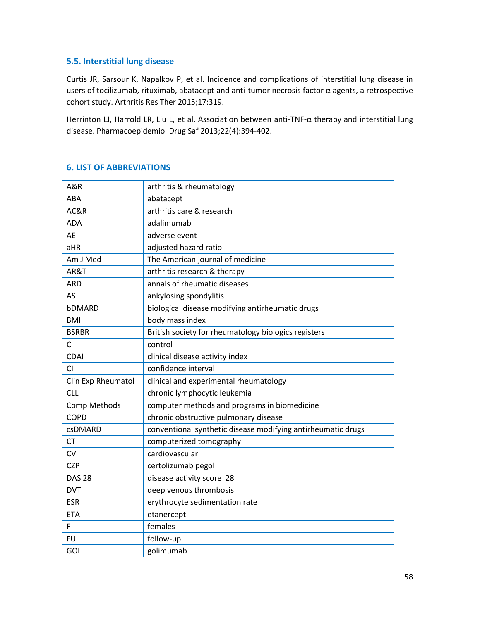## **5.5. Interstitial lung disease**

Curtis JR, Sarsour K, Napalkov P, et al. Incidence and complications of interstitial lung disease in users of tocilizumab, rituximab, abatacept and anti-tumor necrosis factor α agents, a retrospective cohort study. Arthritis Res Ther 2015;17:319.

Herrinton LJ, Harrold LR, Liu L, et al. Association between anti-TNF-α therapy and interstitial lung disease. Pharmacoepidemiol Drug Saf 2013;22(4):394-402.

## **6. LIST OF ABBREVIATIONS**

| A&R                 | arthritis & rheumatology                                     |
|---------------------|--------------------------------------------------------------|
| ABA                 | abatacept                                                    |
| AC&R                | arthritis care & research                                    |
| <b>ADA</b>          | adalimumab                                                   |
| AE                  | adverse event                                                |
| aHR                 | adjusted hazard ratio                                        |
| Am J Med            | The American journal of medicine                             |
| AR&T                | arthritis research & therapy                                 |
| <b>ARD</b>          | annals of rheumatic diseases                                 |
| AS                  | ankylosing spondylitis                                       |
| bDMARD              | biological disease modifying antirheumatic drugs             |
| <b>BMI</b>          | body mass index                                              |
| <b>BSRBR</b>        | British society for rheumatology biologics registers         |
| C                   | control                                                      |
| <b>CDAI</b>         | clinical disease activity index                              |
| CI.                 | confidence interval                                          |
| Clin Exp Rheumatol  | clinical and experimental rheumatology                       |
| <b>CLL</b>          | chronic lymphocytic leukemia                                 |
| <b>Comp Methods</b> | computer methods and programs in biomedicine                 |
| <b>COPD</b>         | chronic obstructive pulmonary disease                        |
| csDMARD             | conventional synthetic disease modifying antirheumatic drugs |
| <b>CT</b>           | computerized tomography                                      |
| <b>CV</b>           | cardiovascular                                               |
| <b>CZP</b>          | certolizumab pegol                                           |
| <b>DAS 28</b>       | disease activity score 28                                    |
| <b>DVT</b>          | deep venous thrombosis                                       |
| <b>ESR</b>          | erythrocyte sedimentation rate                               |
| <b>ETA</b>          | etanercept                                                   |
| F                   | females                                                      |
| <b>FU</b>           | follow-up                                                    |
| GOL                 | golimumab                                                    |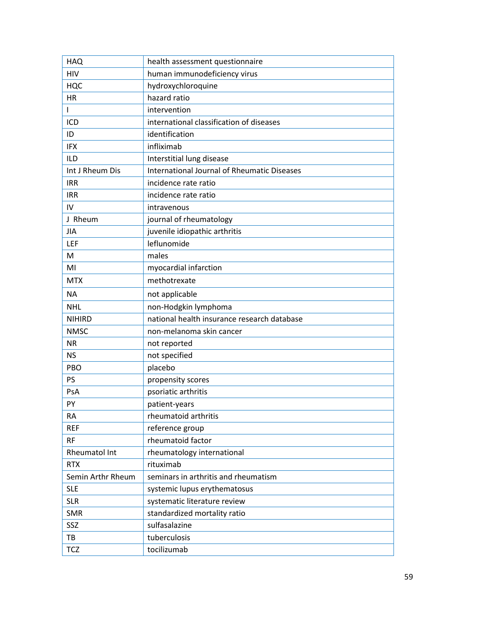| <b>HAQ</b>        | health assessment questionnaire                    |
|-------------------|----------------------------------------------------|
| <b>HIV</b>        | human immunodeficiency virus                       |
| <b>HQC</b>        | hydroxychloroquine                                 |
| <b>HR</b>         | hazard ratio                                       |
| L                 | intervention                                       |
| ICD               | international classification of diseases           |
| ID                | identification                                     |
| <b>IFX</b>        | infliximab                                         |
| <b>ILD</b>        | Interstitial lung disease                          |
| Int J Rheum Dis   | <b>International Journal of Rheumatic Diseases</b> |
| <b>IRR</b>        | incidence rate ratio                               |
| <b>IRR</b>        | incidence rate ratio                               |
| IV                | intravenous                                        |
| J Rheum           | journal of rheumatology                            |
| JIA               | juvenile idiopathic arthritis                      |
| LEF               | leflunomide                                        |
| M                 | males                                              |
| MI                | myocardial infarction                              |
| <b>MTX</b>        | methotrexate                                       |
| <b>NA</b>         | not applicable                                     |
| <b>NHL</b>        | non-Hodgkin lymphoma                               |
| <b>NIHIRD</b>     | national health insurance research database        |
| <b>NMSC</b>       | non-melanoma skin cancer                           |
| <b>NR</b>         | not reported                                       |
| <b>NS</b>         | not specified                                      |
| PBO               | placebo                                            |
| PS                | propensity scores                                  |
| PsA               | psoriatic arthritis                                |
| PY                | patient-years                                      |
| <b>RA</b>         | rheumatoid arthritis                               |
| <b>REF</b>        | reference group                                    |
| <b>RF</b>         | rheumatoid factor                                  |
| Rheumatol Int     | rheumatology international                         |
| <b>RTX</b>        | rituximab                                          |
| Semin Arthr Rheum | seminars in arthritis and rheumatism               |
| <b>SLE</b>        | systemic lupus erythematosus                       |
| <b>SLR</b>        | systematic literature review                       |
| <b>SMR</b>        | standardized mortality ratio                       |
| SSZ               | sulfasalazine                                      |
| TB                | tuberculosis                                       |
| <b>TCZ</b>        | tocilizumab                                        |